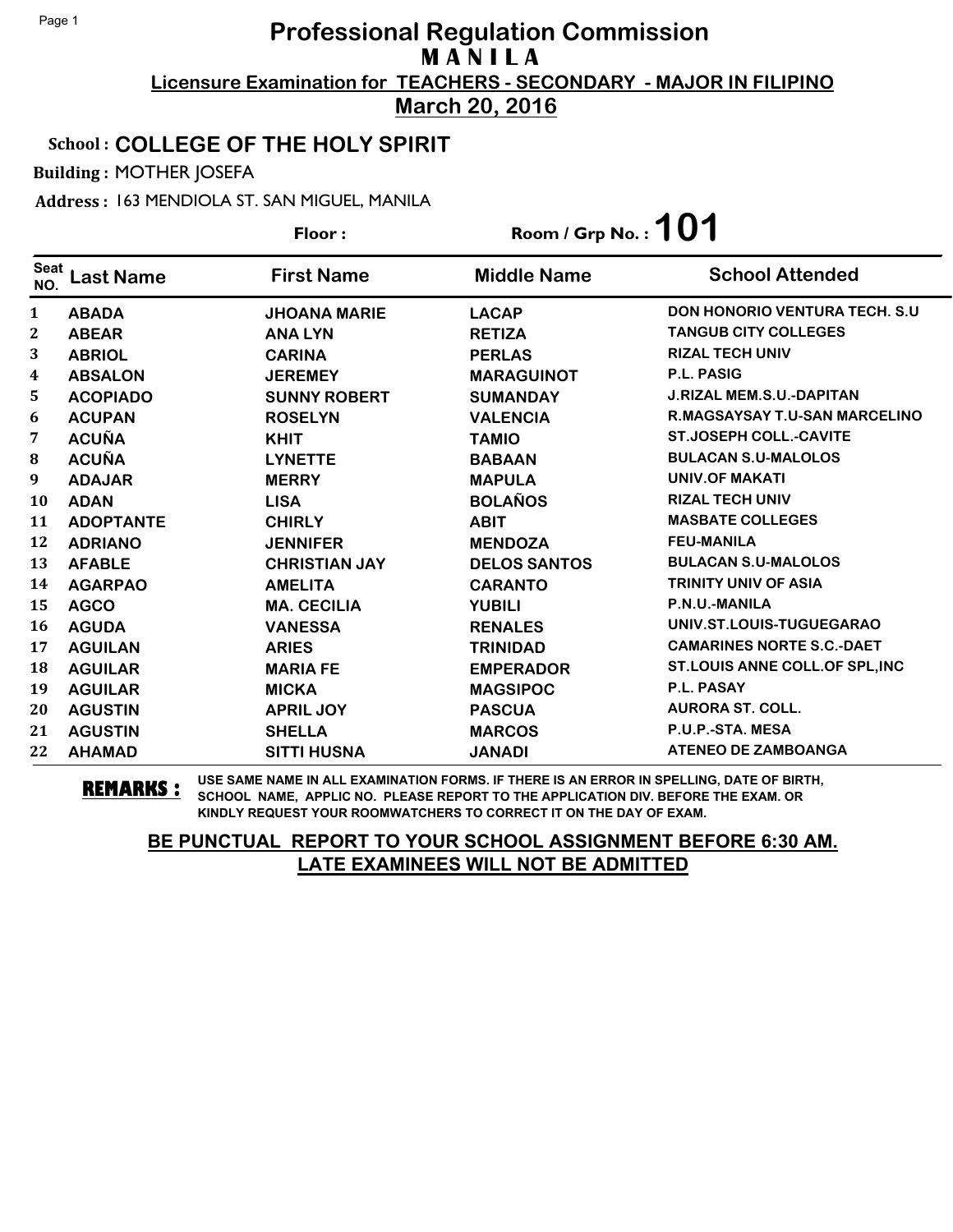### School : **COLLEGE OF THE HOLY SPIRIT**

Building : MOTHER JOSEFA

Address : 163 MENDIOLA ST. SAN MIGUEL, MANILA

|                    |                  | Floor:               | Room / Grp No.: $101$ |                                      |
|--------------------|------------------|----------------------|-----------------------|--------------------------------------|
| <b>Seat</b><br>NO. | <b>Last Name</b> | <b>First Name</b>    | <b>Middle Name</b>    | <b>School Attended</b>               |
| $\mathbf{1}$       | <b>ABADA</b>     | <b>JHOANA MARIE</b>  | <b>LACAP</b>          | <b>DON HONORIO VENTURA TECH. S.U</b> |
| 2                  | <b>ABEAR</b>     | <b>ANA LYN</b>       | <b>RETIZA</b>         | <b>TANGUB CITY COLLEGES</b>          |
| 3                  | <b>ABRIOL</b>    | <b>CARINA</b>        | <b>PERLAS</b>         | <b>RIZAL TECH UNIV</b>               |
| 4                  | <b>ABSALON</b>   | <b>JEREMEY</b>       | <b>MARAGUINOT</b>     | P.L. PASIG                           |
| 5.                 | <b>ACOPIADO</b>  | <b>SUNNY ROBERT</b>  | <b>SUMANDAY</b>       | <b>J.RIZAL MEM.S.U.-DAPITAN</b>      |
| 6                  | <b>ACUPAN</b>    | <b>ROSELYN</b>       | <b>VALENCIA</b>       | <b>R.MAGSAYSAY T.U-SAN MARCELINO</b> |
| 7                  | <b>ACUÑA</b>     | <b>KHIT</b>          | <b>TAMIO</b>          | <b>ST.JOSEPH COLL.-CAVITE</b>        |
| ${\bf 8}$          | <b>ACUÑA</b>     | <b>LYNETTE</b>       | <b>BABAAN</b>         | <b>BULACAN S.U-MALOLOS</b>           |
| 9                  | <b>ADAJAR</b>    | <b>MERRY</b>         | <b>MAPULA</b>         | <b>UNIV.OF MAKATI</b>                |
| 10                 | <b>ADAN</b>      | <b>LISA</b>          | <b>BOLAÑOS</b>        | <b>RIZAL TECH UNIV</b>               |
| 11                 | <b>ADOPTANTE</b> | <b>CHIRLY</b>        | <b>ABIT</b>           | <b>MASBATE COLLEGES</b>              |
| 12                 | <b>ADRIANO</b>   | <b>JENNIFER</b>      | <b>MENDOZA</b>        | <b>FEU-MANILA</b>                    |
| 13                 | <b>AFABLE</b>    | <b>CHRISTIAN JAY</b> | <b>DELOS SANTOS</b>   | <b>BULACAN S.U-MALOLOS</b>           |
| 14                 | <b>AGARPAO</b>   | <b>AMELITA</b>       | <b>CARANTO</b>        | <b>TRINITY UNIV OF ASIA</b>          |
| 15                 | <b>AGCO</b>      | <b>MA. CECILIA</b>   | <b>YUBILI</b>         | P.N.U.-MANILA                        |
| 16                 | <b>AGUDA</b>     | <b>VANESSA</b>       | <b>RENALES</b>        | UNIV.ST.LOUIS-TUGUEGARAO             |
| 17                 | <b>AGUILAN</b>   | <b>ARIES</b>         | <b>TRINIDAD</b>       | <b>CAMARINES NORTE S.C.-DAET</b>     |
| 18                 | <b>AGUILAR</b>   | <b>MARIA FE</b>      | <b>EMPERADOR</b>      | ST.LOUIS ANNE COLL. OF SPL, INC      |
| 19                 | <b>AGUILAR</b>   | <b>MICKA</b>         | <b>MAGSIPOC</b>       | P.L. PASAY                           |
| 20                 | <b>AGUSTIN</b>   | <b>APRIL JOY</b>     | <b>PASCUA</b>         | <b>AURORA ST. COLL.</b>              |
| 21                 | <b>AGUSTIN</b>   | <b>SHELLA</b>        | <b>MARCOS</b>         | P.U.P.-STA. MESA                     |
| 22                 | <b>AHAMAD</b>    | <b>SITTI HUSNA</b>   | <b>JANADI</b>         | <b>ATENEO DE ZAMBOANGA</b>           |

**REMARKS :** USE SAME NAME IN ALL EXAMINATION FORMS. IF THERE IS AN ERROR IN SPELLING, DATE OF BIRTH, SCHOOL NAME, APPLIC NO. PLEASE REPORT TO THE APPLICATION DIV. BEFORE THE EXAM. OR KINDLY REQUEST YOUR ROOMWATCHERS TO CORRECT IT ON THE DAY OF EXAM.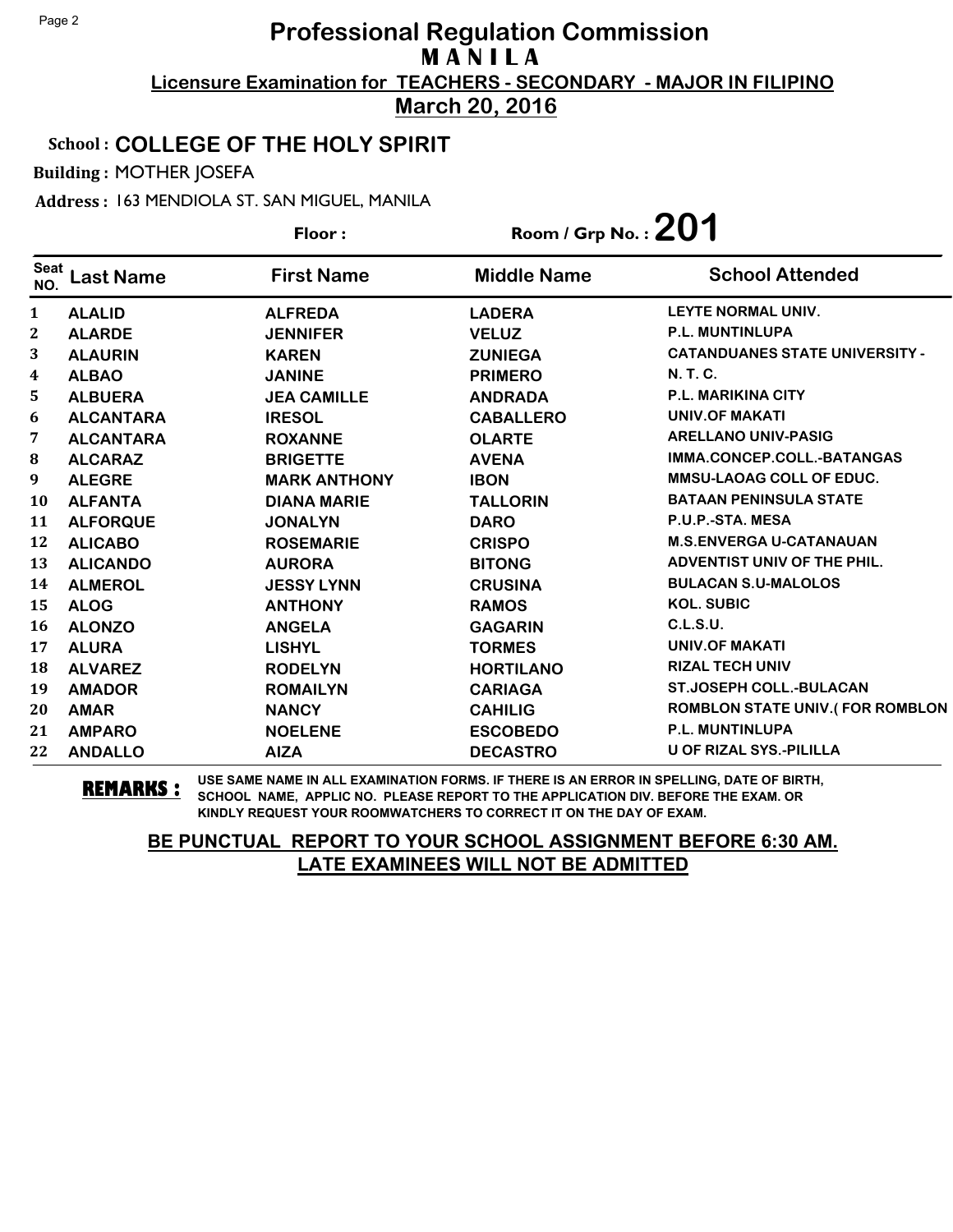## School : **COLLEGE OF THE HOLY SPIRIT**

Building : MOTHER JOSEFA

Address : 163 MENDIOLA ST. SAN MIGUEL, MANILA

**Last Name First Name Middle Name** Floor : Room / Grp No. :**201** Seat <sup>seat</sup> Last Name First Name Middle Name School Attended **ALALID ALFREDA LADERA LEYTE NORMAL UNIV. ALARDE JENNIFER VELUZ P.L. MUNTINLUPA ALAURIN KAREN ZUNIEGA CATANDUANES STATE UNIVERSITY - ALBAO JANINE PRIMERO N. T. C. ALBUERA JEA CAMILLE ANDRADA P.L. MARIKINA CITY ALCANTARA IRESOL CABALLERO UNIV.OF MAKATI ALCANTARA ROXANNE OLARTE ARELLANO UNIV-PASIG ALCARAZ BRIGETTE AVENA IMMA.CONCEP.COLL.-BATANGAS ALEGRE MARK ANTHONY IBON MMSU-LAOAG COLL OF EDUC. ALFANTA DIANA MARIE TALLORIN BATAAN PENINSULA STATE ALFORQUE JONALYN DARO P.U.P.-STA. MESA ALICABO ROSEMARIE CRISPO M.S.ENVERGA U-CATANAUAN ALICANDO AURORA BITONG ADVENTIST UNIV OF THE PHIL. ALMEROL JESSY LYNN CRUSINA BULACAN S.U-MALOLOS ALOG ANTHONY RAMOS KOL. SUBIC ALONZO ANGELA GAGARIN C.L.S.U. ALURA LISHYL TORMES UNIV.OF MAKATI ALVAREZ RODELYN HORTILANO RIZAL TECH UNIV AMADOR ROMAILYN CARIAGA ST.JOSEPH COLL.-BULACAN AMAR NANCY CAHILIG ROMBLON STATE UNIV.( FOR ROMBLON AMPARO NOELENE ESCOBEDO P.L. MUNTINLUPA ANDALLO AIZA DECASTRO U OF RIZAL SYS.-PILILLA**

**REMARKS :** USE SAME NAME IN ALL EXAMINATION FORMS. IF THERE IS AN ERROR IN SPELLING, DATE OF BIRTH, SCHOOL NAME, APPLIC NO. PLEASE REPORT TO THE APPLICATION DIV. BEFORE THE EXAM. OR KINDLY REQUEST YOUR ROOMWATCHERS TO CORRECT IT ON THE DAY OF EXAM.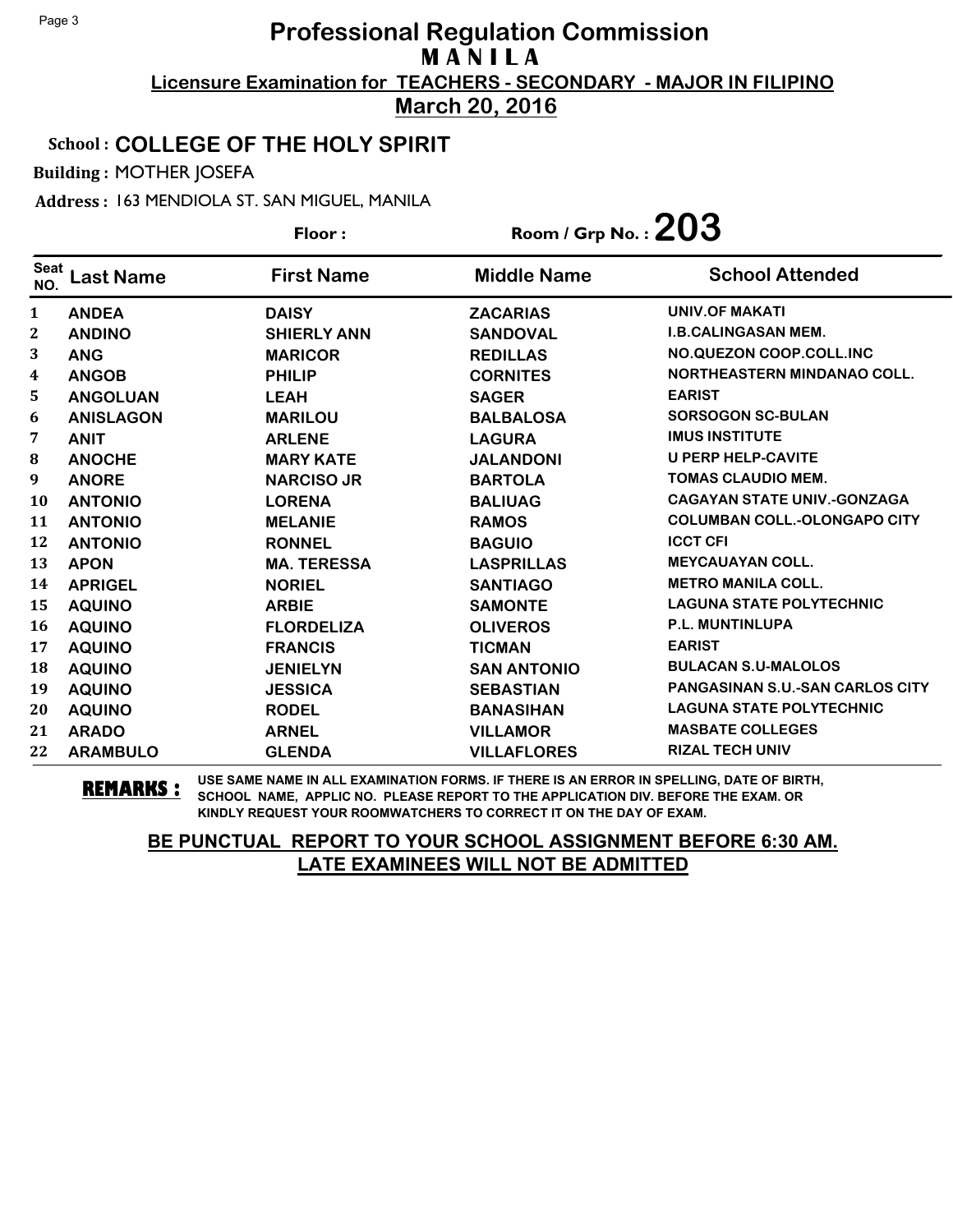## School : **COLLEGE OF THE HOLY SPIRIT**

Building : MOTHER JOSEFA

Address : 163 MENDIOLA ST. SAN MIGUEL, MANILA

**Last Name First Name Middle Name** Floor : Room / Grp No. : 203 Seat <sup>seat</sup> Last Name First Name Middle Name School Attended **ANDEA DAISY ZACARIAS UNIV.OF MAKATI ANDINO SHIERLY ANN SANDOVAL I.B.CALINGASAN MEM. ANG MARICOR REDILLAS NO.QUEZON COOP.COLL.INC ANGOB PHILIP CORNITES NORTHEASTERN MINDANAO COLL. ANGOLUAN LEAH SAGER EARIST ANISLAGON MARILOU BALBALOSA SORSOGON SC-BULAN ANIT ARLENE LAGURA IMUS INSTITUTE ANOCHE MARY KATE JALANDONI U PERP HELP-CAVITE ANORE NARCISO JR BARTOLA TOMAS CLAUDIO MEM. ANTONIO LORENA BALIUAG CAGAYAN STATE UNIV.-GONZAGA ANTONIO MELANIE RAMOS COLUMBAN COLL.-OLONGAPO CITY ANTONIO RONNEL BAGUIO ICCT CFI APON MA. TERESSA LASPRILLAS MEYCAUAYAN COLL. APRIGEL NORIEL SANTIAGO METRO MANILA COLL. AQUINO ARBIE SAMONTE LAGUNA STATE POLYTECHNIC AQUINO FLORDELIZA OLIVEROS P.L. MUNTINLUPA AQUINO FRANCIS TICMAN EARIST AQUINO JENIELYN SAN ANTONIO BULACAN S.U-MALOLOS AQUINO JESSICA SEBASTIAN PANGASINAN S.U.-SAN CARLOS CITY AQUINO RODEL BANASIHAN LAGUNA STATE POLYTECHNIC ARADO ARNEL VILLAMOR MASBATE COLLEGES ARAMBULO GLENDA VILLAFLORES RIZAL TECH UNIV**

**REMARKS :** USE SAME NAME IN ALL EXAMINATION FORMS. IF THERE IS AN ERROR IN SPELLING, DATE OF BIRTH, SCHOOL NAME, APPLIC NO. PLEASE REPORT TO THE APPLICATION DIV. BEFORE THE EXAM. OR KINDLY REQUEST YOUR ROOMWATCHERS TO CORRECT IT ON THE DAY OF EXAM.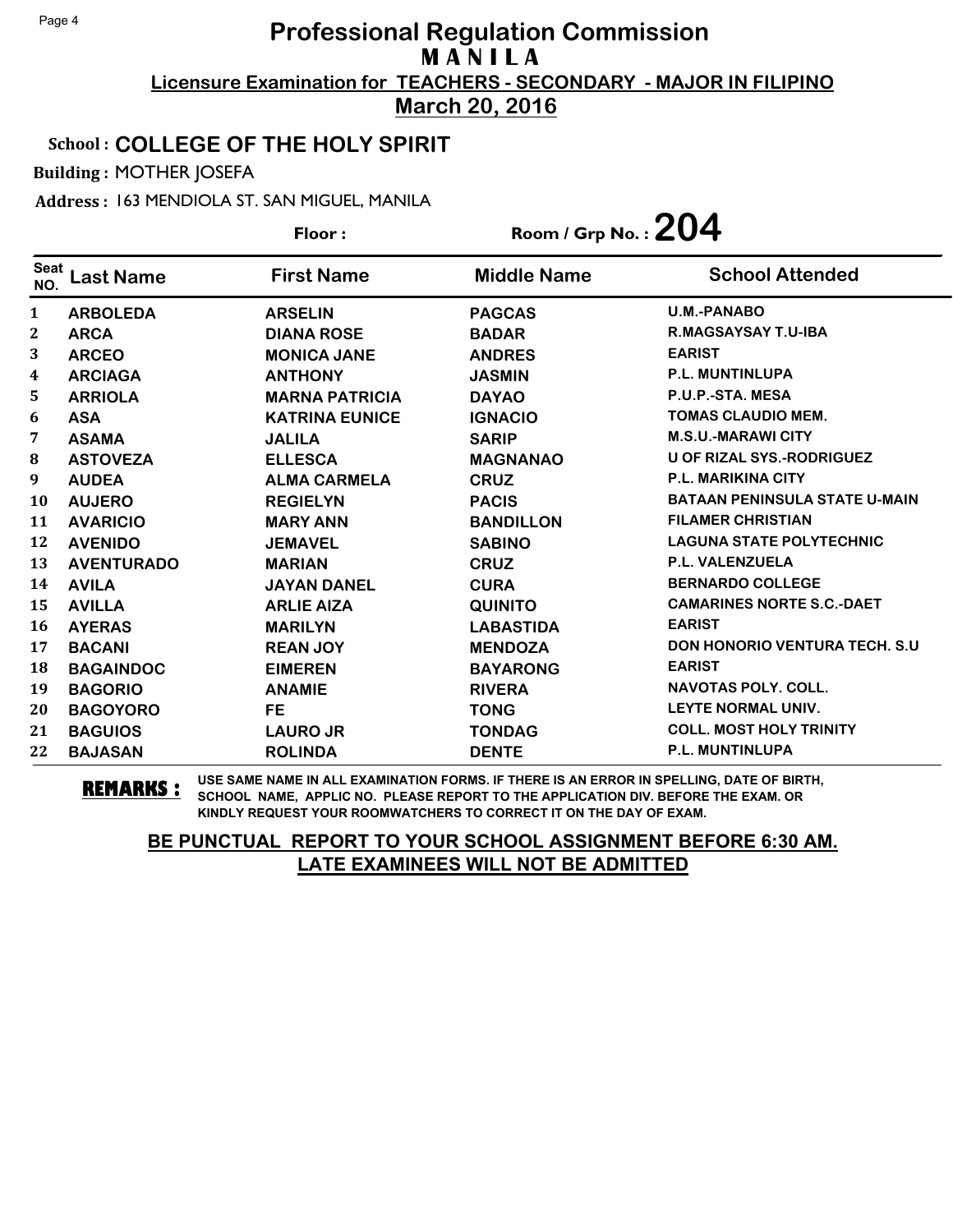### School : **COLLEGE OF THE HOLY SPIRIT**

Building : MOTHER JOSEFA

Address : 163 MENDIOLA ST. SAN MIGUEL, MANILA

**Last Name First Name Middle Name** Floor : Room / Grp No. : 204 Seat <sup>seat</sup> Last Name First Name Middle Name School Attended **ARBOLEDA ARSELIN PAGCAS U.M.-PANABO ARCA DIANA ROSE BADAR R.MAGSAYSAY T.U-IBA ARCEO MONICA JANE ANDRES EARIST ARCIAGA ANTHONY JASMIN P.L. MUNTINLUPA ARRIOLA MARNA PATRICIA DAYAO P.U.P.-STA. MESA ASA KATRINA EUNICE IGNACIO TOMAS CLAUDIO MEM. ASAMA JALILA SARIP M.S.U.-MARAWI CITY ASTOVEZA ELLESCA MAGNANAO U OF RIZAL SYS.-RODRIGUEZ AUDEA ALMA CARMELA CRUZ P.L. MARIKINA CITY AUJERO REGIELYN PACIS BATAAN PENINSULA STATE U-MAIN AVARICIO MARY ANN BANDILLON FILAMER CHRISTIAN AVENIDO JEMAVEL SABINO LAGUNA STATE POLYTECHNIC AVENTURADO MARIAN CRUZ P.L. VALENZUELA AVILA JAYAN DANEL CURA BERNARDO COLLEGE AVILLA ARLIE AIZA QUINITO CAMARINES NORTE S.C.-DAET AYERAS MARILYN LABASTIDA EARIST BACANI REAN JOY MENDOZA DON HONORIO VENTURA TECH. S.U BAGAINDOC EIMEREN BAYARONG EARIST BAGORIO ANAMIE RIVERA NAVOTAS POLY. COLL. BAGOYORO FE TONG LEYTE NORMAL UNIV. BAGUIOS LAURO JR TONDAG COLL. MOST HOLY TRINITY BAJASAN ROLINDA DENTE P.L. MUNTINLUPA**

**REMARKS :** USE SAME NAME IN ALL EXAMINATION FORMS. IF THERE IS AN ERROR IN SPELLING, DATE OF BIRTH, SCHOOL NAME, APPLIC NO. PLEASE REPORT TO THE APPLICATION DIV. BEFORE THE EXAM. OR KINDLY REQUEST YOUR ROOMWATCHERS TO CORRECT IT ON THE DAY OF EXAM.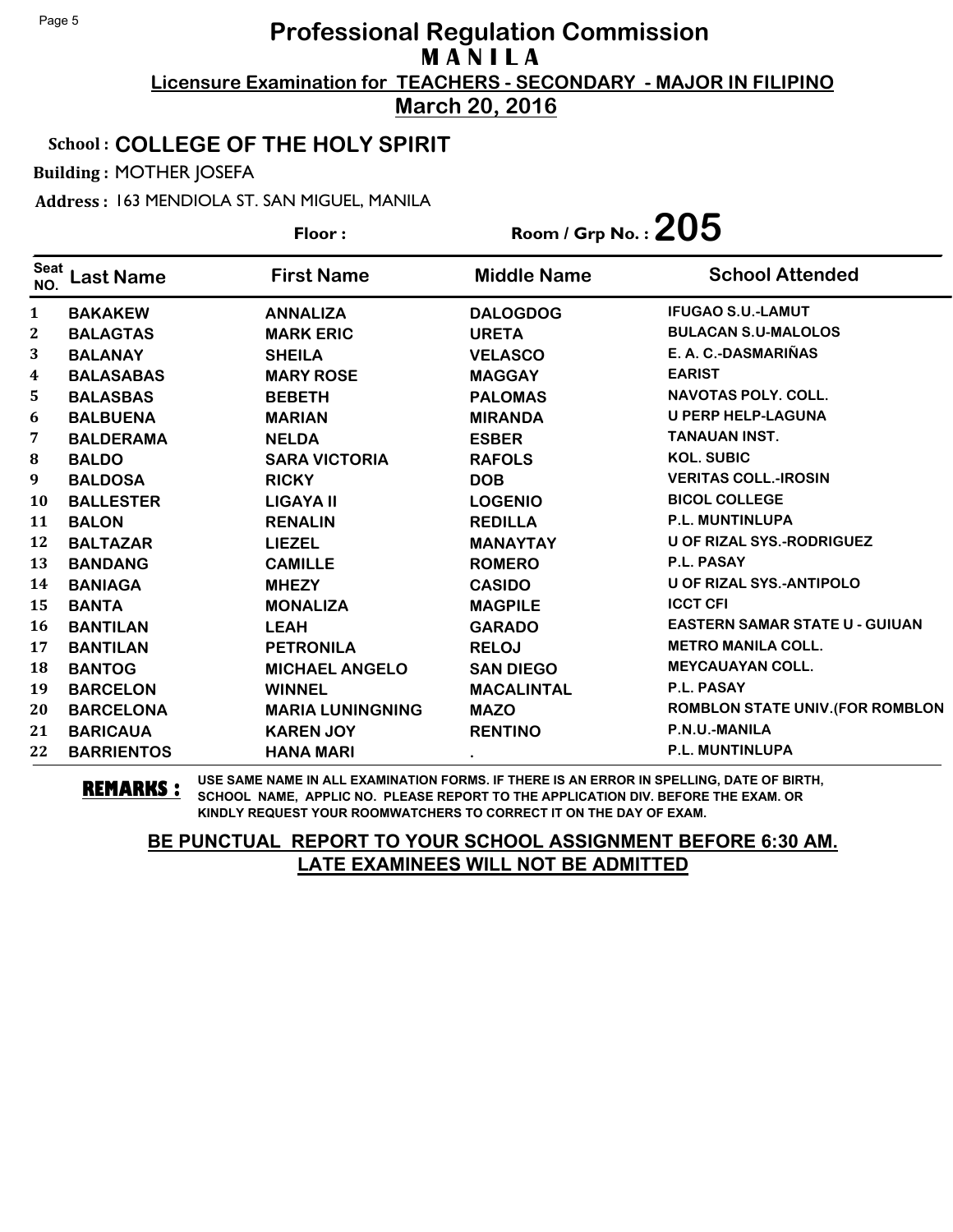## School : **COLLEGE OF THE HOLY SPIRIT**

Building : MOTHER JOSEFA

Address : 163 MENDIOLA ST. SAN MIGUEL, MANILA

|                    |                   | Floor:                  | Room / Grp No. : $205$ |                                         |
|--------------------|-------------------|-------------------------|------------------------|-----------------------------------------|
| <b>Seat</b><br>NO. | <b>Last Name</b>  | <b>First Name</b>       | <b>Middle Name</b>     | <b>School Attended</b>                  |
| 1                  | <b>BAKAKEW</b>    | <b>ANNALIZA</b>         | <b>DALOGDOG</b>        | <b>IFUGAO S.U.-LAMUT</b>                |
| 2                  | <b>BALAGTAS</b>   | <b>MARK ERIC</b>        | <b>URETA</b>           | <b>BULACAN S.U-MALOLOS</b>              |
| 3                  | <b>BALANAY</b>    | <b>SHEILA</b>           | <b>VELASCO</b>         | E. A. C.-DASMARIÑAS                     |
| 4                  | <b>BALASABAS</b>  | <b>MARY ROSE</b>        | <b>MAGGAY</b>          | <b>EARIST</b>                           |
| 5                  | <b>BALASBAS</b>   | <b>BEBETH</b>           | <b>PALOMAS</b>         | <b>NAVOTAS POLY, COLL.</b>              |
| 6                  | <b>BALBUENA</b>   | <b>MARIAN</b>           | <b>MIRANDA</b>         | <b>U PERP HELP-LAGUNA</b>               |
| 7                  | <b>BALDERAMA</b>  | <b>NELDA</b>            | <b>ESBER</b>           | <b>TANAUAN INST.</b>                    |
| ${\bf 8}$          | <b>BALDO</b>      | <b>SARA VICTORIA</b>    | <b>RAFOLS</b>          | <b>KOL. SUBIC</b>                       |
| 9                  | <b>BALDOSA</b>    | <b>RICKY</b>            | <b>DOB</b>             | <b>VERITAS COLL.-IROSIN</b>             |
| 10                 | <b>BALLESTER</b>  | <b>LIGAYA II</b>        | <b>LOGENIO</b>         | <b>BICOL COLLEGE</b>                    |
| 11                 | <b>BALON</b>      | <b>RENALIN</b>          | <b>REDILLA</b>         | <b>P.L. MUNTINLUPA</b>                  |
| 12                 | <b>BALTAZAR</b>   | <b>LIEZEL</b>           | <b>MANAYTAY</b>        | U OF RIZAL SYS.-RODRIGUEZ               |
| 13                 | <b>BANDANG</b>    | <b>CAMILLE</b>          | <b>ROMERO</b>          | P.L. PASAY                              |
| 14                 | <b>BANIAGA</b>    | <b>MHEZY</b>            | <b>CASIDO</b>          | U OF RIZAL SYS.-ANTIPOLO                |
| 15                 | <b>BANTA</b>      | <b>MONALIZA</b>         | <b>MAGPILE</b>         | <b>ICCT CFI</b>                         |
| 16                 | <b>BANTILAN</b>   | <b>LEAH</b>             | <b>GARADO</b>          | <b>EASTERN SAMAR STATE U - GUIUAN</b>   |
| 17                 | <b>BANTILAN</b>   | <b>PETRONILA</b>        | <b>RELOJ</b>           | <b>METRO MANILA COLL.</b>               |
| 18                 | <b>BANTOG</b>     | <b>MICHAEL ANGELO</b>   | <b>SAN DIEGO</b>       | <b>MEYCAUAYAN COLL.</b>                 |
| 19                 | <b>BARCELON</b>   | <b>WINNEL</b>           | <b>MACALINTAL</b>      | <b>P.L. PASAY</b>                       |
| 20                 | <b>BARCELONA</b>  | <b>MARIA LUNINGNING</b> | <b>MAZO</b>            | <b>ROMBLON STATE UNIV. (FOR ROMBLON</b> |
| 21                 | <b>BARICAUA</b>   | <b>KAREN JOY</b>        | <b>RENTINO</b>         | P.N.U.-MANILA                           |
| 22                 | <b>BARRIENTOS</b> | <b>HANA MARI</b>        | $\bullet$              | <b>P.L. MUNTINLUPA</b>                  |

**REMARKS :** USE SAME NAME IN ALL EXAMINATION FORMS. IF THERE IS AN ERROR IN SPELLING, DATE OF BIRTH, SCHOOL NAME, APPLIC NO. PLEASE REPORT TO THE APPLICATION DIV. BEFORE THE EXAM. OR KINDLY REQUEST YOUR ROOMWATCHERS TO CORRECT IT ON THE DAY OF EXAM.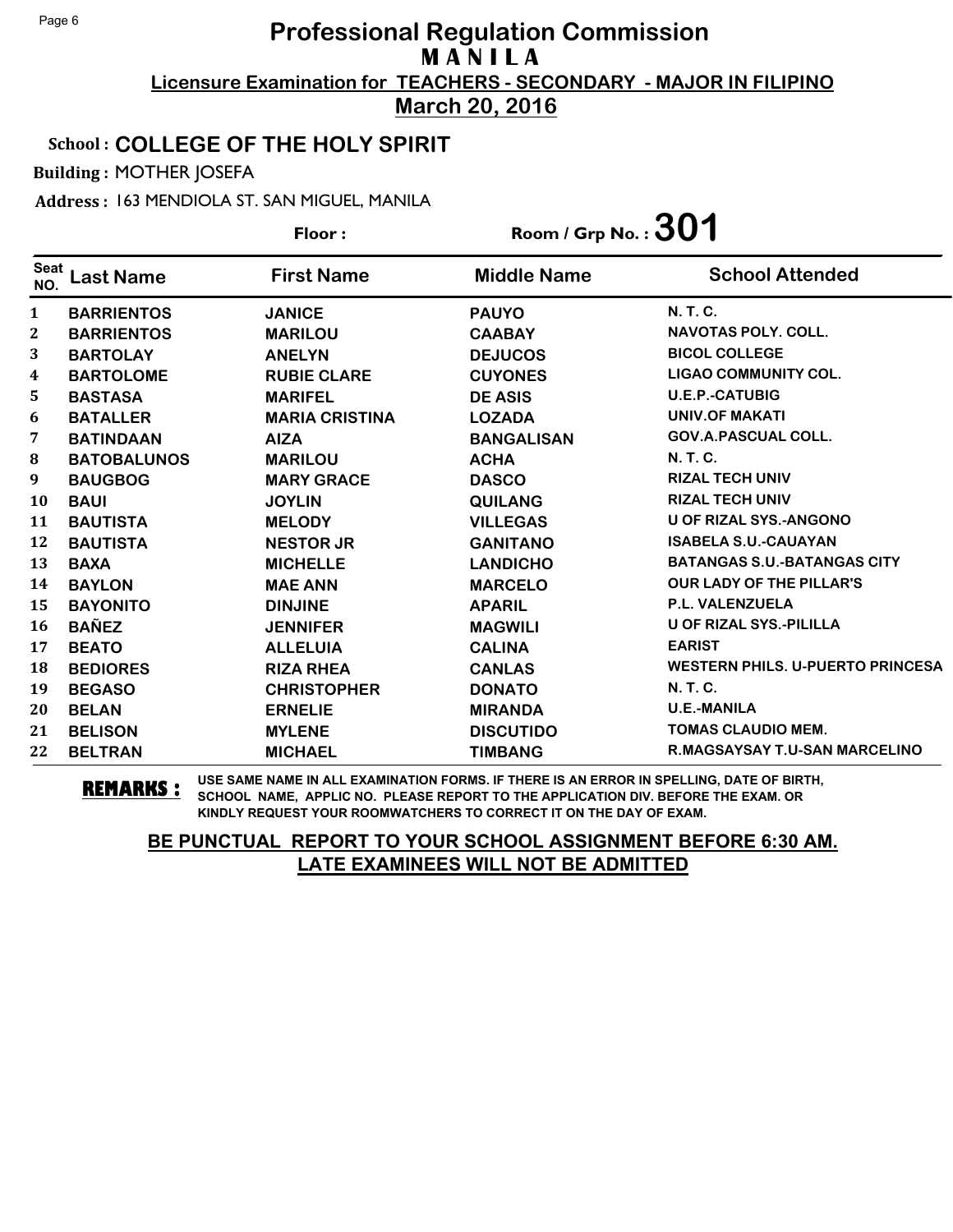### School : **COLLEGE OF THE HOLY SPIRIT**

Building : MOTHER JOSEFA

Address : 163 MENDIOLA ST. SAN MIGUEL, MANILA

|                    |                    | Floor:                | Room / Grp No. : $301$ |                                         |
|--------------------|--------------------|-----------------------|------------------------|-----------------------------------------|
| <b>Seat</b><br>NO. | <b>Last Name</b>   | <b>First Name</b>     | <b>Middle Name</b>     | <b>School Attended</b>                  |
| 1                  | <b>BARRIENTOS</b>  | <b>JANICE</b>         | <b>PAUYO</b>           | <b>N. T. C.</b>                         |
| 2                  | <b>BARRIENTOS</b>  | <b>MARILOU</b>        | <b>CAABAY</b>          | <b>NAVOTAS POLY, COLL.</b>              |
| 3                  | <b>BARTOLAY</b>    | <b>ANELYN</b>         | <b>DEJUCOS</b>         | <b>BICOL COLLEGE</b>                    |
| 4                  | <b>BARTOLOME</b>   | <b>RUBIE CLARE</b>    | <b>CUYONES</b>         | <b>LIGAO COMMUNITY COL.</b>             |
| 5                  | <b>BASTASA</b>     | <b>MARIFEL</b>        | <b>DE ASIS</b>         | <b>U.E.P.-CATUBIG</b>                   |
| 6                  | <b>BATALLER</b>    | <b>MARIA CRISTINA</b> | <b>LOZADA</b>          | <b>UNIV.OF MAKATI</b>                   |
| 7                  | <b>BATINDAAN</b>   | <b>AIZA</b>           | <b>BANGALISAN</b>      | <b>GOV.A.PASCUAL COLL.</b>              |
| 8                  | <b>BATOBALUNOS</b> | <b>MARILOU</b>        | <b>ACHA</b>            | N. T. C.                                |
| 9                  | <b>BAUGBOG</b>     | <b>MARY GRACE</b>     | <b>DASCO</b>           | <b>RIZAL TECH UNIV</b>                  |
| 10                 | <b>BAUI</b>        | <b>JOYLIN</b>         | <b>QUILANG</b>         | <b>RIZAL TECH UNIV</b>                  |
| 11                 | <b>BAUTISTA</b>    | <b>MELODY</b>         | <b>VILLEGAS</b>        | <b>U OF RIZAL SYS.-ANGONO</b>           |
| 12                 | <b>BAUTISTA</b>    | <b>NESTOR JR</b>      | <b>GANITANO</b>        | <b>ISABELA S.U.-CAUAYAN</b>             |
| 13                 | <b>BAXA</b>        | <b>MICHELLE</b>       | <b>LANDICHO</b>        | <b>BATANGAS S.U.-BATANGAS CITY</b>      |
| 14                 | <b>BAYLON</b>      | <b>MAE ANN</b>        | <b>MARCELO</b>         | <b>OUR LADY OF THE PILLAR'S</b>         |
| 15                 | <b>BAYONITO</b>    | <b>DINJINE</b>        | <b>APARIL</b>          | <b>P.L. VALENZUELA</b>                  |
| 16                 | <b>BAÑEZ</b>       | <b>JENNIFER</b>       | <b>MAGWILI</b>         | <b>U OF RIZAL SYS.-PILILLA</b>          |
| 17                 | <b>BEATO</b>       | <b>ALLELUIA</b>       | <b>CALINA</b>          | <b>EARIST</b>                           |
| 18                 | <b>BEDIORES</b>    | <b>RIZA RHEA</b>      | <b>CANLAS</b>          | <b>WESTERN PHILS, U-PUERTO PRINCESA</b> |
| 19                 | <b>BEGASO</b>      | <b>CHRISTOPHER</b>    | <b>DONATO</b>          | N. T. C.                                |
| 20                 | <b>BELAN</b>       | <b>ERNELIE</b>        | <b>MIRANDA</b>         | <b>U.E.-MANILA</b>                      |
| 21                 | <b>BELISON</b>     | <b>MYLENE</b>         | <b>DISCUTIDO</b>       | <b>TOMAS CLAUDIO MEM.</b>               |
| 22                 | <b>BELTRAN</b>     | <b>MICHAEL</b>        | <b>TIMBANG</b>         | <b>R.MAGSAYSAY T.U-SAN MARCELINO</b>    |

**REMARKS :** USE SAME NAME IN ALL EXAMINATION FORMS. IF THERE IS AN ERROR IN SPELLING, DATE OF BIRTH, SCHOOL NAME, APPLIC NO. PLEASE REPORT TO THE APPLICATION DIV. BEFORE THE EXAM. OR KINDLY REQUEST YOUR ROOMWATCHERS TO CORRECT IT ON THE DAY OF EXAM.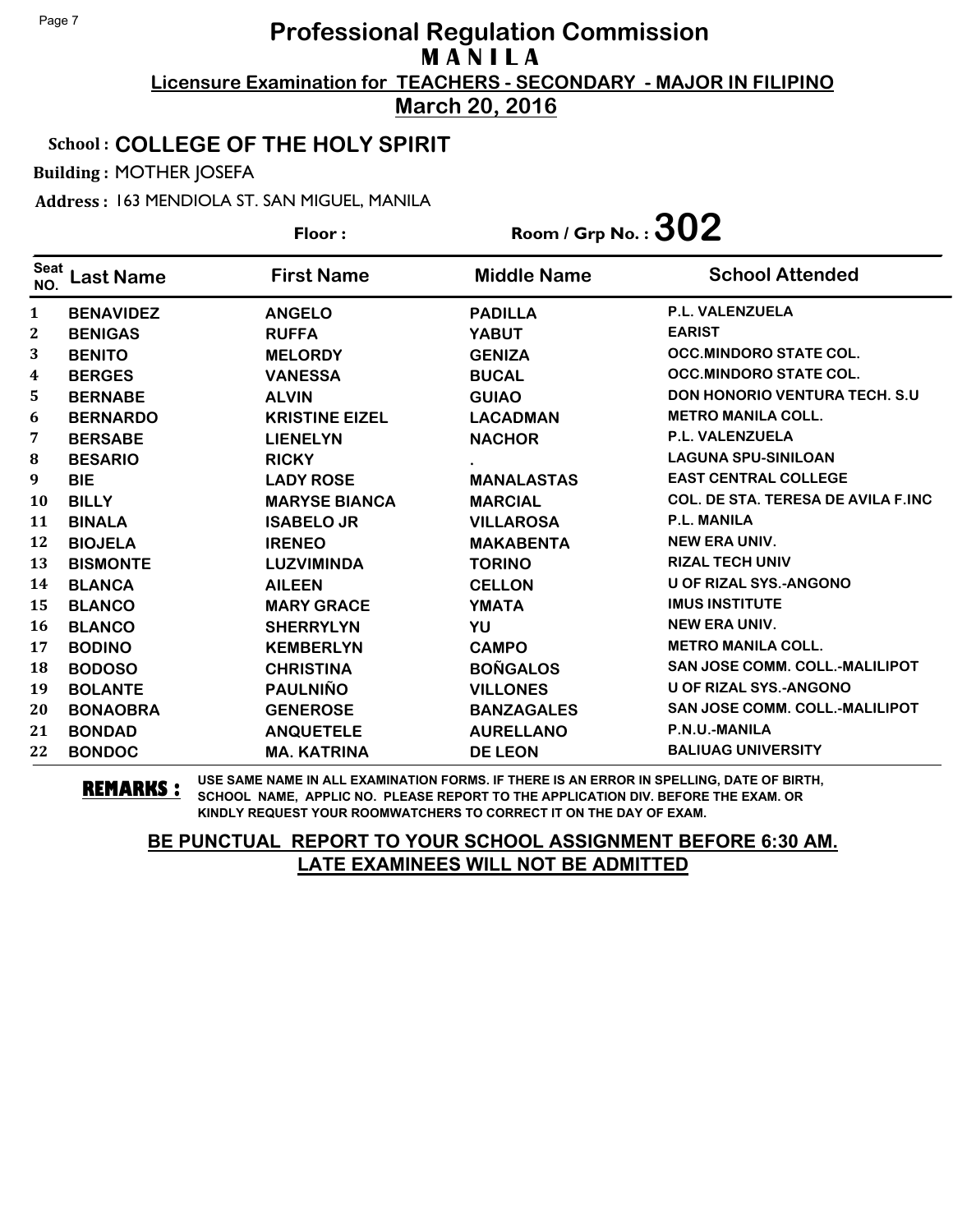## School : **COLLEGE OF THE HOLY SPIRIT**

Building : MOTHER JOSEFA

Address : 163 MENDIOLA ST. SAN MIGUEL, MANILA

**Last Name First Name Middle Name** Floor : Room / Grp No. :  $302$ Seat <sup>Seat</sup> Last Name First Name Middle Name School Attended **BENAVIDEZ ANGELO PADILLA P.L. VALENZUELA BENIGAS RUFFA YABUT EARIST BENITO MELORDY GENIZA OCC.MINDORO STATE COL. BERGES VANESSA BUCAL OCC.MINDORO STATE COL. BERNABE ALVIN GUIAO DON HONORIO VENTURA TECH. S.U BERNARDO KRISTINE EIZEL LACADMAN METRO MANILA COLL. BERSABE LIENELYN NACHOR P.L. VALENZUELA BESARIO RICKY . LAGUNA SPU-SINILOAN BIE LADY ROSE MANALASTAS EAST CENTRAL COLLEGE BILLY MARYSE BIANCA MARCIAL COL. DE STA. TERESA DE AVILA F.INC BINALA ISABELO JR VILLAROSA P.L. MANILA BIOJELA IRENEO MAKABENTA NEW ERA UNIV. BISMONTE LUZVIMINDA TORINO RIZAL TECH UNIV BLANCA AILEEN CELLON U OF RIZAL SYS.-ANGONO BLANCO MARY GRACE YMATA IMUS INSTITUTE BLANCO SHERRYLYN YU NEW ERA UNIV. BODINO KEMBERLYN CAMPO METRO MANILA COLL. BODOSO CHRISTINA BOÑGALOS SAN JOSE COMM. COLL.-MALILIPOT BOLANTE PAULNIÑO VILLONES U OF RIZAL SYS.-ANGONO BONAOBRA GENEROSE BANZAGALES SAN JOSE COMM. COLL.-MALILIPOT BONDAD ANQUETELE AURELLANO P.N.U.-MANILA BONDOC MA. KATRINA DE LEON BALIUAG UNIVERSITY**

**REMARKS :** USE SAME NAME IN ALL EXAMINATION FORMS. IF THERE IS AN ERROR IN SPELLING, DATE OF BIRTH, SCHOOL NAME, APPLIC NO. PLEASE REPORT TO THE APPLICATION DIV. BEFORE THE EXAM. OR KINDLY REQUEST YOUR ROOMWATCHERS TO CORRECT IT ON THE DAY OF EXAM.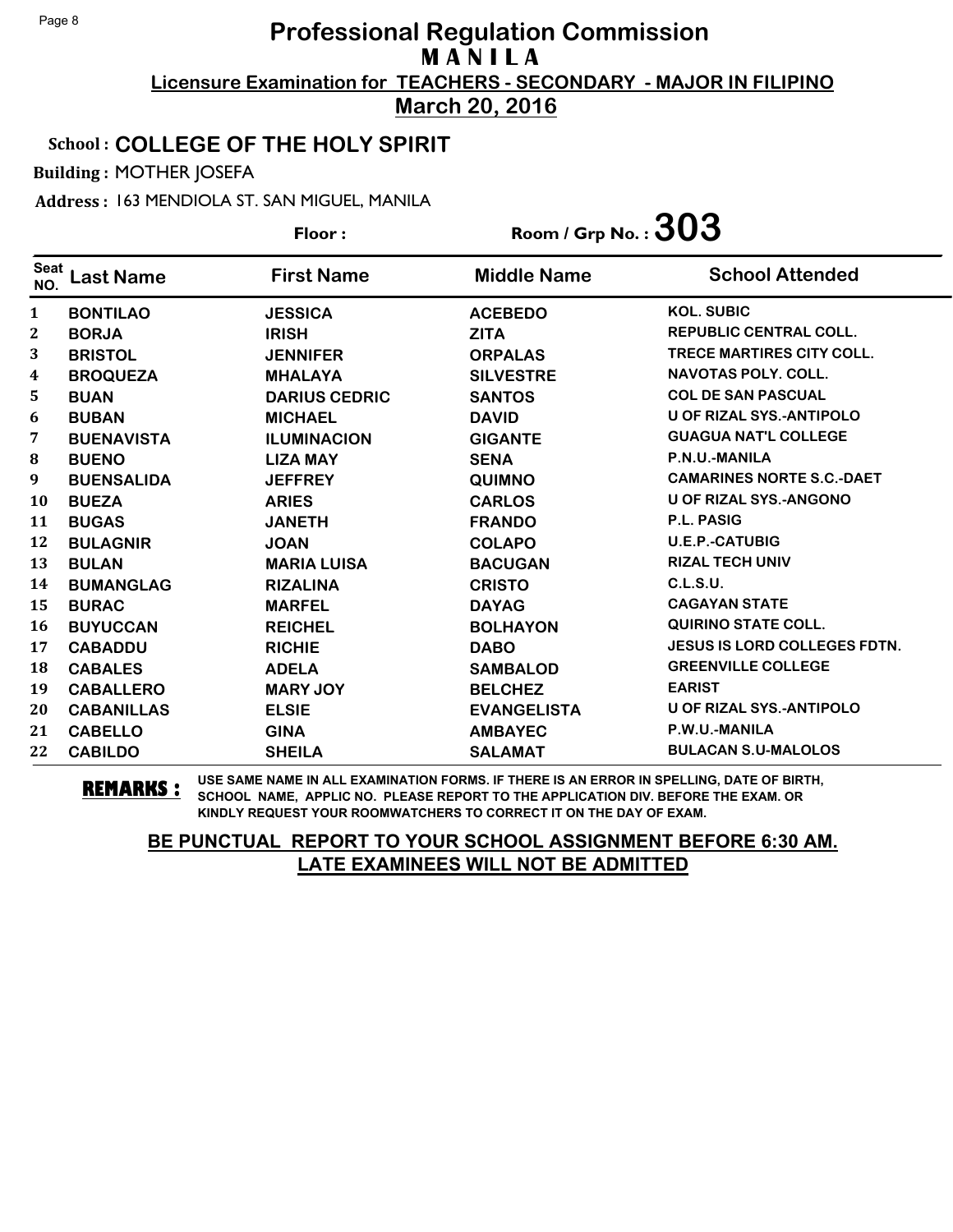## School : **COLLEGE OF THE HOLY SPIRIT**

Building : MOTHER JOSEFA

Address : 163 MENDIOLA ST. SAN MIGUEL, MANILA

**Last Name First Name Middle Name** Floor : Room / Grp No. :  $303$ Seat <sup>seat</sup> Last Name First Name Middle Name School Attended **BONTILAO JESSICA ACEBEDO KOL. SUBIC BORJA IRISH ZITA REPUBLIC CENTRAL COLL. BRISTOL JENNIFER ORPALAS TRECE MARTIRES CITY COLL. BROQUEZA MHALAYA SILVESTRE NAVOTAS POLY. COLL. BUAN DARIUS CEDRIC SANTOS COL DE SAN PASCUAL BUBAN MICHAEL DAVID U OF RIZAL SYS.-ANTIPOLO BUENAVISTA ILUMINACION GIGANTE GUAGUA NAT'L COLLEGE BUENO LIZA MAY SENA P.N.U.-MANILA BUENSALIDA JEFFREY QUIMNO CAMARINES NORTE S.C.-DAET BUEZA ARIES CARLOS U OF RIZAL SYS.-ANGONO BUGAS JANETH FRANDO P.L. PASIG BULAGNIR JOAN COLAPO U.E.P.-CATUBIG BULAN MARIA LUISA BACUGAN RIZAL TECH UNIV BUMANGLAG RIZALINA CRISTO C.L.S.U. BURAC MARFEL DAYAG CAGAYAN STATE BUYUCCAN REICHEL BOLHAYON QUIRINO STATE COLL. CABADDU RICHIE DABO JESUS IS LORD COLLEGES FDTN. CABALES ADELA SAMBALOD GREENVILLE COLLEGE CABALLERO MARY JOY BELCHEZ EARIST CABANILLAS ELSIE EVANGELISTA U OF RIZAL SYS.-ANTIPOLO CABELLO GINA AMBAYEC P.W.U.-MANILA CABILDO SHEILA SALAMAT BULACAN S.U-MALOLOS**

**REMARKS :** USE SAME NAME IN ALL EXAMINATION FORMS. IF THERE IS AN ERROR IN SPELLING, DATE OF BIRTH, SCHOOL NAME, APPLIC NO. PLEASE REPORT TO THE APPLICATION DIV. BEFORE THE EXAM. OR KINDLY REQUEST YOUR ROOMWATCHERS TO CORRECT IT ON THE DAY OF EXAM.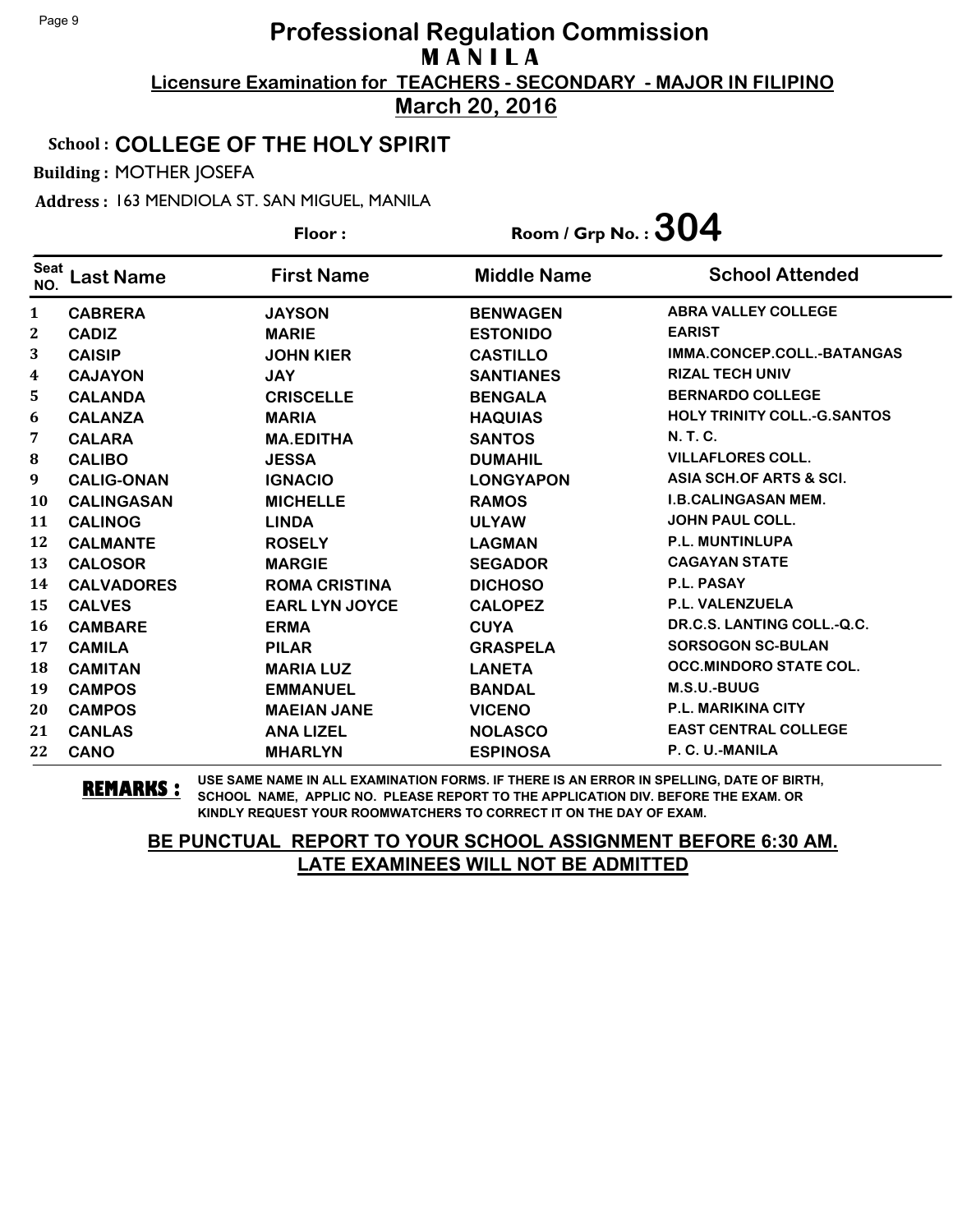### School : **COLLEGE OF THE HOLY SPIRIT**

Building : MOTHER JOSEFA

Address : 163 MENDIOLA ST. SAN MIGUEL, MANILA

**Last Name First Name Middle Name** Floor : Room / Grp No. :  $304$ Seat <sup>Seat</sup> Last Name First Name Middle Name School Attended **CABRERA JAYSON BENWAGEN ABRA VALLEY COLLEGE CADIZ MARIE ESTONIDO EARIST CAISIP JOHN KIER CASTILLO IMMA.CONCEP.COLL.-BATANGAS CAJAYON JAY SANTIANES RIZAL TECH UNIV CALANDA CRISCELLE BENGALA BERNARDO COLLEGE CALANZA MARIA HAQUIAS HOLY TRINITY COLL.-G.SANTOS CALARA MA.EDITHA SANTOS N. T. C. CALIBO JESSA DUMAHIL VILLAFLORES COLL. CALIG-ONAN IGNACIO LONGYAPON ASIA SCH.OF ARTS & SCI. CALINGASAN MICHELLE RAMOS I.B.CALINGASAN MEM. CALINOG LINDA ULYAW JOHN PAUL COLL. CALMANTE ROSELY LAGMAN P.L. MUNTINLUPA CALOSOR MARGIE SEGADOR CAGAYAN STATE CALVADORES ROMA CRISTINA DICHOSO P.L. PASAY CALVES EARL LYN JOYCE CALOPEZ P.L. VALENZUELA CAMBARE ERMA CUYA DR.C.S. LANTING COLL.-Q.C. CAMILA PILAR GRASPELA SORSOGON SC-BULAN CAMITAN MARIA LUZ LANETA OCC.MINDORO STATE COL. CAMPOS EMMANUEL BANDAL M.S.U.-BUUG CAMPOS MAEIAN JANE VICENO P.L. MARIKINA CITY CANLAS ANA LIZEL NOLASCO EAST CENTRAL COLLEGE CANO MHARLYN ESPINOSA P. C. U.-MANILA**

**REMARKS :** USE SAME NAME IN ALL EXAMINATION FORMS. IF THERE IS AN ERROR IN SPELLING, DATE OF BIRTH, SCHOOL NAME, APPLIC NO. PLEASE REPORT TO THE APPLICATION DIV. BEFORE THE EXAM. OR KINDLY REQUEST YOUR ROOMWATCHERS TO CORRECT IT ON THE DAY OF EXAM.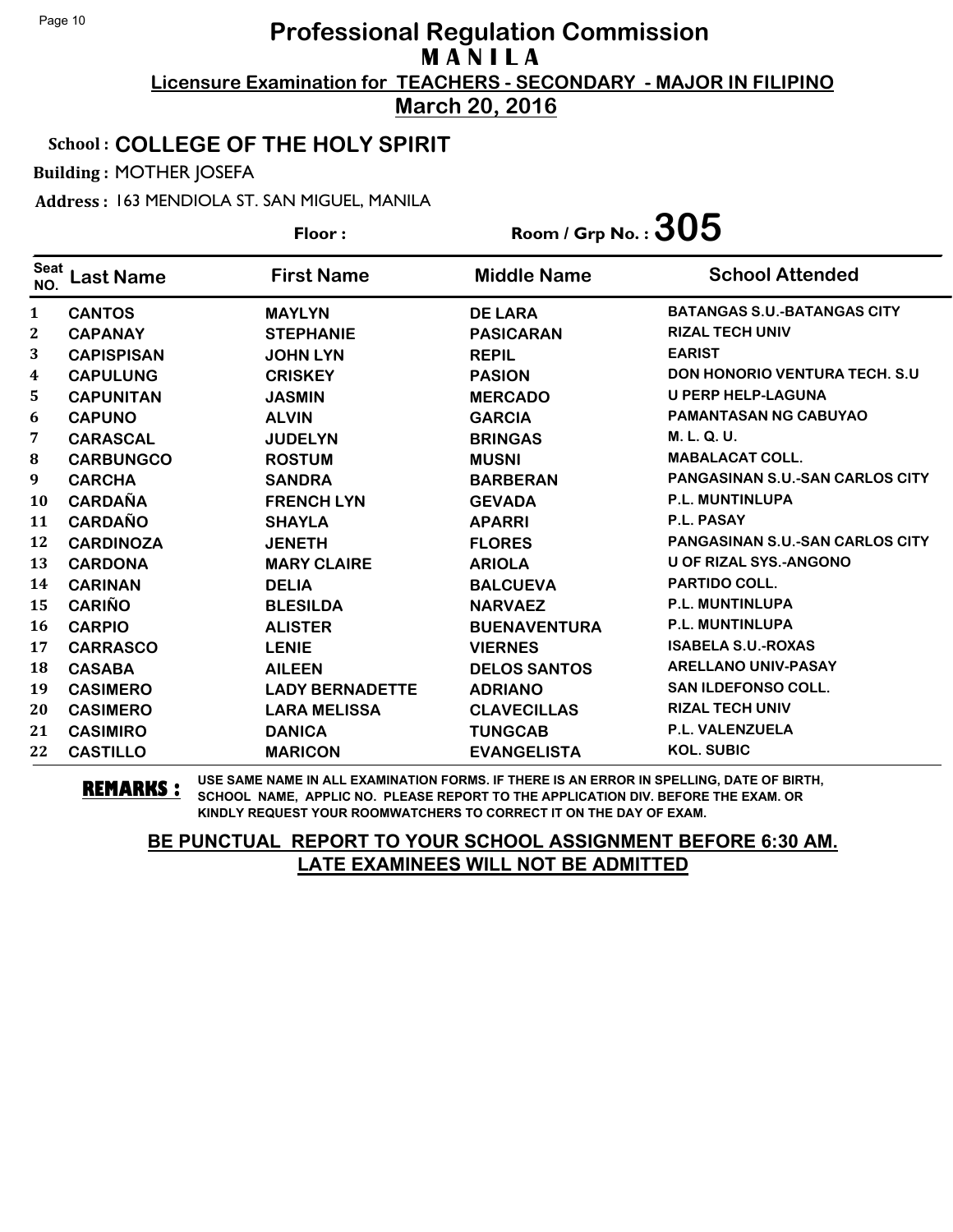### School : **COLLEGE OF THE HOLY SPIRIT**

Building : MOTHER JOSEFA

Address : 163 MENDIOLA ST. SAN MIGUEL, MANILA

**Last Name First Name Middle Name** Floor : Room / Grp No. :  $305$ Seat <sup>seat</sup> Last Name First Name Middle Name School Attended **CANTOS MAYLYN DE LARA BATANGAS S.U.-BATANGAS CITY CAPANAY STEPHANIE PASICARAN RIZAL TECH UNIV CAPISPISAN JOHN LYN REPIL EARIST CAPULUNG CRISKEY PASION DON HONORIO VENTURA TECH. S.U CAPUNITAN JASMIN MERCADO U PERP HELP-LAGUNA CAPUNO ALVIN GARCIA PAMANTASAN NG CABUYAO CARASCAL JUDELYN BRINGAS M. L. Q. U. CARBUNGCO ROSTUM MUSNI MABALACAT COLL. CARCHA SANDRA BARBERAN PANGASINAN S.U.-SAN CARLOS CITY CARDAÑA FRENCH LYN GEVADA P.L. MUNTINLUPA CARDAÑO SHAYLA APARRI P.L. PASAY CARDINOZA JENETH FLORES PANGASINAN S.U.-SAN CARLOS CITY CARDONA MARY CLAIRE ARIOLA U OF RIZAL SYS.-ANGONO CARINAN DELIA BALCUEVA PARTIDO COLL. CARIÑO BLESILDA NARVAEZ P.L. MUNTINLUPA CARPIO ALISTER BUENAVENTURA P.L. MUNTINLUPA CARRASCO LENIE VIERNES ISABELA S.U.-ROXAS CASABA AILEEN DELOS SANTOS ARELLANO UNIV-PASAY CASIMERO LADY BERNADETTE ADRIANO SAN ILDEFONSO COLL. CASIMERO LARA MELISSA CLAVECILLAS RIZAL TECH UNIV CASIMIRO DANICA TUNGCAB P.L. VALENZUELA CASTILLO MARICON EVANGELISTA KOL. SUBIC**

**REMARKS :** USE SAME NAME IN ALL EXAMINATION FORMS. IF THERE IS AN ERROR IN SPELLING, DATE OF BIRTH, SCHOOL NAME, APPLIC NO. PLEASE REPORT TO THE APPLICATION DIV. BEFORE THE EXAM. OR KINDLY REQUEST YOUR ROOMWATCHERS TO CORRECT IT ON THE DAY OF EXAM.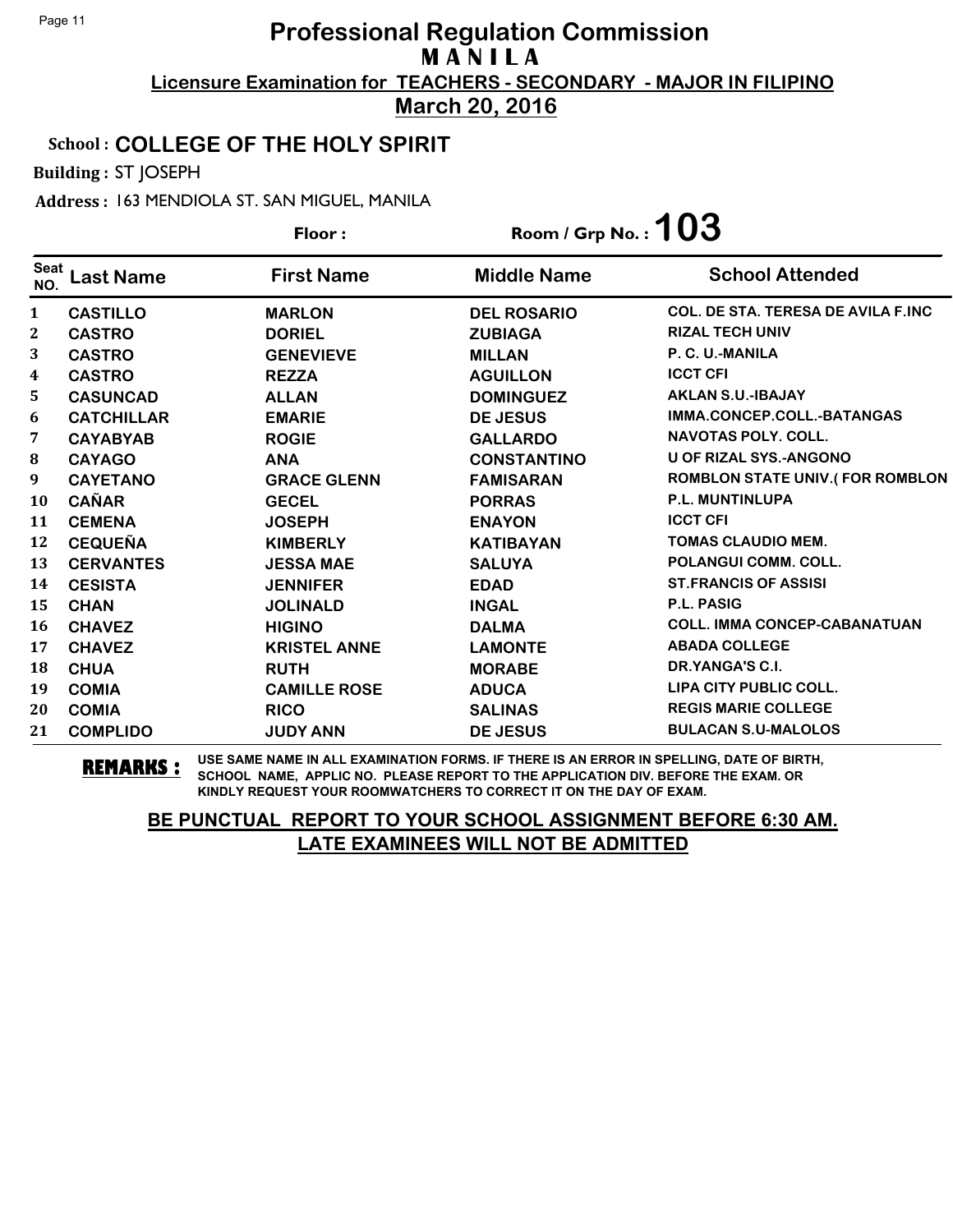### School : **COLLEGE OF THE HOLY SPIRIT**

Building : ST JOSEPH

Address : 163 MENDIOLA ST. SAN MIGUEL, MANILA

|                    |                   | Floor:              | Room / Grp No.: $103$ |                                           |
|--------------------|-------------------|---------------------|-----------------------|-------------------------------------------|
| <b>Seat</b><br>NO. | Last Name         | <b>First Name</b>   | <b>Middle Name</b>    | <b>School Attended</b>                    |
| 1                  | <b>CASTILLO</b>   | <b>MARLON</b>       | <b>DEL ROSARIO</b>    | <b>COL. DE STA. TERESA DE AVILA F.INC</b> |
| 2                  | <b>CASTRO</b>     | <b>DORIEL</b>       | <b>ZUBIAGA</b>        | <b>RIZAL TECH UNIV</b>                    |
| 3                  | <b>CASTRO</b>     | <b>GENEVIEVE</b>    | <b>MILLAN</b>         | P. C. U.-MANILA                           |
| 4                  | <b>CASTRO</b>     | <b>REZZA</b>        | <b>AGUILLON</b>       | <b>ICCT CFI</b>                           |
| 5.                 | <b>CASUNCAD</b>   | <b>ALLAN</b>        | <b>DOMINGUEZ</b>      | <b>AKLAN S.U.-IBAJAY</b>                  |
| 6                  | <b>CATCHILLAR</b> | <b>EMARIE</b>       | <b>DE JESUS</b>       | IMMA.CONCEP.COLL.-BATANGAS                |
| 7                  | <b>CAYABYAB</b>   | <b>ROGIE</b>        | <b>GALLARDO</b>       | <b>NAVOTAS POLY, COLL.</b>                |
| 8                  | <b>CAYAGO</b>     | <b>ANA</b>          | <b>CONSTANTINO</b>    | <b>U OF RIZAL SYS.-ANGONO</b>             |
| 9                  | <b>CAYETANO</b>   | <b>GRACE GLENN</b>  | <b>FAMISARAN</b>      | <b>ROMBLON STATE UNIV.(FOR ROMBLON</b>    |
| 10                 | <b>CAÑAR</b>      | <b>GECEL</b>        | <b>PORRAS</b>         | <b>P.L. MUNTINLUPA</b>                    |
| 11                 | <b>CEMENA</b>     | <b>JOSEPH</b>       | <b>ENAYON</b>         | <b>ICCT CFI</b>                           |
| 12                 | <b>CEQUEÑA</b>    | <b>KIMBERLY</b>     | <b>KATIBAYAN</b>      | <b>TOMAS CLAUDIO MEM.</b>                 |
| 13                 | <b>CERVANTES</b>  | <b>JESSA MAE</b>    | <b>SALUYA</b>         | <b>POLANGUI COMM. COLL.</b>               |
| 14                 | <b>CESISTA</b>    | <b>JENNIFER</b>     | <b>EDAD</b>           | <b>ST.FRANCIS OF ASSISI</b>               |
| 15                 | <b>CHAN</b>       | <b>JOLINALD</b>     | <b>INGAL</b>          | <b>P.L. PASIG</b>                         |
| 16                 | <b>CHAVEZ</b>     | <b>HIGINO</b>       | <b>DALMA</b>          | <b>COLL. IMMA CONCEP-CABANATUAN</b>       |
| 17                 | <b>CHAVEZ</b>     | <b>KRISTEL ANNE</b> | <b>LAMONTE</b>        | <b>ABADA COLLEGE</b>                      |
| 18                 | <b>CHUA</b>       | <b>RUTH</b>         | <b>MORABE</b>         | DR.YANGA'S C.I.                           |
| 19                 | <b>COMIA</b>      | <b>CAMILLE ROSE</b> | <b>ADUCA</b>          | LIPA CITY PUBLIC COLL.                    |
| 20                 | <b>COMIA</b>      | <b>RICO</b>         | <b>SALINAS</b>        | <b>REGIS MARIE COLLEGE</b>                |
| 21                 | <b>COMPLIDO</b>   | <b>JUDY ANN</b>     | <b>DE JESUS</b>       | <b>BULACAN S.U-MALOLOS</b>                |

**REMARKS :** USE SAME NAME IN ALL EXAMINATION FORMS. IF THERE IS AN ERROR IN SPELLING, DATE OF BIRTH, SCHOOL NAME, APPLIC NO. PLEASE REPORT TO THE APPLICATION DIV. BEFORE THE EXAM. OR KINDLY REQUEST YOUR ROOMWATCHERS TO CORRECT IT ON THE DAY OF EXAM.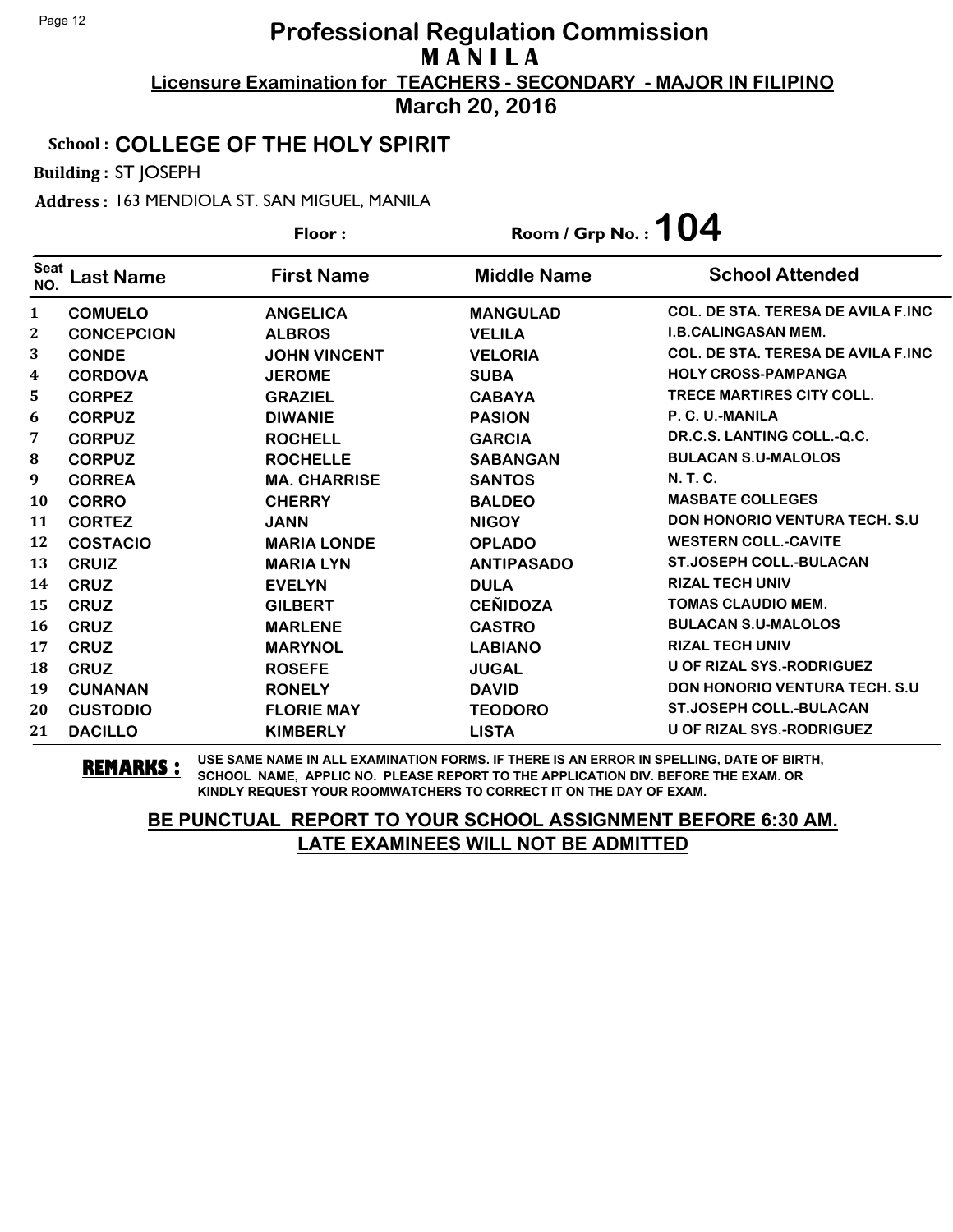#### School : **COLLEGE OF THE HOLY SPIRIT**

Building : ST JOSEPH

Address : 163 MENDIOLA ST. SAN MIGUEL, MANILA

**Last Name First Name Middle Name** Floor : Room / Grp No. :**104** Seat <sup>seat</sup> Last Name First Name Middle Name School Attended **COMUELO ANGELICA MANGULAD COL. DE STA. TERESA DE AVILA F.INC CONCEPCION ALBROS VELILA I.B.CALINGASAN MEM. CONDE JOHN VINCENT VELORIA COL. DE STA. TERESA DE AVILA F.INC CORDOVA JEROME SUBA HOLY CROSS-PAMPANGA CORPEZ GRAZIEL CABAYA TRECE MARTIRES CITY COLL. CORPUZ DIWANIE PASION P. C. U.-MANILA CORPUZ ROCHELL GARCIA DR.C.S. LANTING COLL.-Q.C. CORPUZ ROCHELLE SABANGAN BULACAN S.U-MALOLOS CORREA MA. CHARRISE SANTOS N. T. C. CORRO CHERRY BALDEO MASBATE COLLEGES CORTEZ JANN NIGOY DON HONORIO VENTURA TECH. S.U COSTACIO MARIA LONDE OPLADO WESTERN COLL.-CAVITE CRUIZ MARIA LYN ANTIPASADO ST.JOSEPH COLL.-BULACAN CRUZ EVELYN DULA RIZAL TECH UNIV CRUZ GILBERT CEÑIDOZA TOMAS CLAUDIO MEM. CRUZ MARLENE CASTRO BULACAN S.U-MALOLOS CRUZ MARYNOL LABIANO RIZAL TECH UNIV CRUZ ROSEFE JUGAL U OF RIZAL SYS.-RODRIGUEZ CUNANAN RONELY DAVID DON HONORIO VENTURA TECH. S.U CUSTODIO FLORIE MAY TEODORO ST.JOSEPH COLL.-BULACAN DACILLO KIMBERLY LISTA U OF RIZAL SYS.-RODRIGUEZ**

**REMARKS :** USE SAME NAME IN ALL EXAMINATION FORMS. IF THERE IS AN ERROR IN SPELLING, DATE OF BIRTH, SCHOOL NAME, APPLIC NO. PLEASE REPORT TO THE APPLICATION DIV. BEFORE THE EXAM. OR KINDLY REQUEST YOUR ROOMWATCHERS TO CORRECT IT ON THE DAY OF EXAM.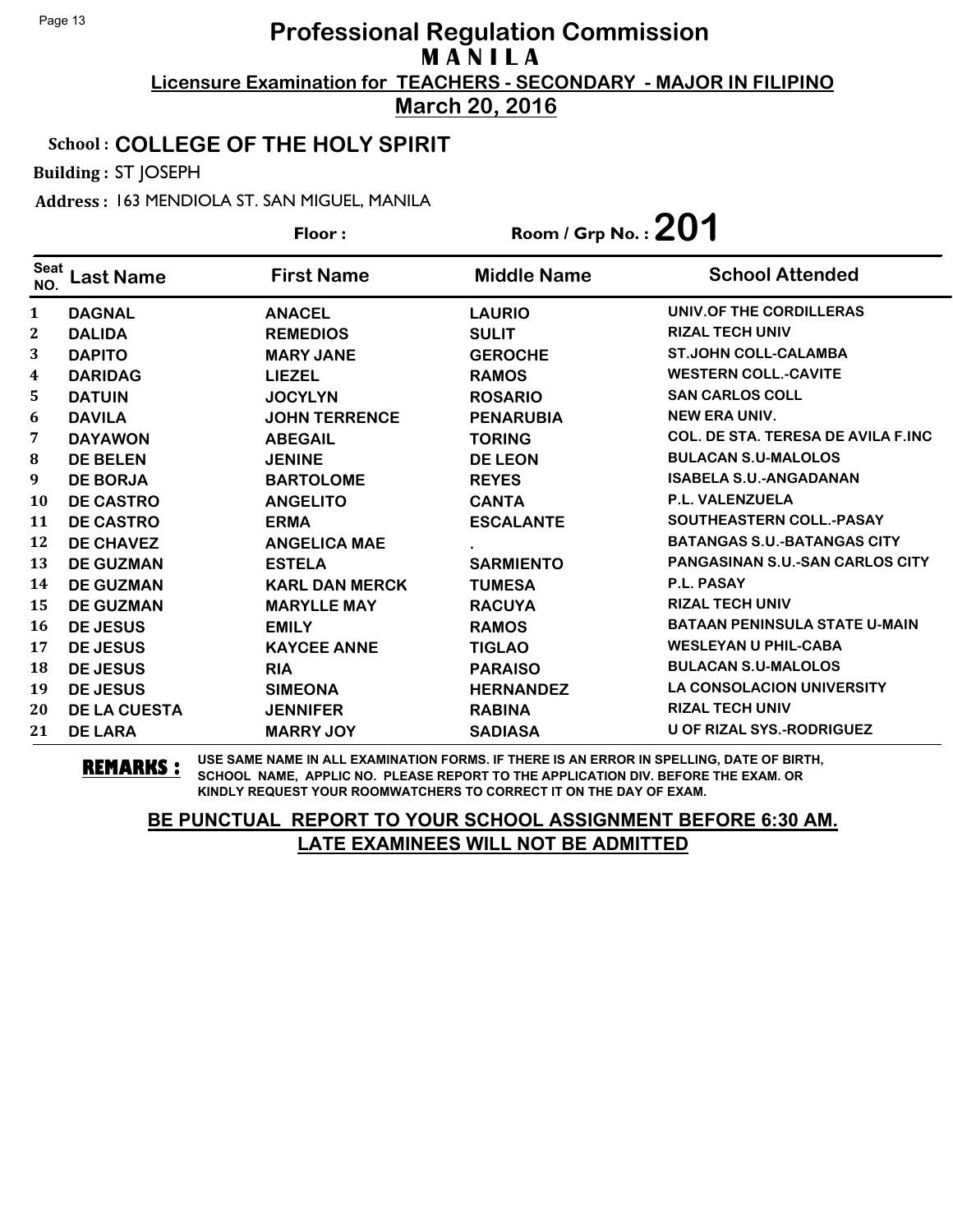### School : **COLLEGE OF THE HOLY SPIRIT**

Building : ST JOSEPH

Address : 163 MENDIOLA ST. SAN MIGUEL, MANILA

|                    |                     | Floor:                | Room / Grp No.: $201$ |                                           |
|--------------------|---------------------|-----------------------|-----------------------|-------------------------------------------|
| <b>Seat</b><br>NO. | Last Name           | <b>First Name</b>     | <b>Middle Name</b>    | <b>School Attended</b>                    |
| 1                  | <b>DAGNAL</b>       | <b>ANACEL</b>         | <b>LAURIO</b>         | UNIV.OF THE CORDILLERAS                   |
| 2                  | <b>DALIDA</b>       | <b>REMEDIOS</b>       | <b>SULIT</b>          | <b>RIZAL TECH UNIV</b>                    |
| 3                  | <b>DAPITO</b>       | <b>MARY JANE</b>      | <b>GEROCHE</b>        | <b>ST.JOHN COLL-CALAMBA</b>               |
| 4                  | <b>DARIDAG</b>      | <b>LIEZEL</b>         | <b>RAMOS</b>          | <b>WESTERN COLL.-CAVITE</b>               |
| 5                  | <b>DATUIN</b>       | <b>JOCYLYN</b>        | <b>ROSARIO</b>        | <b>SAN CARLOS COLL</b>                    |
| 6                  | <b>DAVILA</b>       | <b>JOHN TERRENCE</b>  | <b>PENARUBIA</b>      | <b>NEW ERA UNIV.</b>                      |
| 7                  | <b>DAYAWON</b>      | <b>ABEGAIL</b>        | <b>TORING</b>         | <b>COL. DE STA. TERESA DE AVILA F.INC</b> |
| 8                  | <b>DE BELEN</b>     | <b>JENINE</b>         | <b>DE LEON</b>        | <b>BULACAN S.U-MALOLOS</b>                |
| 9                  | <b>DE BORJA</b>     | <b>BARTOLOME</b>      | <b>REYES</b>          | <b>ISABELA S.U.-ANGADANAN</b>             |
| <b>10</b>          | <b>DE CASTRO</b>    | <b>ANGELITO</b>       | <b>CANTA</b>          | <b>P.L. VALENZUELA</b>                    |
| 11                 | <b>DE CASTRO</b>    | <b>ERMA</b>           | <b>ESCALANTE</b>      | SOUTHEASTERN COLL.-PASAY                  |
| 12                 | <b>DE CHAVEZ</b>    | <b>ANGELICA MAE</b>   |                       | <b>BATANGAS S.U.-BATANGAS CITY</b>        |
| 13                 | <b>DE GUZMAN</b>    | <b>ESTELA</b>         | <b>SARMIENTO</b>      | <b>PANGASINAN S.U.-SAN CARLOS CITY</b>    |
| 14                 | <b>DE GUZMAN</b>    | <b>KARL DAN MERCK</b> | <b>TUMESA</b>         | <b>P.L. PASAY</b>                         |
| 15                 | <b>DE GUZMAN</b>    | <b>MARYLLE MAY</b>    | <b>RACUYA</b>         | <b>RIZAL TECH UNIV</b>                    |
| 16                 | <b>DE JESUS</b>     | <b>EMILY</b>          | <b>RAMOS</b>          | <b>BATAAN PENINSULA STATE U-MAIN</b>      |
| 17                 | <b>DE JESUS</b>     | <b>KAYCEE ANNE</b>    | <b>TIGLAO</b>         | <b>WESLEYAN U PHIL-CABA</b>               |
| 18                 | <b>DE JESUS</b>     | <b>RIA</b>            | <b>PARAISO</b>        | <b>BULACAN S.U-MALOLOS</b>                |
| 19                 | <b>DE JESUS</b>     | <b>SIMEONA</b>        | <b>HERNANDEZ</b>      | <b>LA CONSOLACION UNIVERSITY</b>          |
| 20                 | <b>DE LA CUESTA</b> | <b>JENNIFER</b>       | <b>RABINA</b>         | <b>RIZAL TECH UNIV</b>                    |
| 21                 | <b>DE LARA</b>      | <b>MARRY JOY</b>      | <b>SADIASA</b>        | <b>U OF RIZAL SYS.-RODRIGUEZ</b>          |

**REMARKS :** USE SAME NAME IN ALL EXAMINATION FORMS. IF THERE IS AN ERROR IN SPELLING, DATE OF BIRTH, SCHOOL NAME, APPLIC NO. PLEASE REPORT TO THE APPLICATION DIV. BEFORE THE EXAM. OR KINDLY REQUEST YOUR ROOMWATCHERS TO CORRECT IT ON THE DAY OF EXAM.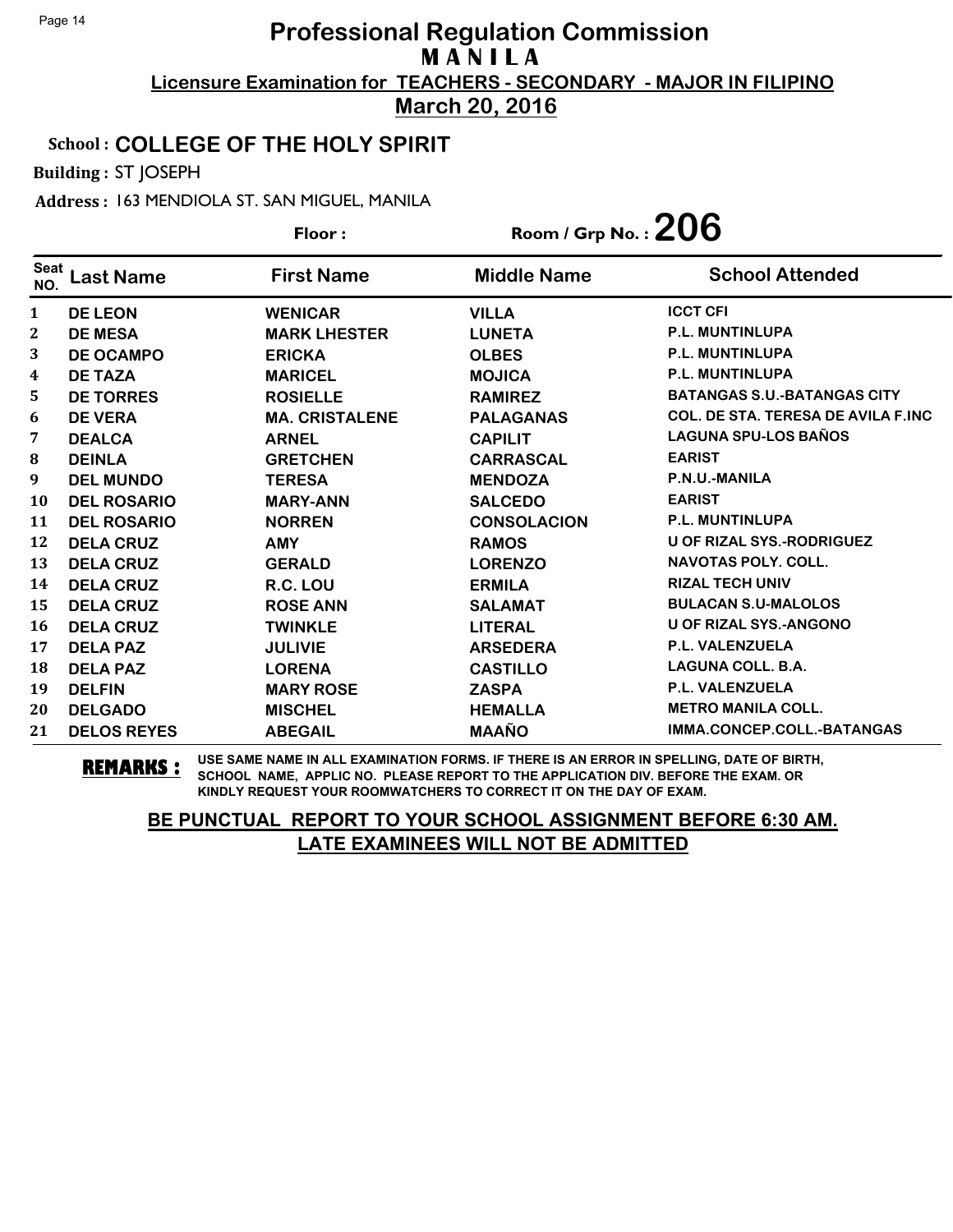#### School : **COLLEGE OF THE HOLY SPIRIT**

Building : ST JOSEPH

Address : 163 MENDIOLA ST. SAN MIGUEL, MANILA

|                    |                    | Floor:                | Room / Grp No.: $206$ |                                           |
|--------------------|--------------------|-----------------------|-----------------------|-------------------------------------------|
| <b>Seat</b><br>NO. | <b>Last Name</b>   | <b>First Name</b>     | <b>Middle Name</b>    | <b>School Attended</b>                    |
| 1                  | <b>DE LEON</b>     | <b>WENICAR</b>        | <b>VILLA</b>          | <b>ICCT CFI</b>                           |
| 2                  | <b>DE MESA</b>     | <b>MARK LHESTER</b>   | <b>LUNETA</b>         | <b>P.L. MUNTINLUPA</b>                    |
| 3                  | <b>DE OCAMPO</b>   | <b>ERICKA</b>         | <b>OLBES</b>          | P.L. MUNTINLUPA                           |
| 4                  | <b>DE TAZA</b>     | <b>MARICEL</b>        | <b>MOJICA</b>         | <b>P.L. MUNTINLUPA</b>                    |
| 5                  | <b>DE TORRES</b>   | <b>ROSIELLE</b>       | <b>RAMIREZ</b>        | <b>BATANGAS S.U.-BATANGAS CITY</b>        |
| 6                  | <b>DE VERA</b>     | <b>MA. CRISTALENE</b> | <b>PALAGANAS</b>      | <b>COL. DE STA. TERESA DE AVILA F.INC</b> |
| 7                  | <b>DEALCA</b>      | <b>ARNEL</b>          | <b>CAPILIT</b>        | <b>LAGUNA SPU-LOS BAÑOS</b>               |
| 8                  | <b>DEINLA</b>      | <b>GRETCHEN</b>       | <b>CARRASCAL</b>      | <b>EARIST</b>                             |
| 9                  | <b>DEL MUNDO</b>   | <b>TERESA</b>         | <b>MENDOZA</b>        | P.N.U.-MANILA                             |
| 10                 | <b>DEL ROSARIO</b> | <b>MARY-ANN</b>       | <b>SALCEDO</b>        | <b>EARIST</b>                             |
| 11                 | <b>DEL ROSARIO</b> | <b>NORREN</b>         | <b>CONSOLACION</b>    | <b>P.L. MUNTINLUPA</b>                    |
| 12                 | <b>DELA CRUZ</b>   | <b>AMY</b>            | <b>RAMOS</b>          | <b>U OF RIZAL SYS.-RODRIGUEZ</b>          |
| 13                 | <b>DELA CRUZ</b>   | <b>GERALD</b>         | <b>LORENZO</b>        | <b>NAVOTAS POLY, COLL.</b>                |
| 14                 | <b>DELA CRUZ</b>   | R.C. LOU              | <b>ERMILA</b>         | <b>RIZAL TECH UNIV</b>                    |
| 15                 | <b>DELA CRUZ</b>   | <b>ROSE ANN</b>       | <b>SALAMAT</b>        | <b>BULACAN S.U-MALOLOS</b>                |
| 16                 | <b>DELA CRUZ</b>   | <b>TWINKLE</b>        | <b>LITERAL</b>        | <b>U OF RIZAL SYS.-ANGONO</b>             |
| 17                 | <b>DELA PAZ</b>    | <b>JULIVIE</b>        | <b>ARSEDERA</b>       | <b>P.L. VALENZUELA</b>                    |
| 18                 | <b>DELA PAZ</b>    | <b>LORENA</b>         | <b>CASTILLO</b>       | <b>LAGUNA COLL. B.A.</b>                  |
| 19                 | <b>DELFIN</b>      | <b>MARY ROSE</b>      | <b>ZASPA</b>          | <b>P.L. VALENZUELA</b>                    |
| 20                 | <b>DELGADO</b>     | <b>MISCHEL</b>        | <b>HEMALLA</b>        | <b>METRO MANILA COLL.</b>                 |
| 21                 | <b>DELOS REYES</b> | <b>ABEGAIL</b>        | <b>MAAÑO</b>          | IMMA.CONCEP.COLL.-BATANGAS                |

**REMARKS :** USE SAME NAME IN ALL EXAMINATION FORMS. IF THERE IS AN ERROR IN SPELLING, DATE OF BIRTH, SCHOOL NAME, APPLIC NO. PLEASE REPORT TO THE APPLICATION DIV. BEFORE THE EXAM. OR KINDLY REQUEST YOUR ROOMWATCHERS TO CORRECT IT ON THE DAY OF EXAM.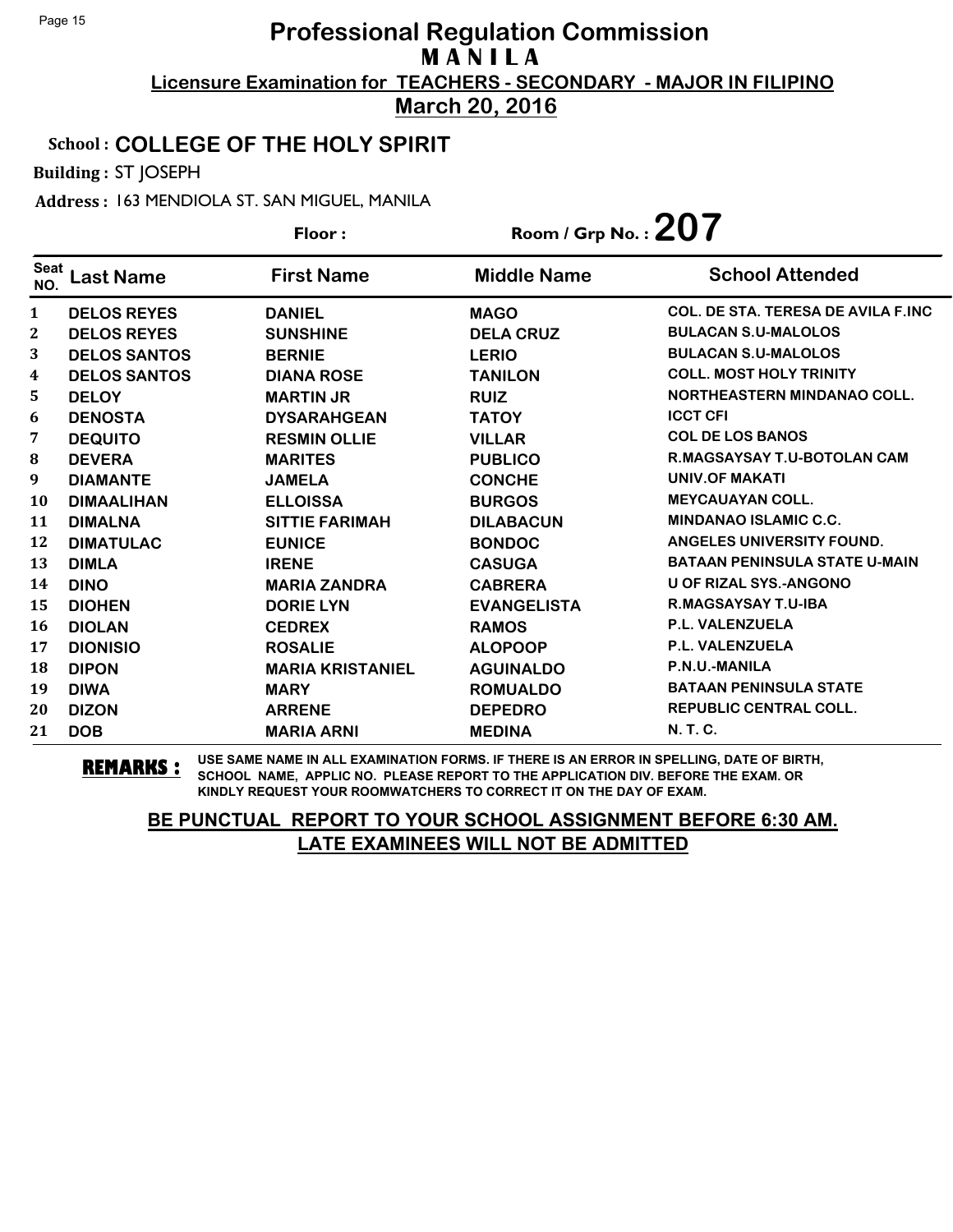#### School : **COLLEGE OF THE HOLY SPIRIT**

Building : ST JOSEPH

Address : 163 MENDIOLA ST. SAN MIGUEL, MANILA

|                    |                     | Floor:                  | Room / Grp No.: $207$ |                                      |
|--------------------|---------------------|-------------------------|-----------------------|--------------------------------------|
| <b>Seat</b><br>NO. | <b>Last Name</b>    | <b>First Name</b>       | <b>Middle Name</b>    | <b>School Attended</b>               |
| 1                  | <b>DELOS REYES</b>  | <b>DANIEL</b>           | <b>MAGO</b>           | COL. DE STA. TERESA DE AVILA F.INC.  |
| 2                  | <b>DELOS REYES</b>  | <b>SUNSHINE</b>         | <b>DELA CRUZ</b>      | <b>BULACAN S.U-MALOLOS</b>           |
| 3                  | <b>DELOS SANTOS</b> | <b>BERNIE</b>           | <b>LERIO</b>          | <b>BULACAN S.U-MALOLOS</b>           |
| 4                  | <b>DELOS SANTOS</b> | <b>DIANA ROSE</b>       | <b>TANILON</b>        | <b>COLL. MOST HOLY TRINITY</b>       |
| 5                  | <b>DELOY</b>        | <b>MARTIN JR</b>        | <b>RUIZ</b>           | <b>NORTHEASTERN MINDANAO COLL.</b>   |
| 6                  | <b>DENOSTA</b>      | <b>DYSARAHGEAN</b>      | <b>TATOY</b>          | <b>ICCT CFI</b>                      |
| 7                  | <b>DEQUITO</b>      | <b>RESMIN OLLIE</b>     | <b>VILLAR</b>         | <b>COL DE LOS BANOS</b>              |
| 8                  | <b>DEVERA</b>       | <b>MARITES</b>          | <b>PUBLICO</b>        | <b>R.MAGSAYSAY T.U-BOTOLAN CAM</b>   |
| 9                  | <b>DIAMANTE</b>     | <b>JAMELA</b>           | <b>CONCHE</b>         | UNIV.OF MAKATI                       |
| 10                 | <b>DIMAALIHAN</b>   | <b>ELLOISSA</b>         | <b>BURGOS</b>         | <b>MEYCAUAYAN COLL.</b>              |
| 11                 | <b>DIMALNA</b>      | <b>SITTIE FARIMAH</b>   | <b>DILABACUN</b>      | <b>MINDANAO ISLAMIC C.C.</b>         |
| 12                 | <b>DIMATULAC</b>    | <b>EUNICE</b>           | <b>BONDOC</b>         | ANGELES UNIVERSITY FOUND.            |
| 13                 | <b>DIMLA</b>        | <b>IRENE</b>            | <b>CASUGA</b>         | <b>BATAAN PENINSULA STATE U-MAIN</b> |
| 14                 | <b>DINO</b>         | <b>MARIA ZANDRA</b>     | <b>CABRERA</b>        | <b>U OF RIZAL SYS.-ANGONO</b>        |
| 15                 | <b>DIOHEN</b>       | <b>DORIE LYN</b>        | <b>EVANGELISTA</b>    | R.MAGSAYSAY T.U-IBA                  |
| 16                 | <b>DIOLAN</b>       | <b>CEDREX</b>           | <b>RAMOS</b>          | <b>P.L. VALENZUELA</b>               |
| 17                 | <b>DIONISIO</b>     | <b>ROSALIE</b>          | <b>ALOPOOP</b>        | <b>P.L. VALENZUELA</b>               |
| 18                 | <b>DIPON</b>        | <b>MARIA KRISTANIEL</b> | <b>AGUINALDO</b>      | P.N.U.-MANILA                        |
| 19                 | <b>DIWA</b>         | <b>MARY</b>             | <b>ROMUALDO</b>       | <b>BATAAN PENINSULA STATE</b>        |
| 20                 | <b>DIZON</b>        | <b>ARRENE</b>           | <b>DEPEDRO</b>        | <b>REPUBLIC CENTRAL COLL.</b>        |
| 21                 | <b>DOB</b>          | <b>MARIA ARNI</b>       | <b>MEDINA</b>         | <b>N.T.C.</b>                        |

**REMARKS :** USE SAME NAME IN ALL EXAMINATION FORMS. IF THERE IS AN ERROR IN SPELLING, DATE OF BIRTH, SCHOOL NAME, APPLIC NO. PLEASE REPORT TO THE APPLICATION DIV. BEFORE THE EXAM. OR KINDLY REQUEST YOUR ROOMWATCHERS TO CORRECT IT ON THE DAY OF EXAM.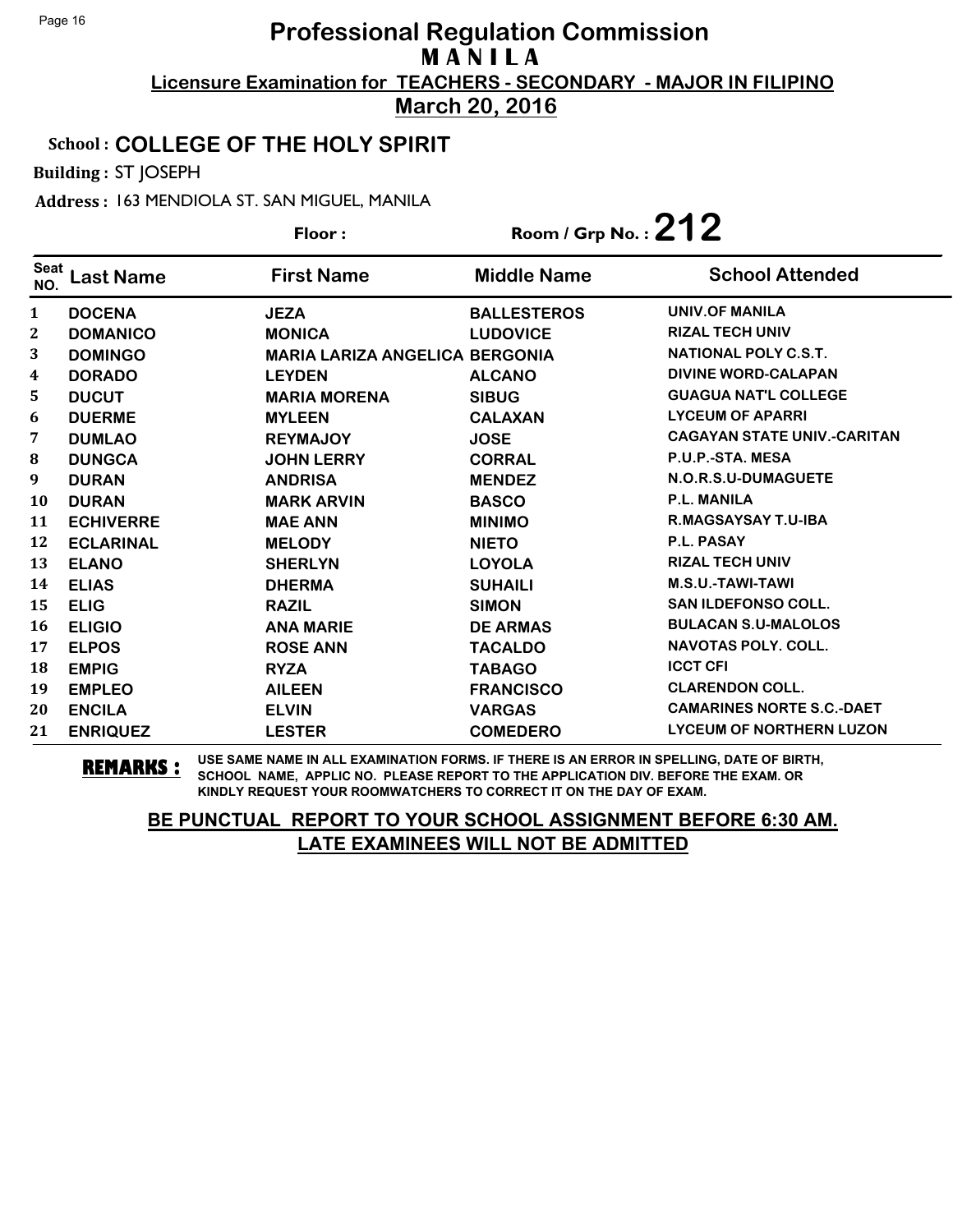#### School : **COLLEGE OF THE HOLY SPIRIT**

Building : ST JOSEPH

Address : 163 MENDIOLA ST. SAN MIGUEL, MANILA

|                    |                  | Floor:                                | Room / Grp No.: $212$ |                                    |
|--------------------|------------------|---------------------------------------|-----------------------|------------------------------------|
| <b>Seat</b><br>NO. | <b>Last Name</b> | <b>First Name</b>                     | <b>Middle Name</b>    | <b>School Attended</b>             |
| $\mathbf{1}$       | <b>DOCENA</b>    | <b>JEZA</b>                           | <b>BALLESTEROS</b>    | <b>UNIV.OF MANILA</b>              |
| $\boldsymbol{2}$   | <b>DOMANICO</b>  | <b>MONICA</b>                         | <b>LUDOVICE</b>       | <b>RIZAL TECH UNIV</b>             |
| 3                  | <b>DOMINGO</b>   | <b>MARIA LARIZA ANGELICA BERGONIA</b> |                       | NATIONAL POLY C.S.T.               |
| 4                  | <b>DORADO</b>    | <b>LEYDEN</b>                         | <b>ALCANO</b>         | <b>DIVINE WORD-CALAPAN</b>         |
| 5                  | <b>DUCUT</b>     | <b>MARIA MORENA</b>                   | <b>SIBUG</b>          | <b>GUAGUA NAT'L COLLEGE</b>        |
| 6                  | <b>DUERME</b>    | <b>MYLEEN</b>                         | <b>CALAXAN</b>        | <b>LYCEUM OF APARRI</b>            |
| 7                  | <b>DUMLAO</b>    | <b>REYMAJOY</b>                       | <b>JOSE</b>           | <b>CAGAYAN STATE UNIV.-CARITAN</b> |
| 8                  | <b>DUNGCA</b>    | <b>JOHN LERRY</b>                     | <b>CORRAL</b>         | P.U.P.-STA. MESA                   |
| 9                  | <b>DURAN</b>     | <b>ANDRISA</b>                        | <b>MENDEZ</b>         | N.O.R.S.U-DUMAGUETE                |
| 10                 | <b>DURAN</b>     | <b>MARK ARVIN</b>                     | <b>BASCO</b>          | <b>P.L. MANILA</b>                 |
| 11                 | <b>ECHIVERRE</b> | <b>MAE ANN</b>                        | <b>MINIMO</b>         | <b>R.MAGSAYSAY T.U-IBA</b>         |
| 12                 | <b>ECLARINAL</b> | <b>MELODY</b>                         | <b>NIETO</b>          | P.L. PASAY                         |
| 13                 | <b>ELANO</b>     | <b>SHERLYN</b>                        | <b>LOYOLA</b>         | <b>RIZAL TECH UNIV</b>             |
| 14                 | <b>ELIAS</b>     | <b>DHERMA</b>                         | <b>SUHAILI</b>        | M.S.U.-TAWI-TAWI                   |
| 15                 | <b>ELIG</b>      | <b>RAZIL</b>                          | <b>SIMON</b>          | <b>SAN ILDEFONSO COLL.</b>         |
| 16                 | <b>ELIGIO</b>    | <b>ANA MARIE</b>                      | <b>DE ARMAS</b>       | <b>BULACAN S.U-MALOLOS</b>         |
| 17                 | <b>ELPOS</b>     | <b>ROSE ANN</b>                       | <b>TACALDO</b>        | <b>NAVOTAS POLY. COLL.</b>         |
| 18                 | <b>EMPIG</b>     | <b>RYZA</b>                           | <b>TABAGO</b>         | <b>ICCT CFI</b>                    |
| 19                 | <b>EMPLEO</b>    | <b>AILEEN</b>                         | <b>FRANCISCO</b>      | <b>CLARENDON COLL.</b>             |
| 20                 | <b>ENCILA</b>    | <b>ELVIN</b>                          | <b>VARGAS</b>         | <b>CAMARINES NORTE S.C.-DAET</b>   |
| 21                 | <b>ENRIQUEZ</b>  | <b>LESTER</b>                         | <b>COMEDERO</b>       | <b>LYCEUM OF NORTHERN LUZON</b>    |

**REMARKS :** USE SAME NAME IN ALL EXAMINATION FORMS. IF THERE IS AN ERROR IN SPELLING, DATE OF BIRTH, SCHOOL NAME, APPLIC NO. PLEASE REPORT TO THE APPLICATION DIV. BEFORE THE EXAM. OR KINDLY REQUEST YOUR ROOMWATCHERS TO CORRECT IT ON THE DAY OF EXAM.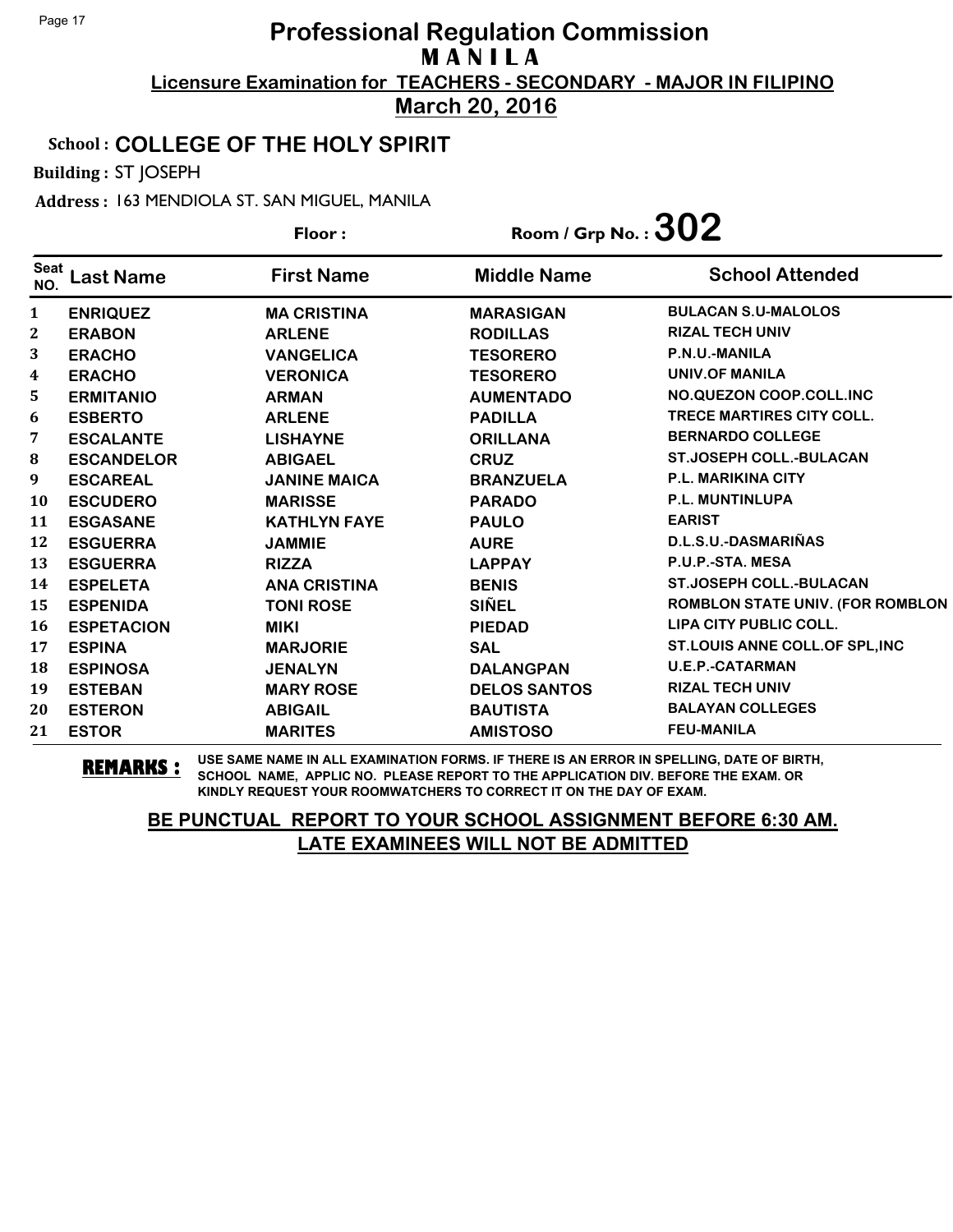### School : **COLLEGE OF THE HOLY SPIRIT**

Building : ST JOSEPH

Address : 163 MENDIOLA ST. SAN MIGUEL, MANILA

|                    |                   | Floor:              | Room / Grp No. : $302$ |                                  |
|--------------------|-------------------|---------------------|------------------------|----------------------------------|
| <b>Seat</b><br>NO. | <b>Last Name</b>  | <b>First Name</b>   | <b>Middle Name</b>     | <b>School Attended</b>           |
| $\mathbf{1}$       | <b>ENRIQUEZ</b>   | <b>MA CRISTINA</b>  | <b>MARASIGAN</b>       | <b>BULACAN S.U-MALOLOS</b>       |
| $\mathbf{2}$       | <b>ERABON</b>     | <b>ARLENE</b>       | <b>RODILLAS</b>        | <b>RIZAL TECH UNIV</b>           |
| 3                  | <b>ERACHO</b>     | <b>VANGELICA</b>    | <b>TESORERO</b>        | P.N.U.-MANILA                    |
| 4                  | <b>ERACHO</b>     | <b>VERONICA</b>     | <b>TESORERO</b>        | <b>UNIV.OF MANILA</b>            |
| 5                  | <b>ERMITANIO</b>  | <b>ARMAN</b>        | <b>AUMENTADO</b>       | NO.QUEZON COOP.COLL.INC          |
| 6                  | <b>ESBERTO</b>    | <b>ARLENE</b>       | <b>PADILLA</b>         | <b>TRECE MARTIRES CITY COLL.</b> |
| 7                  | <b>ESCALANTE</b>  | <b>LISHAYNE</b>     | <b>ORILLANA</b>        | <b>BERNARDO COLLEGE</b>          |
| 8                  | <b>ESCANDELOR</b> | <b>ABIGAEL</b>      | <b>CRUZ</b>            | ST.JOSEPH COLL.-BULACAN          |
| 9                  | <b>ESCAREAL</b>   | <b>JANINE MAICA</b> | <b>BRANZUELA</b>       | <b>P.L. MARIKINA CITY</b>        |
| <b>10</b>          | <b>ESCUDERO</b>   | <b>MARISSE</b>      | <b>PARADO</b>          | <b>P.L. MUNTINLUPA</b>           |
| 11                 | <b>ESGASANE</b>   | <b>KATHLYN FAYE</b> | <b>PAULO</b>           | <b>EARIST</b>                    |
| 12                 | <b>ESGUERRA</b>   | <b>JAMMIE</b>       | <b>AURE</b>            | D.L.S.U.-DASMARIÑAS              |
| 13                 | <b>ESGUERRA</b>   | <b>RIZZA</b>        | <b>LAPPAY</b>          | P.U.P.-STA. MESA                 |
| 14                 | <b>ESPELETA</b>   | <b>ANA CRISTINA</b> | <b>BENIS</b>           | <b>ST.JOSEPH COLL.-BULACAN</b>   |
| 15                 | <b>ESPENIDA</b>   | <b>TONI ROSE</b>    | <b>SIÑEL</b>           | ROMBLON STATE UNIV. (FOR ROMBLON |
| 16                 | <b>ESPETACION</b> | <b>MIKI</b>         | <b>PIEDAD</b>          | LIPA CITY PUBLIC COLL.           |
| 17                 | <b>ESPINA</b>     | <b>MARJORIE</b>     | <b>SAL</b>             | ST.LOUIS ANNE COLL. OF SPL, INC  |
| 18                 | <b>ESPINOSA</b>   | <b>JENALYN</b>      | <b>DALANGPAN</b>       | <b>U.E.P.-CATARMAN</b>           |
| 19                 | <b>ESTEBAN</b>    | <b>MARY ROSE</b>    | <b>DELOS SANTOS</b>    | <b>RIZAL TECH UNIV</b>           |
| 20                 | <b>ESTERON</b>    | <b>ABIGAIL</b>      | <b>BAUTISTA</b>        | <b>BALAYAN COLLEGES</b>          |
| 21                 | <b>ESTOR</b>      | <b>MARITES</b>      | <b>AMISTOSO</b>        | <b>FEU-MANILA</b>                |

**REMARKS :** USE SAME NAME IN ALL EXAMINATION FORMS. IF THERE IS AN ERROR IN SPELLING, DATE OF BIRTH, SCHOOL NAME, APPLIC NO. PLEASE REPORT TO THE APPLICATION DIV. BEFORE THE EXAM. OR KINDLY REQUEST YOUR ROOMWATCHERS TO CORRECT IT ON THE DAY OF EXAM.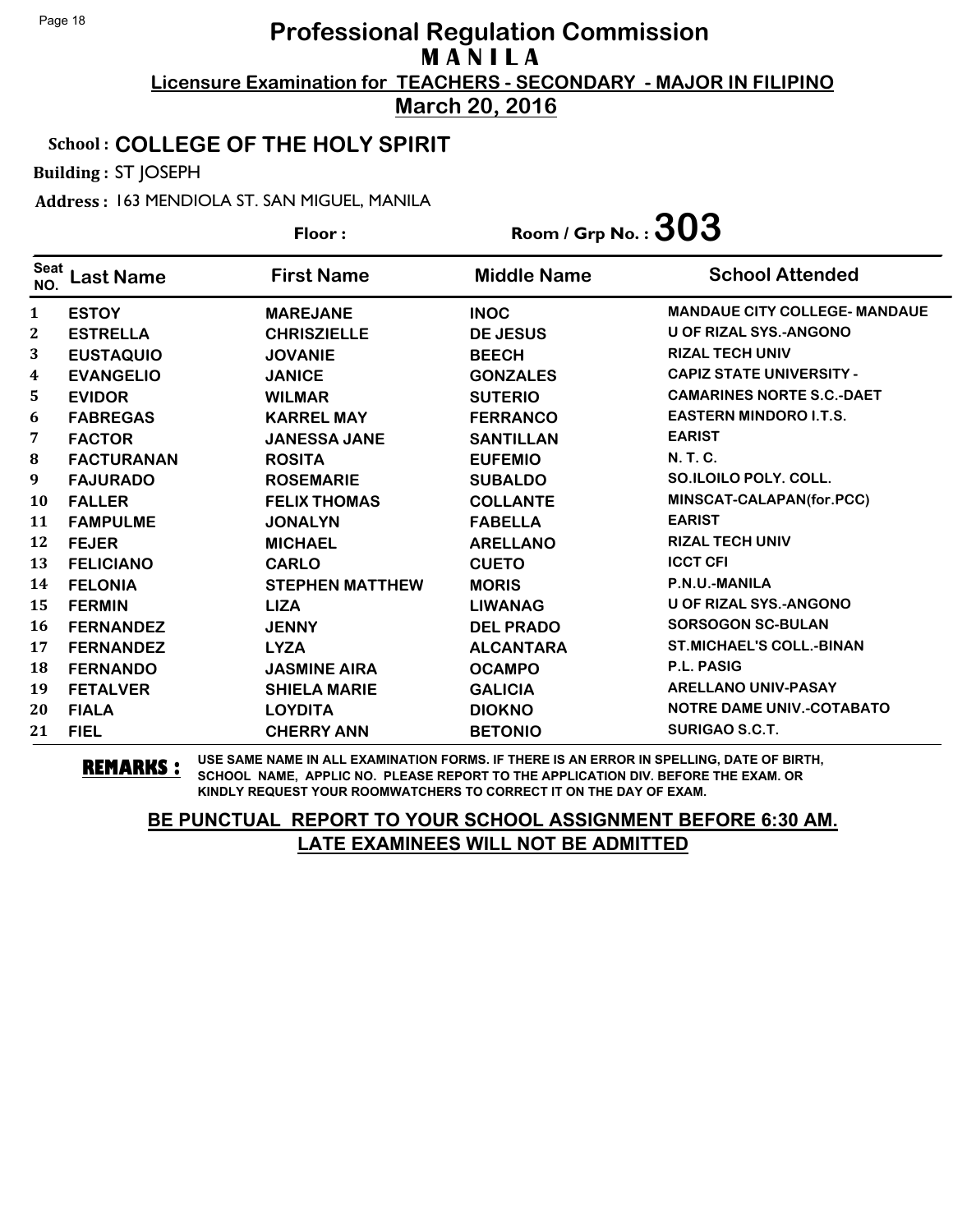#### School : **COLLEGE OF THE HOLY SPIRIT**

Building : ST JOSEPH

Address : 163 MENDIOLA ST. SAN MIGUEL, MANILA

|                    |                   | Floor:                 | Room / Grp No. : $303$ |                                      |
|--------------------|-------------------|------------------------|------------------------|--------------------------------------|
| <b>Seat</b><br>NO. | <b>Last Name</b>  | <b>First Name</b>      | <b>Middle Name</b>     | <b>School Attended</b>               |
| 1                  | <b>ESTOY</b>      | <b>MAREJANE</b>        | <b>INOC</b>            | <b>MANDAUE CITY COLLEGE- MANDAUE</b> |
| 2                  | <b>ESTRELLA</b>   | <b>CHRISZIELLE</b>     | <b>DE JESUS</b>        | <b>U OF RIZAL SYS.-ANGONO</b>        |
| 3                  | <b>EUSTAQUIO</b>  | <b>JOVANIE</b>         | <b>BEECH</b>           | <b>RIZAL TECH UNIV</b>               |
| 4                  | <b>EVANGELIO</b>  | <b>JANICE</b>          | <b>GONZALES</b>        | <b>CAPIZ STATE UNIVERSITY -</b>      |
| 5                  | <b>EVIDOR</b>     | <b>WILMAR</b>          | <b>SUTERIO</b>         | <b>CAMARINES NORTE S.C.-DAET</b>     |
| 6                  | <b>FABREGAS</b>   | <b>KARREL MAY</b>      | <b>FERRANCO</b>        | <b>EASTERN MINDORO I.T.S.</b>        |
| 7                  | <b>FACTOR</b>     | <b>JANESSA JANE</b>    | <b>SANTILLAN</b>       | <b>EARIST</b>                        |
| 8                  | <b>FACTURANAN</b> | <b>ROSITA</b>          | <b>EUFEMIO</b>         | N. T. C.                             |
| 9                  | <b>FAJURADO</b>   | <b>ROSEMARIE</b>       | <b>SUBALDO</b>         | SO.ILOILO POLY, COLL.                |
| 10                 | <b>FALLER</b>     | <b>FELIX THOMAS</b>    | <b>COLLANTE</b>        | MINSCAT-CALAPAN(for.PCC)             |
| 11                 | <b>FAMPULME</b>   | <b>JONALYN</b>         | <b>FABELLA</b>         | <b>EARIST</b>                        |
| 12                 | <b>FEJER</b>      | <b>MICHAEL</b>         | <b>ARELLANO</b>        | <b>RIZAL TECH UNIV</b>               |
| 13                 | <b>FELICIANO</b>  | <b>CARLO</b>           | <b>CUETO</b>           | <b>ICCT CFI</b>                      |
| 14                 | <b>FELONIA</b>    | <b>STEPHEN MATTHEW</b> | <b>MORIS</b>           | P.N.U.-MANILA                        |
| 15                 | <b>FERMIN</b>     | <b>LIZA</b>            | <b>LIWANAG</b>         | <b>U OF RIZAL SYS.-ANGONO</b>        |
| 16                 | <b>FERNANDEZ</b>  | <b>JENNY</b>           | <b>DEL PRADO</b>       | <b>SORSOGON SC-BULAN</b>             |
| 17                 | <b>FERNANDEZ</b>  | <b>LYZA</b>            | <b>ALCANTARA</b>       | <b>ST.MICHAEL'S COLL.-BINAN</b>      |
| 18                 | <b>FERNANDO</b>   | <b>JASMINE AIRA</b>    | <b>OCAMPO</b>          | <b>P.L. PASIG</b>                    |
| 19                 | <b>FETALVER</b>   | <b>SHIELA MARIE</b>    | <b>GALICIA</b>         | <b>ARELLANO UNIV-PASAY</b>           |
| 20                 | <b>FIALA</b>      | <b>LOYDITA</b>         | <b>DIOKNO</b>          | <b>NOTRE DAME UNIV.-COTABATO</b>     |
| 21                 | <b>FIEL</b>       | <b>CHERRY ANN</b>      | <b>BETONIO</b>         | SURIGAO S.C.T.                       |

**REMARKS :** USE SAME NAME IN ALL EXAMINATION FORMS. IF THERE IS AN ERROR IN SPELLING, DATE OF BIRTH, SCHOOL NAME, APPLIC NO. PLEASE REPORT TO THE APPLICATION DIV. BEFORE THE EXAM. OR KINDLY REQUEST YOUR ROOMWATCHERS TO CORRECT IT ON THE DAY OF EXAM.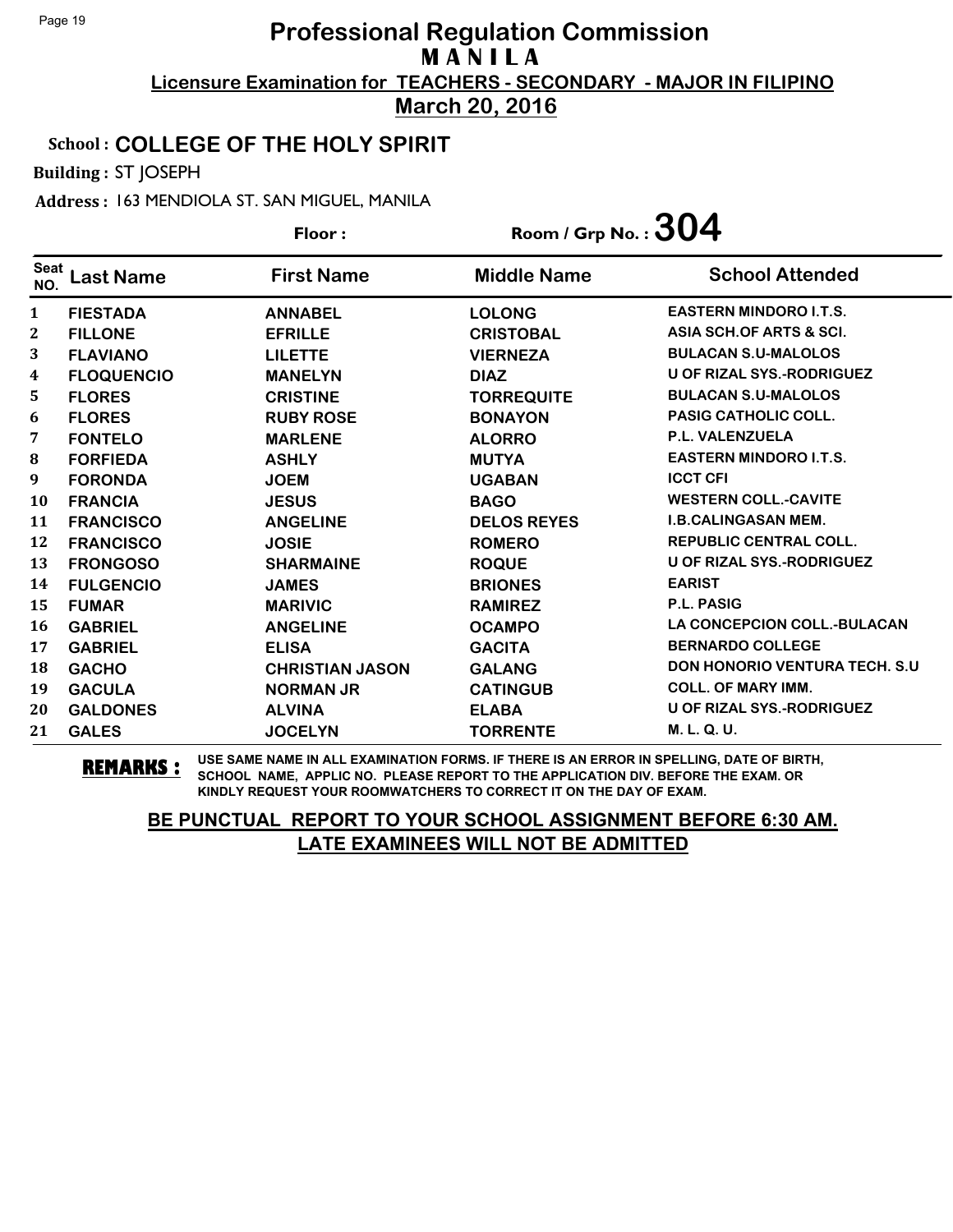#### School : **COLLEGE OF THE HOLY SPIRIT**

Building : ST JOSEPH

Address : 163 MENDIOLA ST. SAN MIGUEL, MANILA

|                    |                   | Floor:                 | Room / Grp No. : $304$ |                                       |
|--------------------|-------------------|------------------------|------------------------|---------------------------------------|
| <b>Seat</b><br>NO. | <b>Last Name</b>  | <b>First Name</b>      | <b>Middle Name</b>     | <b>School Attended</b>                |
| $\mathbf{1}$       | <b>FIESTADA</b>   | <b>ANNABEL</b>         | <b>LOLONG</b>          | <b>EASTERN MINDORO I.T.S.</b>         |
| $\mathbf{2}$       | <b>FILLONE</b>    | <b>EFRILLE</b>         | <b>CRISTOBAL</b>       | <b>ASIA SCH.OF ARTS &amp; SCI.</b>    |
| 3                  | <b>FLAVIANO</b>   | <b>LILETTE</b>         | <b>VIERNEZA</b>        | <b>BULACAN S.U-MALOLOS</b>            |
| 4                  | <b>FLOQUENCIO</b> | <b>MANELYN</b>         | <b>DIAZ</b>            | <b>U OF RIZAL SYS.-RODRIGUEZ</b>      |
| 5                  | <b>FLORES</b>     | <b>CRISTINE</b>        | <b>TORREQUITE</b>      | <b>BULACAN S.U-MALOLOS</b>            |
| 6                  | <b>FLORES</b>     | <b>RUBY ROSE</b>       | <b>BONAYON</b>         | <b>PASIG CATHOLIC COLL.</b>           |
| 7                  | <b>FONTELO</b>    | <b>MARLENE</b>         | <b>ALORRO</b>          | <b>P.L. VALENZUELA</b>                |
| 8                  | <b>FORFIEDA</b>   | <b>ASHLY</b>           | <b>MUTYA</b>           | <b>EASTERN MINDORO I.T.S.</b>         |
| 9                  | <b>FORONDA</b>    | <b>JOEM</b>            | <b>UGABAN</b>          | <b>ICCT CFI</b>                       |
| <b>10</b>          | <b>FRANCIA</b>    | <b>JESUS</b>           | <b>BAGO</b>            | <b>WESTERN COLL.-CAVITE</b>           |
| 11                 | <b>FRANCISCO</b>  | <b>ANGELINE</b>        | <b>DELOS REYES</b>     | <b>I.B.CALINGASAN MEM.</b>            |
| 12                 | <b>FRANCISCO</b>  | <b>JOSIE</b>           | <b>ROMERO</b>          | <b>REPUBLIC CENTRAL COLL.</b>         |
| 13                 | <b>FRONGOSO</b>   | <b>SHARMAINE</b>       | <b>ROQUE</b>           | <b>U OF RIZAL SYS.-RODRIGUEZ</b>      |
| 14                 | <b>FULGENCIO</b>  | <b>JAMES</b>           | <b>BRIONES</b>         | <b>EARIST</b>                         |
| 15                 | <b>FUMAR</b>      | <b>MARIVIC</b>         | <b>RAMIREZ</b>         | <b>P.L. PASIG</b>                     |
| 16                 | <b>GABRIEL</b>    | <b>ANGELINE</b>        | <b>OCAMPO</b>          | <b>LA CONCEPCION COLL.-BULACAN</b>    |
| 17                 | <b>GABRIEL</b>    | <b>ELISA</b>           | <b>GACITA</b>          | <b>BERNARDO COLLEGE</b>               |
| 18                 | <b>GACHO</b>      | <b>CHRISTIAN JASON</b> | <b>GALANG</b>          | <b>DON HONORIO VENTURA TECH. S.U.</b> |
| 19                 | <b>GACULA</b>     | <b>NORMAN JR</b>       | <b>CATINGUB</b>        | <b>COLL. OF MARY IMM.</b>             |
| 20                 | <b>GALDONES</b>   | <b>ALVINA</b>          | <b>ELABA</b>           | <b>U OF RIZAL SYS.-RODRIGUEZ</b>      |
| 21                 | <b>GALES</b>      | <b>JOCELYN</b>         | <b>TORRENTE</b>        | M. L. Q. U.                           |

**REMARKS :** USE SAME NAME IN ALL EXAMINATION FORMS. IF THERE IS AN ERROR IN SPELLING, DATE OF BIRTH, SCHOOL NAME, APPLIC NO. PLEASE REPORT TO THE APPLICATION DIV. BEFORE THE EXAM. OR KINDLY REQUEST YOUR ROOMWATCHERS TO CORRECT IT ON THE DAY OF EXAM.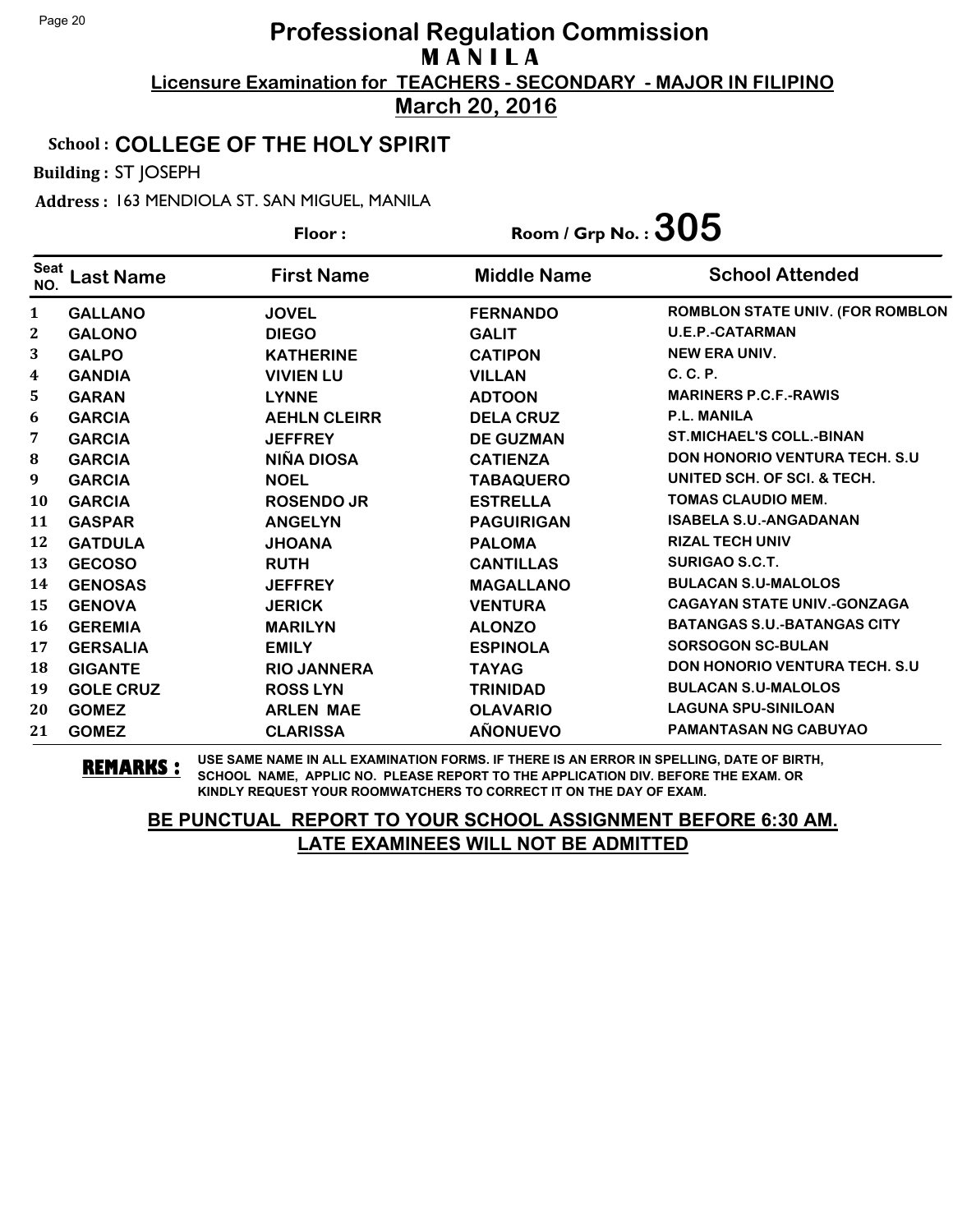#### School : **COLLEGE OF THE HOLY SPIRIT**

Building : ST JOSEPH

Address : 163 MENDIOLA ST. SAN MIGUEL, MANILA

**Last Name First Name Middle Name** Floor : Room / Grp No. :  $305$ Seat <sup>Seat</sup> Last Name First Name Middle Name School Attended **GALLANO JOVEL FERNANDO ROMBLON STATE UNIV. (FOR ROMBLON GALONO DIEGO GALIT U.E.P.-CATARMAN GALPO KATHERINE CATIPON NEW ERA UNIV. GANDIA VIVIEN LU VILLAN C. C. P. GARAN LYNNE ADTOON MARINERS P.C.F.-RAWIS GARCIA AEHLN CLEIRR DELA CRUZ P.L. MANILA GARCIA JEFFREY DE GUZMAN ST.MICHAEL'S COLL.-BINAN GARCIA NIÑA DIOSA CATIENZA DON HONORIO VENTURA TECH. S.U GARCIA NOEL TABAQUERO UNITED SCH. OF SCI. & TECH. GARCIA ROSENDO JR ESTRELLA TOMAS CLAUDIO MEM. GASPAR ANGELYN PAGUIRIGAN ISABELA S.U.-ANGADANAN GATDULA JHOANA PALOMA RIZAL TECH UNIV GECOSO RUTH CANTILLAS SURIGAO S.C.T. GENOSAS JEFFREY MAGALLANO BULACAN S.U-MALOLOS GENOVA JERICK VENTURA CAGAYAN STATE UNIV.-GONZAGA GEREMIA MARILYN ALONZO BATANGAS S.U.-BATANGAS CITY GERSALIA EMILY ESPINOLA SORSOGON SC-BULAN GIGANTE RIO JANNERA TAYAG DON HONORIO VENTURA TECH. S.U GOLE CRUZ ROSS LYN TRINIDAD BULACAN S.U-MALOLOS GOMEZ ARLEN MAE OLAVARIO LAGUNA SPU-SINILOAN GOMEZ CLARISSA AÑONUEVO PAMANTASAN NG CABUYAO**

**REMARKS :** USE SAME NAME IN ALL EXAMINATION FORMS. IF THERE IS AN ERROR IN SPELLING, DATE OF BIRTH, SCHOOL NAME, APPLIC NO. PLEASE REPORT TO THE APPLICATION DIV. BEFORE THE EXAM. OR KINDLY REQUEST YOUR ROOMWATCHERS TO CORRECT IT ON THE DAY OF EXAM.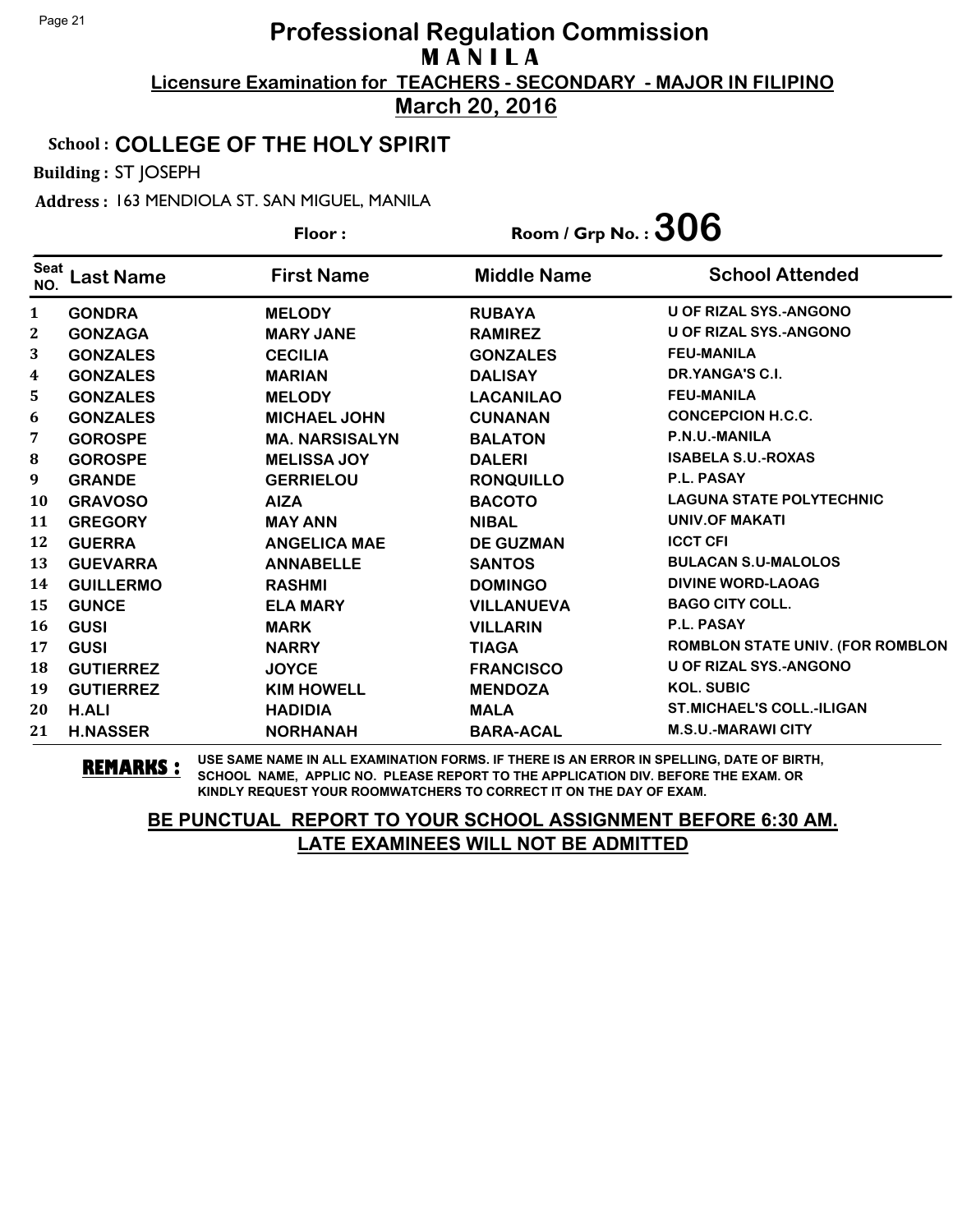### School : **COLLEGE OF THE HOLY SPIRIT**

Building : ST JOSEPH

Address : 163 MENDIOLA ST. SAN MIGUEL, MANILA

**Last Name First Name Middle Name** Floor : Room / Grp No. :  $306$ Seat <sup>Seat</sup> Last Name First Name Middle Name School Attended **GONDRA MELODY RUBAYA U OF RIZAL SYS.-ANGONO GONZAGA MARY JANE RAMIREZ U OF RIZAL SYS.-ANGONO GONZALES CECILIA GONZALES FEU-MANILA GONZALES MARIAN DALISAY DR.YANGA'S C.I. GONZALES MELODY LACANILAO FEU-MANILA GONZALES MICHAEL JOHN CUNANAN CONCEPCION H.C.C. GOROSPE MA. NARSISALYN BALATON P.N.U.-MANILA GOROSPE MELISSA JOY DALERI ISABELA S.U.-ROXAS GRANDE GERRIELOU RONQUILLO P.L. PASAY GRAVOSO AIZA BACOTO LAGUNA STATE POLYTECHNIC GREGORY MAY ANN NIBAL UNIV.OF MAKATI GUERRA ANGELICA MAE DE GUZMAN ICCT CFI GUEVARRA ANNABELLE SANTOS BULACAN S.U-MALOLOS GUILLERMO RASHMI DOMINGO DIVINE WORD-LAOAG GUNCE ELA MARY VILLANUEVA BAGO CITY COLL. GUSI MARK VILLARIN P.L. PASAY GUSI NARRY TIAGA ROMBLON STATE UNIV. (FOR ROMBLON GUTIERREZ JOYCE FRANCISCO U OF RIZAL SYS.-ANGONO GUTIERREZ KIM HOWELL MENDOZA KOL. SUBIC H.ALI HADIDIA MALA ST.MICHAEL'S COLL.-ILIGAN H.NASSER NORHANAH BARA-ACAL M.S.U.-MARAWI CITY**

**REMARKS :** USE SAME NAME IN ALL EXAMINATION FORMS. IF THERE IS AN ERROR IN SPELLING, DATE OF BIRTH, SCHOOL NAME, APPLIC NO. PLEASE REPORT TO THE APPLICATION DIV. BEFORE THE EXAM. OR KINDLY REQUEST YOUR ROOMWATCHERS TO CORRECT IT ON THE DAY OF EXAM.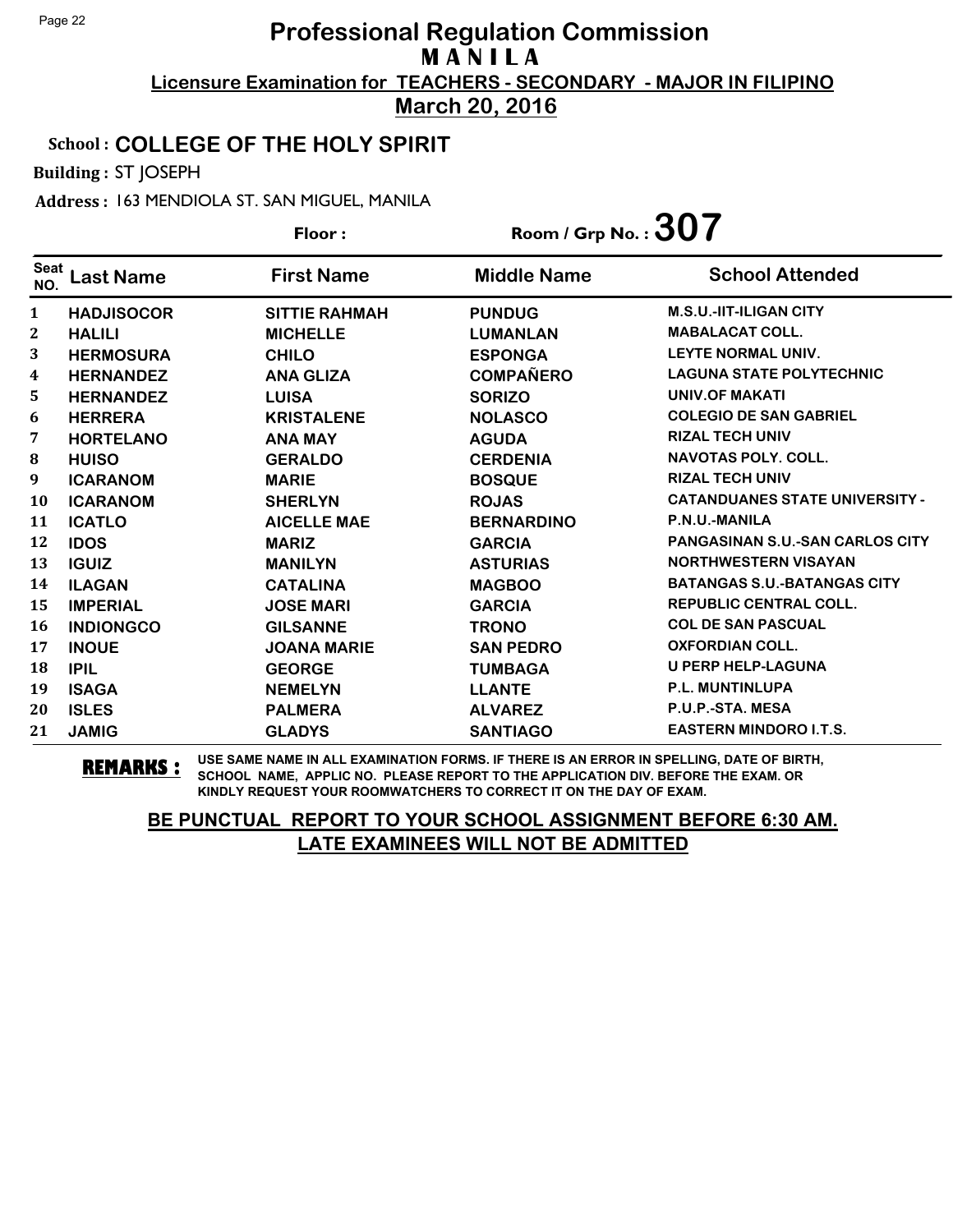### School : **COLLEGE OF THE HOLY SPIRIT**

Building : ST JOSEPH

Address : 163 MENDIOLA ST. SAN MIGUEL, MANILA

|                    |                   | Floor:               | Room / Grp No.: $307$ |                                        |
|--------------------|-------------------|----------------------|-----------------------|----------------------------------------|
| <b>Seat</b><br>NO. | Last Name         | <b>First Name</b>    | <b>Middle Name</b>    | <b>School Attended</b>                 |
| $\mathbf{1}$       | <b>HADJISOCOR</b> | <b>SITTIE RAHMAH</b> | <b>PUNDUG</b>         | <b>M.S.U.-IIT-ILIGAN CITY</b>          |
| $\mathbf{2}$       | <b>HALILI</b>     | <b>MICHELLE</b>      | LUMANLAN              | <b>MABALACAT COLL.</b>                 |
| 3                  | <b>HERMOSURA</b>  | <b>CHILO</b>         | <b>ESPONGA</b>        | LEYTE NORMAL UNIV.                     |
| 4                  | <b>HERNANDEZ</b>  | <b>ANA GLIZA</b>     | <b>COMPAÑERO</b>      | <b>LAGUNA STATE POLYTECHNIC</b>        |
| 5                  | <b>HERNANDEZ</b>  | <b>LUISA</b>         | <b>SORIZO</b>         | <b>UNIV.OF MAKATI</b>                  |
| 6                  | <b>HERRERA</b>    | <b>KRISTALENE</b>    | <b>NOLASCO</b>        | <b>COLEGIO DE SAN GABRIEL</b>          |
| 7                  | <b>HORTELANO</b>  | <b>ANA MAY</b>       | <b>AGUDA</b>          | <b>RIZAL TECH UNIV</b>                 |
| 8                  | <b>HUISO</b>      | <b>GERALDO</b>       | <b>CERDENIA</b>       | <b>NAVOTAS POLY, COLL.</b>             |
| 9                  | <b>ICARANOM</b>   | <b>MARIE</b>         | <b>BOSQUE</b>         | <b>RIZAL TECH UNIV</b>                 |
| <b>10</b>          | <b>ICARANOM</b>   | <b>SHERLYN</b>       | <b>ROJAS</b>          | <b>CATANDUANES STATE UNIVERSITY -</b>  |
| 11                 | <b>ICATLO</b>     | <b>AICELLE MAE</b>   | <b>BERNARDINO</b>     | P.N.U.-MANILA                          |
| 12                 | <b>IDOS</b>       | <b>MARIZ</b>         | <b>GARCIA</b>         | <b>PANGASINAN S.U.-SAN CARLOS CITY</b> |
| 13                 | <b>IGUIZ</b>      | <b>MANILYN</b>       | <b>ASTURIAS</b>       | <b>NORTHWESTERN VISAYAN</b>            |
| 14                 | <b>ILAGAN</b>     | <b>CATALINA</b>      | <b>MAGBOO</b>         | <b>BATANGAS S.U.-BATANGAS CITY</b>     |
| 15                 | <b>IMPERIAL</b>   | <b>JOSE MARI</b>     | <b>GARCIA</b>         | <b>REPUBLIC CENTRAL COLL.</b>          |
| 16                 | <b>INDIONGCO</b>  | <b>GILSANNE</b>      | <b>TRONO</b>          | <b>COL DE SAN PASCUAL</b>              |
| 17                 | <b>INOUE</b>      | <b>JOANA MARIE</b>   | <b>SAN PEDRO</b>      | <b>OXFORDIAN COLL.</b>                 |
| 18                 | <b>IPIL</b>       | <b>GEORGE</b>        | <b>TUMBAGA</b>        | <b>U PERP HELP-LAGUNA</b>              |
| 19                 | <b>ISAGA</b>      | <b>NEMELYN</b>       | <b>LLANTE</b>         | <b>P.L. MUNTINLUPA</b>                 |
| 20                 | <b>ISLES</b>      | <b>PALMERA</b>       | <b>ALVAREZ</b>        | P.U.P.-STA, MESA                       |
| 21                 | <b>JAMIG</b>      | <b>GLADYS</b>        | <b>SANTIAGO</b>       | <b>EASTERN MINDORO I.T.S.</b>          |

**REMARKS :** USE SAME NAME IN ALL EXAMINATION FORMS. IF THERE IS AN ERROR IN SPELLING, DATE OF BIRTH, SCHOOL NAME, APPLIC NO. PLEASE REPORT TO THE APPLICATION DIV. BEFORE THE EXAM. OR KINDLY REQUEST YOUR ROOMWATCHERS TO CORRECT IT ON THE DAY OF EXAM.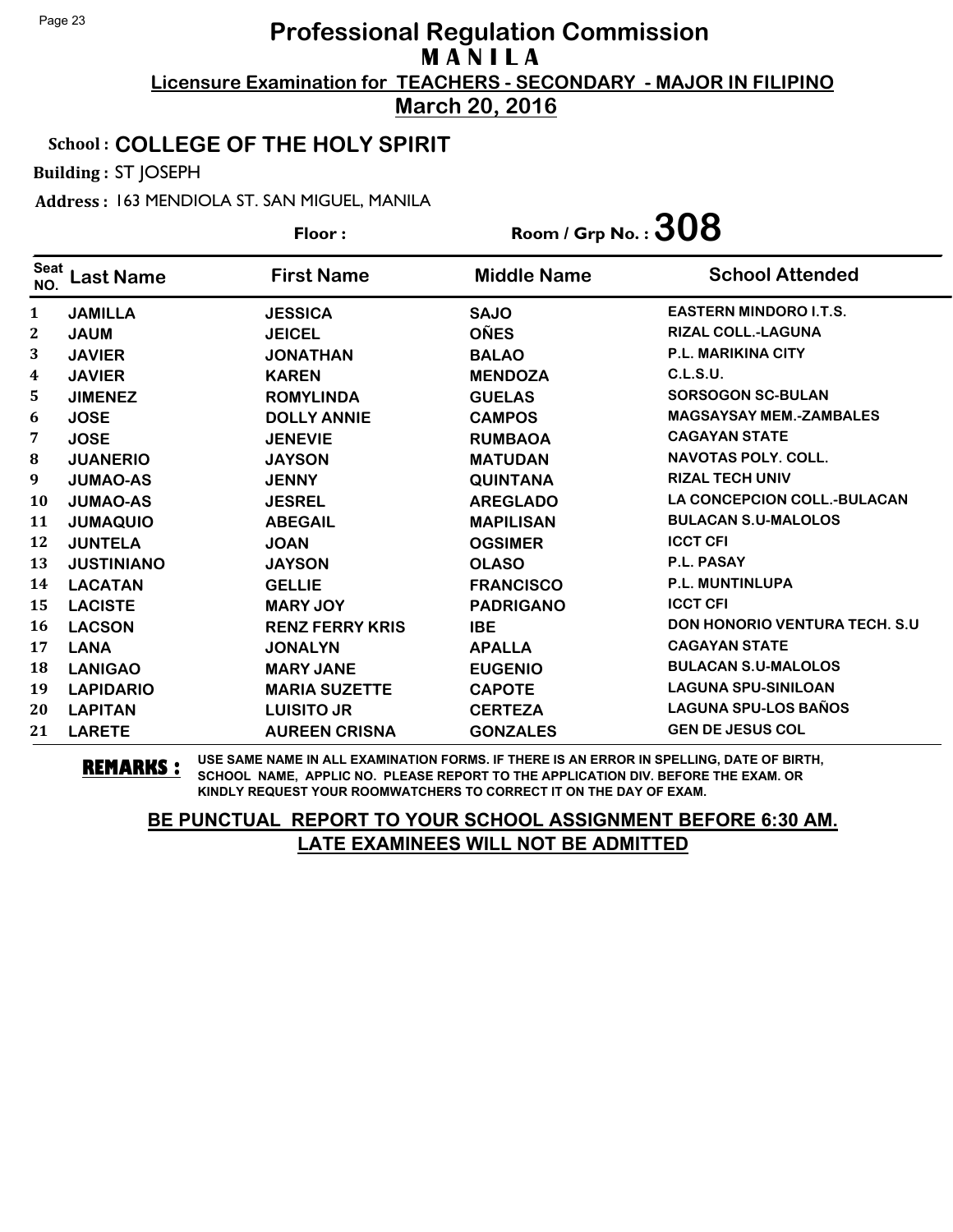#### School : **COLLEGE OF THE HOLY SPIRIT**

Building : ST JOSEPH

Address : 163 MENDIOLA ST. SAN MIGUEL, MANILA

**Last Name First Name Middle Name** Floor : Room / Grp No. :  $308$ Seat <sup>seat</sup> Last Name First Name Middle Name School Attended **JAMILLA JESSICA SAJO EASTERN MINDORO I.T.S. JAUM JEICEL OÑES RIZAL COLL.-LAGUNA JAVIER JONATHAN BALAO P.L. MARIKINA CITY JAVIER KAREN MENDOZA C.L.S.U. JIMENEZ ROMYLINDA GUELAS SORSOGON SC-BULAN JOSE DOLLY ANNIE CAMPOS MAGSAYSAY MEM.-ZAMBALES JOSE JENEVIE RUMBAOA CAGAYAN STATE JUANERIO JAYSON MATUDAN NAVOTAS POLY. COLL. JUMAO-AS JENNY QUINTANA RIZAL TECH UNIV JUMAO-AS JESREL AREGLADO LA CONCEPCION COLL.-BULACAN JUMAQUIO ABEGAIL MAPILISAN BULACAN S.U-MALOLOS JUNTELA JOAN OGSIMER ICCT CFI JUSTINIANO JAYSON OLASO P.L. PASAY LACATAN GELLIE FRANCISCO P.L. MUNTINLUPA LACISTE MARY JOY PADRIGANO ICCT CFI LACSON RENZ FERRY KRIS IBE DON HONORIO VENTURA TECH. S.U LANA JONALYN APALLA CAGAYAN STATE LANIGAO MARY JANE EUGENIO BULACAN S.U-MALOLOS LAPIDARIO MARIA SUZETTE CAPOTE LAGUNA SPU-SINILOAN LAPITAN LUISITO JR CERTEZA LAGUNA SPU-LOS BAÑOS LARETE AUREEN CRISNA GONZALES GEN DE JESUS COL**

**REMARKS :** USE SAME NAME IN ALL EXAMINATION FORMS. IF THERE IS AN ERROR IN SPELLING, DATE OF BIRTH, SCHOOL NAME, APPLIC NO. PLEASE REPORT TO THE APPLICATION DIV. BEFORE THE EXAM. OR KINDLY REQUEST YOUR ROOMWATCHERS TO CORRECT IT ON THE DAY OF EXAM.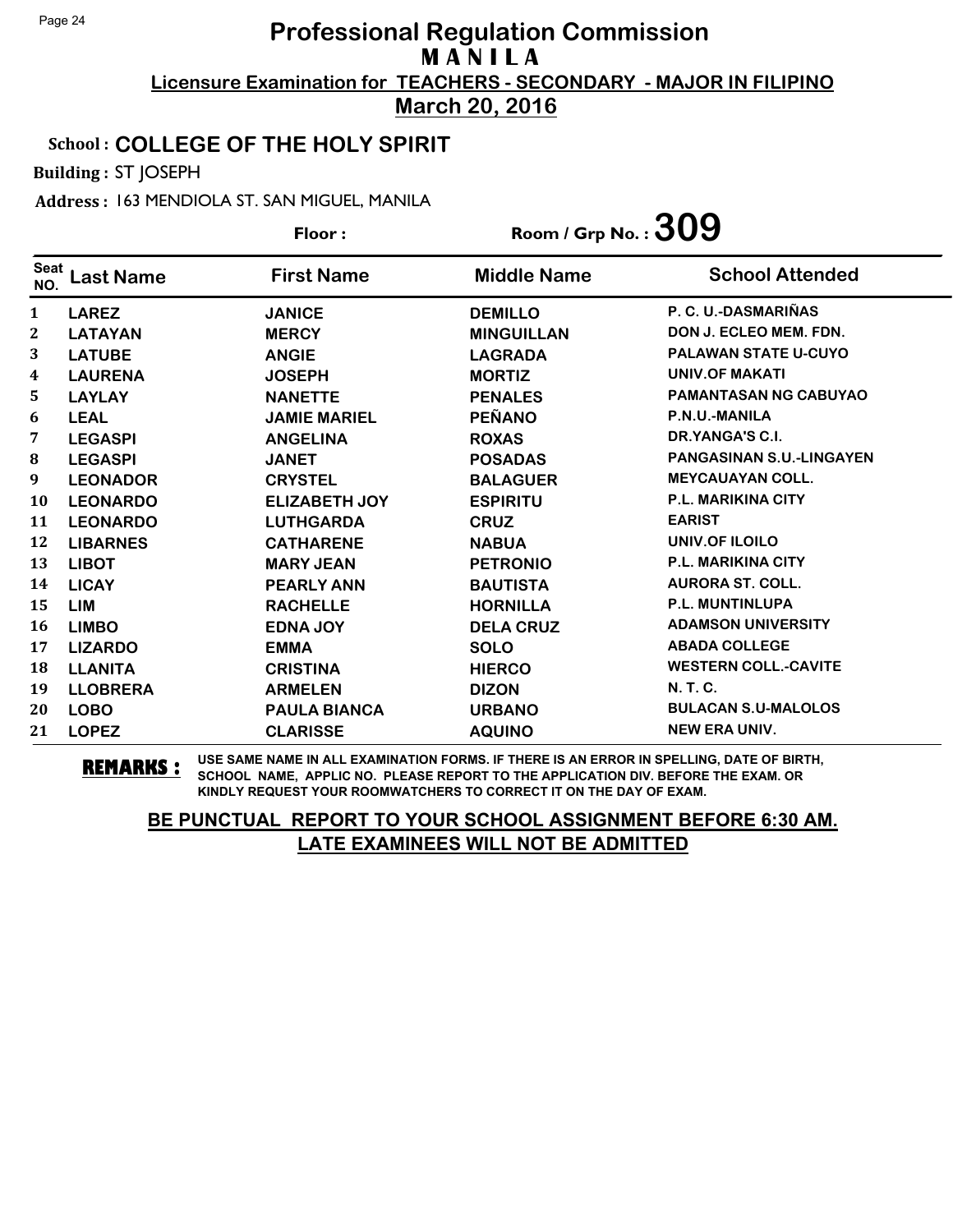#### School : **COLLEGE OF THE HOLY SPIRIT**

Building : ST JOSEPH

Address : 163 MENDIOLA ST. SAN MIGUEL, MANILA

**Last Name First Name Middle Name** Floor : Room / Grp No. :**309** Seat <sup>seat</sup> Last Name First Name Middle Name School Attended **LAREZ JANICE DEMILLO P. C. U.-DASMARIÑAS LATAYAN MERCY MINGUILLAN DON J. ECLEO MEM. FDN. LATUBE ANGIE LAGRADA PALAWAN STATE U-CUYO LAURENA JOSEPH MORTIZ UNIV.OF MAKATI LAYLAY NANETTE PENALES PAMANTASAN NG CABUYAO LEAL JAMIE MARIEL PEÑANO P.N.U.-MANILA LEGASPI ANGELINA ROXAS DR.YANGA'S C.I. LEGASPI JANET POSADAS PANGASINAN S.U.-LINGAYEN LEONADOR CRYSTEL BALAGUER MEYCAUAYAN COLL. LEONARDO ELIZABETH JOY ESPIRITU P.L. MARIKINA CITY LEONARDO LUTHGARDA CRUZ EARIST LIBARNES CATHARENE NABUA UNIV.OF ILOILO LIBOT MARY JEAN PETRONIO P.L. MARIKINA CITY LICAY PEARLY ANN BAUTISTA AURORA ST. COLL. LIM RACHELLE HORNILLA P.L. MUNTINLUPA LIMBO EDNA JOY DELA CRUZ ADAMSON UNIVERSITY LIZARDO EMMA SOLO ABADA COLLEGE LLANITA CRISTINA HIERCO WESTERN COLL.-CAVITE LLOBRERA ARMELEN DIZON N. T. C. LOBO PAULA BIANCA URBANO BULACAN S.U-MALOLOS LOPEZ CLARISSE AQUINO NEW ERA UNIV.**

**REMARKS :** USE SAME NAME IN ALL EXAMINATION FORMS. IF THERE IS AN ERROR IN SPELLING, DATE OF BIRTH, SCHOOL NAME, APPLIC NO. PLEASE REPORT TO THE APPLICATION DIV. BEFORE THE EXAM. OR KINDLY REQUEST YOUR ROOMWATCHERS TO CORRECT IT ON THE DAY OF EXAM.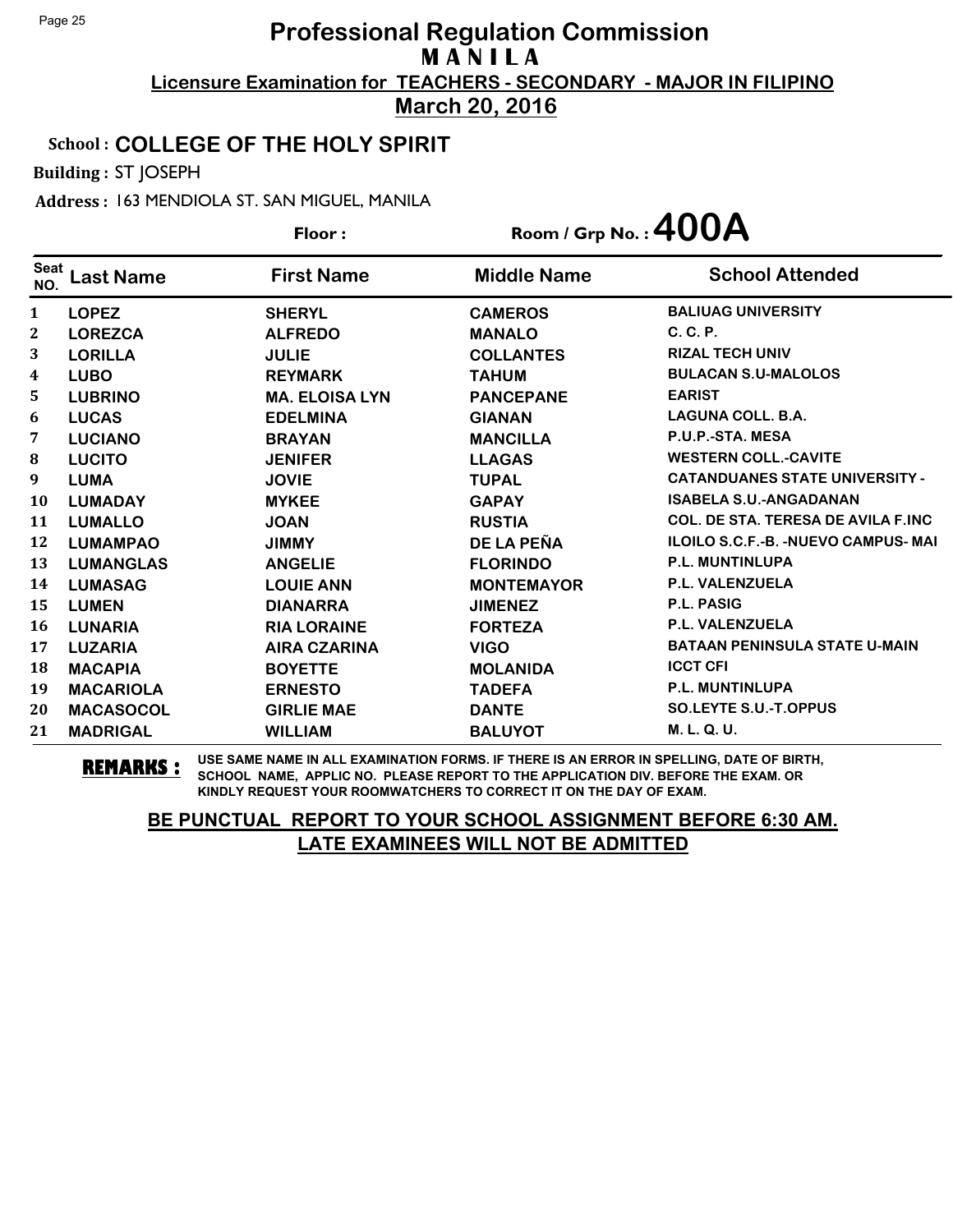#### School : **COLLEGE OF THE HOLY SPIRIT**

Building : ST JOSEPH

Address : 163 MENDIOLA ST. SAN MIGUEL, MANILA

**Last Name First Name Middle Name** Floor : Room / Grp No. :  $400A$ Seat <sup>Seat</sup> Last Name First Name Middle Name School Attended **LOPEZ SHERYL CAMEROS BALIUAG UNIVERSITY LOREZCA ALFREDO MANALO C. C. P. LORILLA JULIE COLLANTES RIZAL TECH UNIV LUBO REYMARK TAHUM BULACAN S.U-MALOLOS LUBRINO MA. ELOISA LYN PANCEPANE EARIST LUCAS EDELMINA GIANAN LAGUNA COLL. B.A. LUCIANO BRAYAN MANCILLA P.U.P.-STA. MESA LUCITO JENIFER LLAGAS WESTERN COLL.-CAVITE LUMA JOVIE TUPAL CATANDUANES STATE UNIVERSITY - LUMADAY MYKEE GAPAY ISABELA S.U.-ANGADANAN LUMALLO JOAN RUSTIA COL. DE STA. TERESA DE AVILA F.INC LUMAMPAO JIMMY DE LA PEÑA ILOILO S.C.F.-B. -NUEVO CAMPUS- MAI LUMANGLAS ANGELIE FLORINDO P.L. MUNTINLUPA LUMASAG LOUIE ANN MONTEMAYOR P.L. VALENZUELA LUMEN DIANARRA JIMENEZ P.L. PASIG LUNARIA RIA LORAINE FORTEZA P.L. VALENZUELA LUZARIA AIRA CZARINA VIGO BATAAN PENINSULA STATE U-MAIN MACAPIA BOYETTE MOLANIDA ICCT CFI MACARIOLA ERNESTO TADEFA P.L. MUNTINLUPA MACASOCOL GIRLIE MAE DANTE SO.LEYTE S.U.-T.OPPUS MADRIGAL WILLIAM BALUYOT M. L. Q. U.**

**REMARKS :** USE SAME NAME IN ALL EXAMINATION FORMS. IF THERE IS AN ERROR IN SPELLING, DATE OF BIRTH, SCHOOL NAME, APPLIC NO. PLEASE REPORT TO THE APPLICATION DIV. BEFORE THE EXAM. OR KINDLY REQUEST YOUR ROOMWATCHERS TO CORRECT IT ON THE DAY OF EXAM.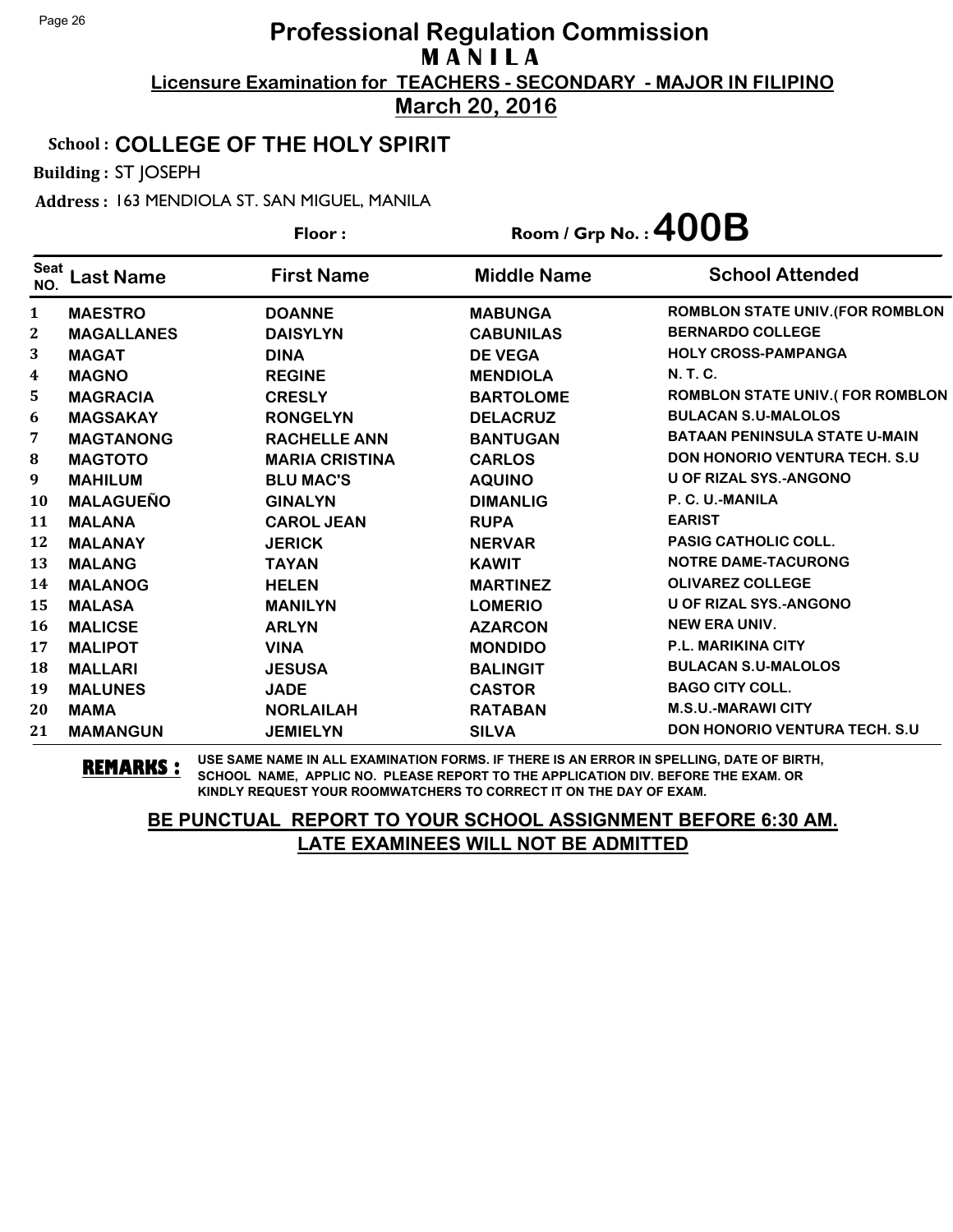#### School : **COLLEGE OF THE HOLY SPIRIT**

Building : ST JOSEPH

Address : 163 MENDIOLA ST. SAN MIGUEL, MANILA

Floor : Room / Grp No. :  $400B$ 

| Seat<br>NO.      | Last Name         | <b>First Name</b>     | <b>Middle Name</b> | <b>School Attended</b>                  |
|------------------|-------------------|-----------------------|--------------------|-----------------------------------------|
| $\mathbf{1}$     | <b>MAESTRO</b>    | <b>DOANNE</b>         | <b>MABUNGA</b>     | <b>ROMBLON STATE UNIV. (FOR ROMBLON</b> |
| $\boldsymbol{2}$ | <b>MAGALLANES</b> | <b>DAISYLYN</b>       | <b>CABUNILAS</b>   | <b>BERNARDO COLLEGE</b>                 |
| 3                | <b>MAGAT</b>      | <b>DINA</b>           | <b>DE VEGA</b>     | <b>HOLY CROSS-PAMPANGA</b>              |
| 4                | <b>MAGNO</b>      | <b>REGINE</b>         | <b>MENDIOLA</b>    | N. T. C.                                |
| 5                | <b>MAGRACIA</b>   | <b>CRESLY</b>         | <b>BARTOLOME</b>   | <b>ROMBLON STATE UNIV.(FOR ROMBLON</b>  |
| 6                | <b>MAGSAKAY</b>   | <b>RONGELYN</b>       | <b>DELACRUZ</b>    | <b>BULACAN S.U-MALOLOS</b>              |
| 7                | <b>MAGTANONG</b>  | <b>RACHELLE ANN</b>   | <b>BANTUGAN</b>    | <b>BATAAN PENINSULA STATE U-MAIN</b>    |
| ${\bf 8}$        | <b>MAGTOTO</b>    | <b>MARIA CRISTINA</b> | <b>CARLOS</b>      | <b>DON HONORIO VENTURA TECH. S.U.</b>   |
| 9                | <b>MAHILUM</b>    | <b>BLU MAC'S</b>      | <b>AQUINO</b>      | <b>U OF RIZAL SYS.-ANGONO</b>           |
| 10               | <b>MALAGUEÑO</b>  | <b>GINALYN</b>        | <b>DIMANLIG</b>    | P. C. U.-MANILA                         |
| 11               | <b>MALANA</b>     | <b>CAROL JEAN</b>     | <b>RUPA</b>        | <b>EARIST</b>                           |
| 12               | <b>MALANAY</b>    | <b>JERICK</b>         | <b>NERVAR</b>      | <b>PASIG CATHOLIC COLL.</b>             |
| 13               | <b>MALANG</b>     | <b>TAYAN</b>          | <b>KAWIT</b>       | <b>NOTRE DAME-TACURONG</b>              |
| 14               | <b>MALANOG</b>    | <b>HELEN</b>          | <b>MARTINEZ</b>    | <b>OLIVAREZ COLLEGE</b>                 |
| 15               | <b>MALASA</b>     | <b>MANILYN</b>        | <b>LOMERIO</b>     | <b>U OF RIZAL SYS.-ANGONO</b>           |
| 16               | <b>MALICSE</b>    | <b>ARLYN</b>          | <b>AZARCON</b>     | <b>NEW ERA UNIV.</b>                    |
| 17               | <b>MALIPOT</b>    | <b>VINA</b>           | <b>MONDIDO</b>     | <b>P.L. MARIKINA CITY</b>               |
| 18               | <b>MALLARI</b>    | <b>JESUSA</b>         | <b>BALINGIT</b>    | <b>BULACAN S.U-MALOLOS</b>              |
| 19               | <b>MALUNES</b>    | <b>JADE</b>           | <b>CASTOR</b>      | <b>BAGO CITY COLL.</b>                  |
| 20               | <b>MAMA</b>       | <b>NORLAILAH</b>      | <b>RATABAN</b>     | <b>M.S.U.-MARAWI CITY</b>               |
| 21               | <b>MAMANGUN</b>   | <b>JEMIELYN</b>       | <b>SILVA</b>       | <b>DON HONORIO VENTURA TECH. S.U.</b>   |

**REMARKS :** USE SAME NAME IN ALL EXAMINATION FORMS. IF THERE IS AN ERROR IN SPELLING, DATE OF BIRTH, SCHOOL NAME, APPLIC NO. PLEASE REPORT TO THE APPLICATION DIV. BEFORE THE EXAM. OR KINDLY REQUEST YOUR ROOMWATCHERS TO CORRECT IT ON THE DAY OF EXAM.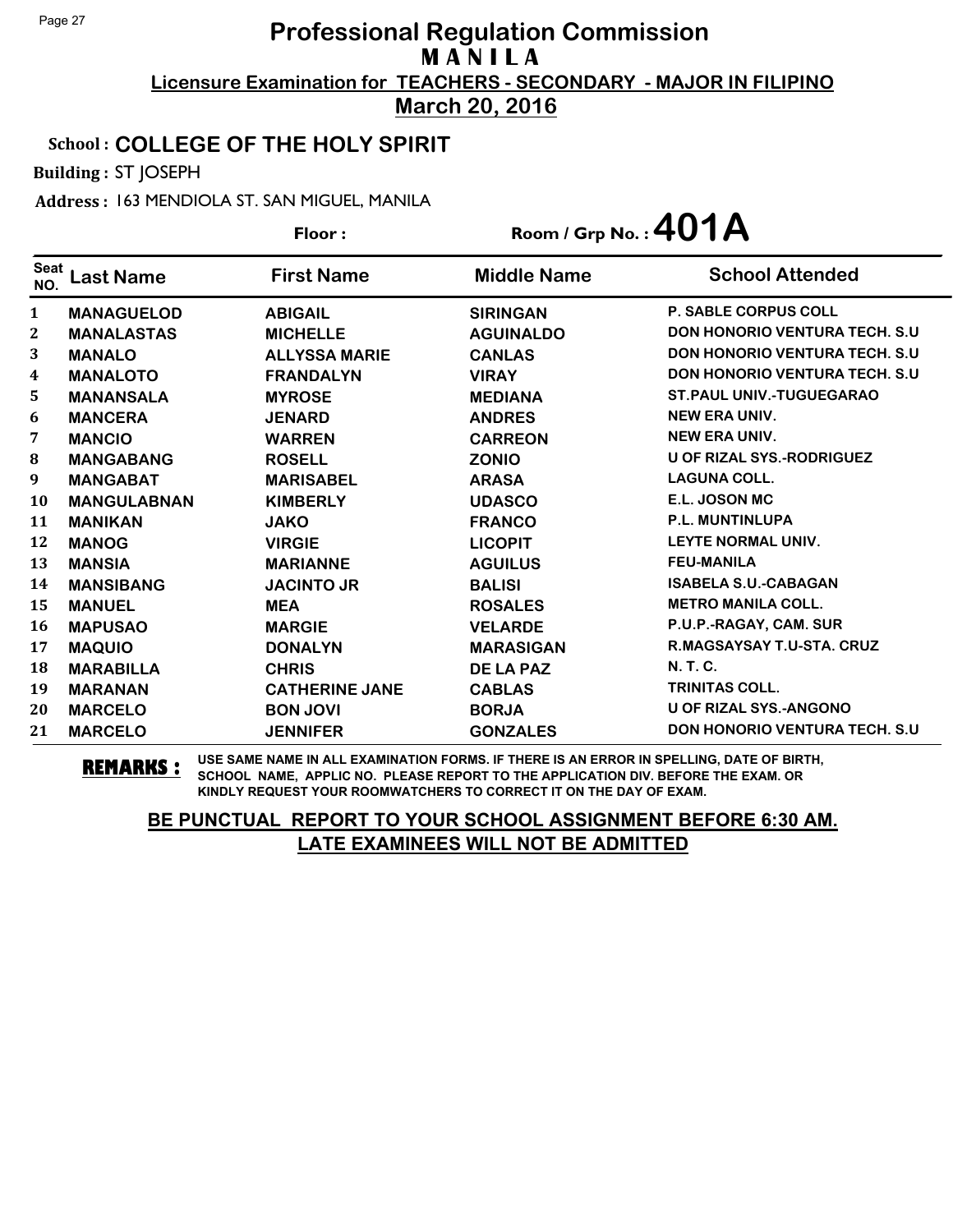#### School : **COLLEGE OF THE HOLY SPIRIT**

Building : ST JOSEPH

Address : 163 MENDIOLA ST. SAN MIGUEL, MANILA

| Room / Grp No.: $401A$<br>Floor: |                    |                       |                    |                                       |
|----------------------------------|--------------------|-----------------------|--------------------|---------------------------------------|
| <b>Seat</b><br>NO.               | <b>Last Name</b>   | <b>First Name</b>     | <b>Middle Name</b> | <b>School Attended</b>                |
| 1                                | <b>MANAGUELOD</b>  | <b>ABIGAIL</b>        | <b>SIRINGAN</b>    | <b>P. SABLE CORPUS COLL</b>           |
| 2                                | <b>MANALASTAS</b>  | <b>MICHELLE</b>       | <b>AGUINALDO</b>   | <b>DON HONORIO VENTURA TECH. S.U.</b> |
| 3                                | <b>MANALO</b>      | <b>ALLYSSA MARIE</b>  | <b>CANLAS</b>      | <b>DON HONORIO VENTURA TECH. S.U.</b> |
| 4                                | <b>MANALOTO</b>    | <b>FRANDALYN</b>      | <b>VIRAY</b>       | <b>DON HONORIO VENTURA TECH. S.U.</b> |
| 5                                | <b>MANANSALA</b>   | <b>MYROSE</b>         | <b>MEDIANA</b>     | <b>ST. PAUL UNIV.-TUGUEGARAO</b>      |
| 6                                | <b>MANCERA</b>     | <b>JENARD</b>         | <b>ANDRES</b>      | <b>NEW ERA UNIV.</b>                  |
| 7                                | <b>MANCIO</b>      | <b>WARREN</b>         | <b>CARREON</b>     | <b>NEW ERA UNIV.</b>                  |
| 8                                | <b>MANGABANG</b>   | <b>ROSELL</b>         | <b>ZONIO</b>       | <b>U OF RIZAL SYS.-RODRIGUEZ</b>      |
| 9                                | <b>MANGABAT</b>    | <b>MARISABEL</b>      | <b>ARASA</b>       | <b>LAGUNA COLL.</b>                   |
| 10                               | <b>MANGULABNAN</b> | <b>KIMBERLY</b>       | <b>UDASCO</b>      | E.L. JOSON MC                         |
| 11                               | <b>MANIKAN</b>     | <b>JAKO</b>           | <b>FRANCO</b>      | <b>P.L. MUNTINLUPA</b>                |
| 12                               | <b>MANOG</b>       | <b>VIRGIE</b>         | <b>LICOPIT</b>     | LEYTE NORMAL UNIV.                    |
| 13                               | <b>MANSIA</b>      | <b>MARIANNE</b>       | <b>AGUILUS</b>     | <b>FEU-MANILA</b>                     |
| 14                               | <b>MANSIBANG</b>   | <b>JACINTO JR</b>     | <b>BALISI</b>      | <b>ISABELA S.U.-CABAGAN</b>           |
| 15                               | <b>MANUEL</b>      | <b>MEA</b>            | <b>ROSALES</b>     | <b>METRO MANILA COLL.</b>             |
| 16                               | <b>MAPUSAO</b>     | <b>MARGIE</b>         | <b>VELARDE</b>     | P.U.P.-RAGAY, CAM. SUR                |
| 17                               | <b>MAQUIO</b>      | <b>DONALYN</b>        | <b>MARASIGAN</b>   | R.MAGSAYSAY T.U-STA. CRUZ             |
| 18                               | <b>MARABILLA</b>   | <b>CHRIS</b>          | DE LA PAZ          | <b>N.T.C.</b>                         |
| 19                               | <b>MARANAN</b>     | <b>CATHERINE JANE</b> | <b>CABLAS</b>      | <b>TRINITAS COLL.</b>                 |
| 20                               | <b>MARCELO</b>     | <b>BON JOVI</b>       | <b>BORJA</b>       | <b>U OF RIZAL SYS.-ANGONO</b>         |
| 21                               | <b>MARCELO</b>     | <b>JENNIFER</b>       | <b>GONZALES</b>    | <b>DON HONORIO VENTURA TECH. S.U</b>  |

**REMARKS :** USE SAME NAME IN ALL EXAMINATION FORMS. IF THERE IS AN ERROR IN SPELLING, DATE OF BIRTH, SCHOOL NAME, APPLIC NO. PLEASE REPORT TO THE APPLICATION DIV. BEFORE THE EXAM. OR KINDLY REQUEST YOUR ROOMWATCHERS TO CORRECT IT ON THE DAY OF EXAM.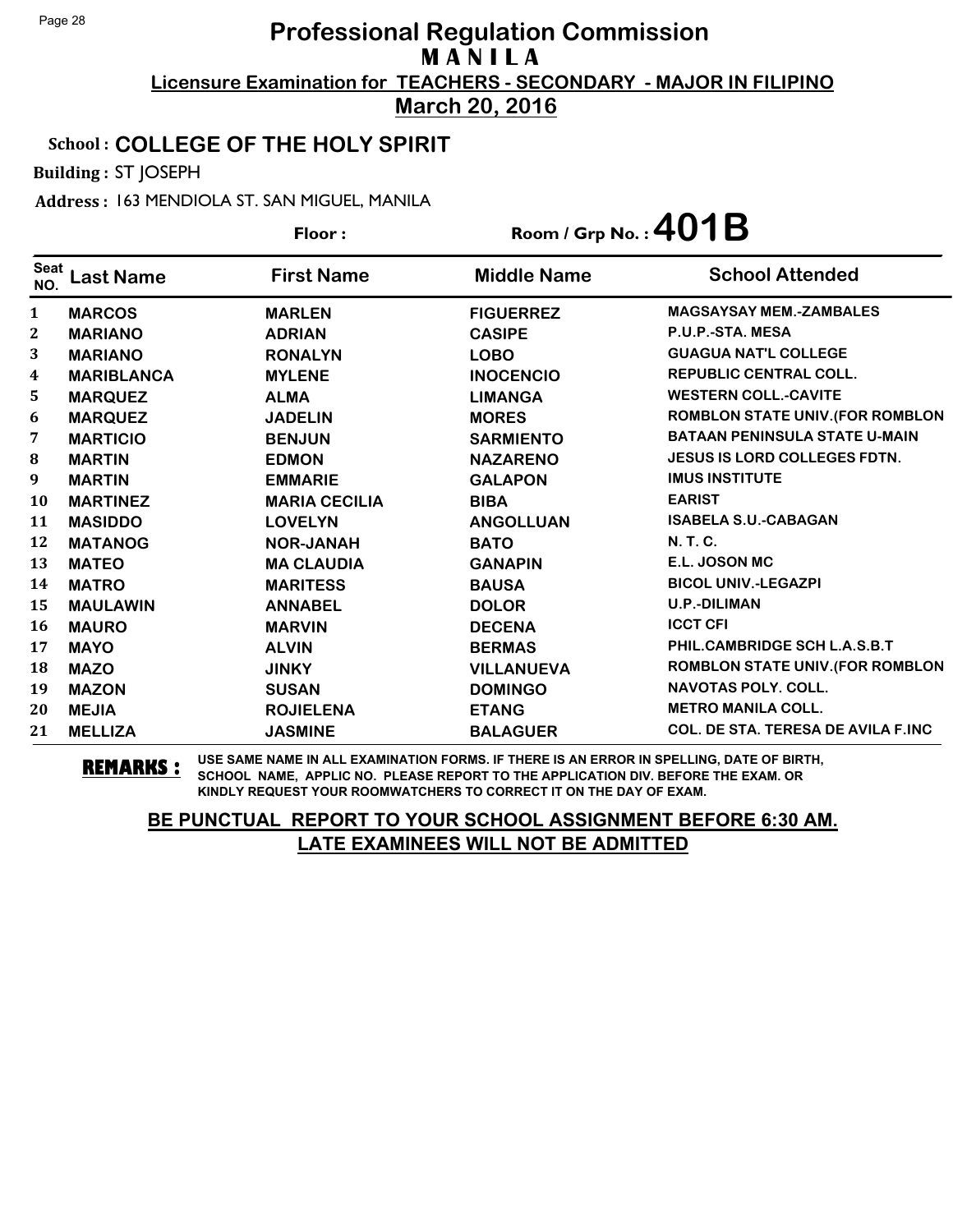### School : **COLLEGE OF THE HOLY SPIRIT**

Building : ST JOSEPH

Address : 163 MENDIOLA ST. SAN MIGUEL, MANILA

**Last Name First Name Middle Name** Floor : Room / Grp No. :  $401B$ Seat <sup>Seat</sup> Last Name First Name Middle Name School Attended **MARCOS MARLEN FIGUERREZ MAGSAYSAY MEM.-ZAMBALES MARIANO ADRIAN CASIPE P.U.P.-STA. MESA MARIANO RONALYN LOBO GUAGUA NAT'L COLLEGE MARIBLANCA MYLENE INOCENCIO REPUBLIC CENTRAL COLL. MARQUEZ ALMA LIMANGA WESTERN COLL.-CAVITE MARQUEZ JADELIN MORES ROMBLON STATE UNIV.(FOR ROMBLON MARTICIO BENJUN SARMIENTO BATAAN PENINSULA STATE U-MAIN MARTIN EDMON NAZARENO JESUS IS LORD COLLEGES FDTN. MARTIN EMMARIE GALAPON IMUS INSTITUTE MARTINEZ MARIA CECILIA BIBA EARIST MASIDDO LOVELYN ANGOLLUAN ISABELA S.U.-CABAGAN MATANOG NOR-JANAH BATO N. T. C. MATEO MA CLAUDIA GANAPIN E.L. JOSON MC MATRO MARITESS BAUSA BICOL UNIV.-LEGAZPI MAULAWIN ANNABEL DOLOR U.P.-DILIMAN MAURO MARVIN DECENA ICCT CFI MAYO ALVIN BERMAS PHIL.CAMBRIDGE SCH L.A.S.B.T MAZO JINKY VILLANUEVA ROMBLON STATE UNIV.(FOR ROMBLON MAZON SUSAN DOMINGO NAVOTAS POLY. COLL. MEJIA ROJIELENA ETANG METRO MANILA COLL. MELLIZA JASMINE BALAGUER COL. DE STA. TERESA DE AVILA F.INC**

**REMARKS :** USE SAME NAME IN ALL EXAMINATION FORMS. IF THERE IS AN ERROR IN SPELLING, DATE OF BIRTH, SCHOOL NAME, APPLIC NO. PLEASE REPORT TO THE APPLICATION DIV. BEFORE THE EXAM. OR KINDLY REQUEST YOUR ROOMWATCHERS TO CORRECT IT ON THE DAY OF EXAM.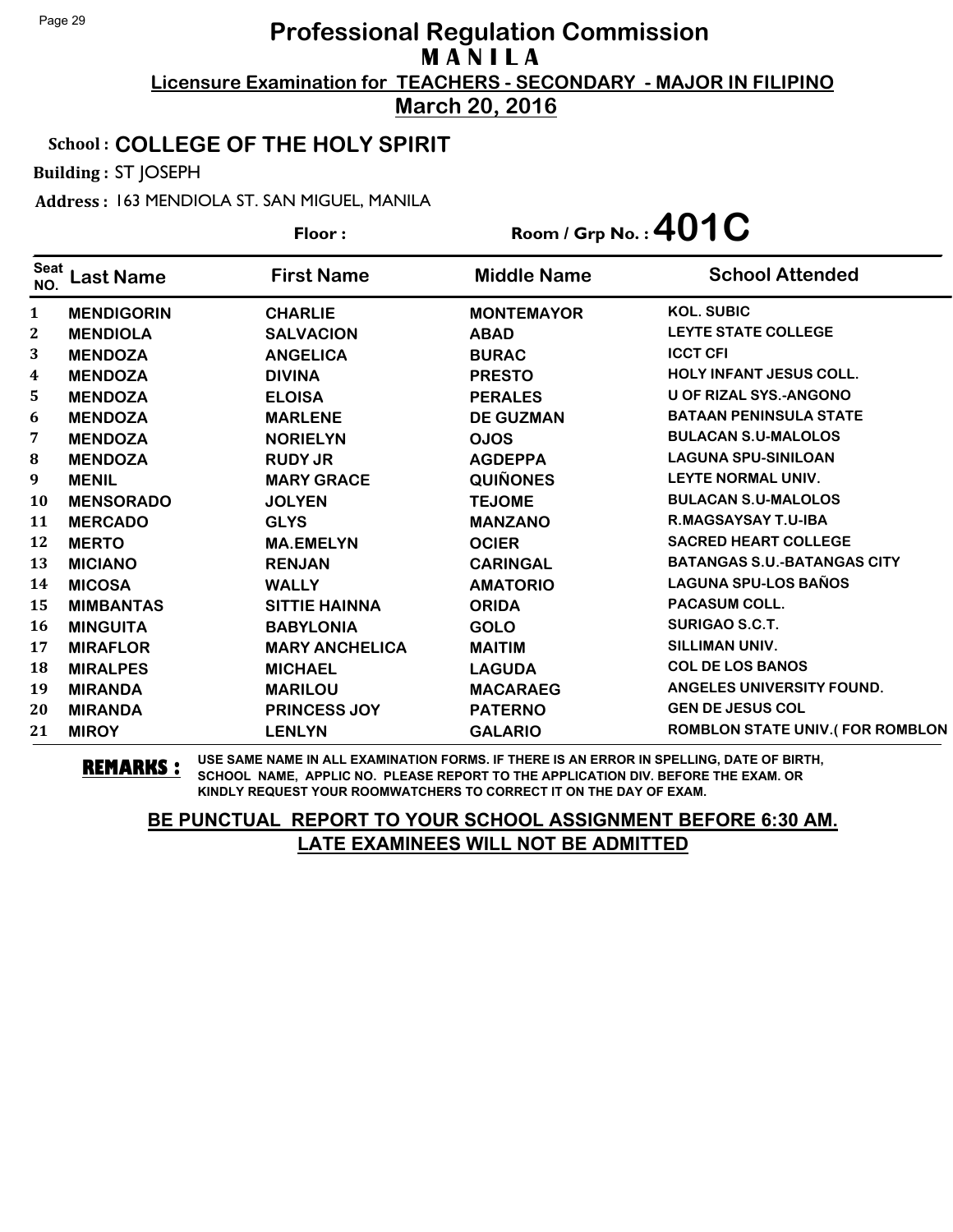#### School : **COLLEGE OF THE HOLY SPIRIT**

Building : ST JOSEPH

Address : 163 MENDIOLA ST. SAN MIGUEL, MANILA

**Last Name First Name Middle Name** Floor : Room / Grp No. : 401C Seat <sup>Seat</sup> Last Name First Name Middle Name School Attended **MENDIGORIN CHARLIE MONTEMAYOR KOL. SUBIC MENDIOLA SALVACION ABAD LEYTE STATE COLLEGE MENDOZA ANGELICA BURAC ICCT CFI MENDOZA DIVINA PRESTO HOLY INFANT JESUS COLL. MENDOZA ELOISA PERALES U OF RIZAL SYS.-ANGONO MENDOZA MARLENE DE GUZMAN BATAAN PENINSULA STATE MENDOZA NORIELYN OJOS BULACAN S.U-MALOLOS MENDOZA RUDY JR AGDEPPA LAGUNA SPU-SINILOAN MENIL MARY GRACE QUIÑONES LEYTE NORMAL UNIV. MENSORADO JOLYEN TEJOME BULACAN S.U-MALOLOS MERCADO GLYS MANZANO R.MAGSAYSAY T.U-IBA MERTO MA.EMELYN OCIER SACRED HEART COLLEGE MICIANO RENJAN CARINGAL BATANGAS S.U.-BATANGAS CITY MICOSA WALLY AMATORIO LAGUNA SPU-LOS BAÑOS MIMBANTAS SITTIE HAINNA ORIDA PACASUM COLL. MINGUITA BABYLONIA GOLO SURIGAO S.C.T. MIRAFLOR MARY ANCHELICA MAITIM SILLIMAN UNIV. MIRALPES MICHAEL LAGUDA COL DE LOS BANOS MIRANDA MARILOU MACARAEG ANGELES UNIVERSITY FOUND. MIRANDA PRINCESS JOY PATERNO GEN DE JESUS COL MIROY LENLYN GALARIO ROMBLON STATE UNIV.( FOR ROMBLON**

**REMARKS :** USE SAME NAME IN ALL EXAMINATION FORMS. IF THERE IS AN ERROR IN SPELLING, DATE OF BIRTH, SCHOOL NAME, APPLIC NO. PLEASE REPORT TO THE APPLICATION DIV. BEFORE THE EXAM. OR KINDLY REQUEST YOUR ROOMWATCHERS TO CORRECT IT ON THE DAY OF EXAM.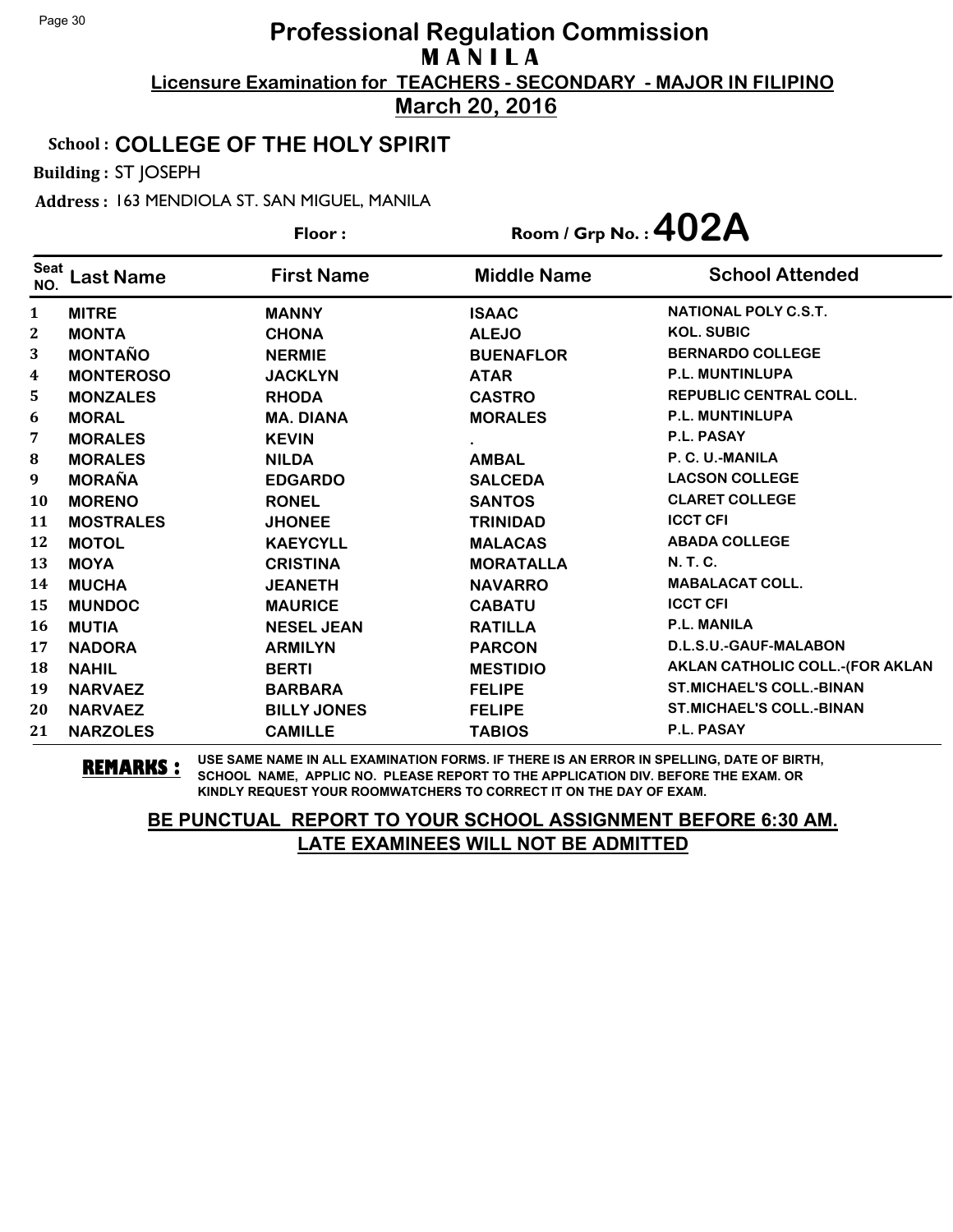#### School : **COLLEGE OF THE HOLY SPIRIT**

Building : ST JOSEPH

Address : 163 MENDIOLA ST. SAN MIGUEL, MANILA

|                    |                  | Floor:             |                    | Room / Grp No.: $402A$          |
|--------------------|------------------|--------------------|--------------------|---------------------------------|
| <b>Seat</b><br>NO. | <b>Last Name</b> | <b>First Name</b>  | <b>Middle Name</b> | <b>School Attended</b>          |
| 1                  | <b>MITRE</b>     | <b>MANNY</b>       | <b>ISAAC</b>       | NATIONAL POLY C.S.T.            |
| $\boldsymbol{2}$   | <b>MONTA</b>     | <b>CHONA</b>       | <b>ALEJO</b>       | <b>KOL. SUBIC</b>               |
| 3                  | <b>MONTAÑO</b>   | <b>NERMIE</b>      | <b>BUENAFLOR</b>   | <b>BERNARDO COLLEGE</b>         |
| 4                  | <b>MONTEROSO</b> | <b>JACKLYN</b>     | <b>ATAR</b>        | <b>P.L. MUNTINLUPA</b>          |
| 5                  | <b>MONZALES</b>  | <b>RHODA</b>       | <b>CASTRO</b>      | <b>REPUBLIC CENTRAL COLL.</b>   |
| 6                  | <b>MORAL</b>     | <b>MA. DIANA</b>   | <b>MORALES</b>     | P.L. MUNTINLUPA                 |
| 7                  | <b>MORALES</b>   | <b>KEVIN</b>       |                    | P.L. PASAY                      |
| 8                  | <b>MORALES</b>   | <b>NILDA</b>       | <b>AMBAL</b>       | P. C. U.-MANILA                 |
| 9                  | <b>MORAÑA</b>    | <b>EDGARDO</b>     | <b>SALCEDA</b>     | <b>LACSON COLLEGE</b>           |
| 10                 | <b>MORENO</b>    | <b>RONEL</b>       | <b>SANTOS</b>      | <b>CLARET COLLEGE</b>           |
| 11                 | <b>MOSTRALES</b> | <b>JHONEE</b>      | <b>TRINIDAD</b>    | <b>ICCT CFI</b>                 |
| 12                 | <b>MOTOL</b>     | <b>KAEYCYLL</b>    | <b>MALACAS</b>     | <b>ABADA COLLEGE</b>            |
| 13                 | <b>MOYA</b>      | <b>CRISTINA</b>    | <b>MORATALLA</b>   | N. T. C.                        |
| 14                 | <b>MUCHA</b>     | <b>JEANETH</b>     | <b>NAVARRO</b>     | <b>MABALACAT COLL.</b>          |
| 15                 | <b>MUNDOC</b>    | <b>MAURICE</b>     | <b>CABATU</b>      | <b>ICCT CFI</b>                 |
| 16                 | <b>MUTIA</b>     | <b>NESEL JEAN</b>  | <b>RATILLA</b>     | P.L. MANILA                     |
| 17                 | <b>NADORA</b>    | <b>ARMILYN</b>     | <b>PARCON</b>      | D.L.S.U.-GAUF-MALABON           |
| 18                 | <b>NAHIL</b>     | <b>BERTI</b>       | <b>MESTIDIO</b>    | AKLAN CATHOLIC COLL.-(FOR AKLAN |
| 19                 | <b>NARVAEZ</b>   | <b>BARBARA</b>     | <b>FELIPE</b>      | <b>ST.MICHAEL'S COLL.-BINAN</b> |
| 20                 | <b>NARVAEZ</b>   | <b>BILLY JONES</b> | <b>FELIPE</b>      | <b>ST.MICHAEL'S COLL.-BINAN</b> |
| 21                 | <b>NARZOLES</b>  | <b>CAMILLE</b>     | <b>TABIOS</b>      | P.L. PASAY                      |

**REMARKS :** USE SAME NAME IN ALL EXAMINATION FORMS. IF THERE IS AN ERROR IN SPELLING, DATE OF BIRTH, SCHOOL NAME, APPLIC NO. PLEASE REPORT TO THE APPLICATION DIV. BEFORE THE EXAM. OR KINDLY REQUEST YOUR ROOMWATCHERS TO CORRECT IT ON THE DAY OF EXAM.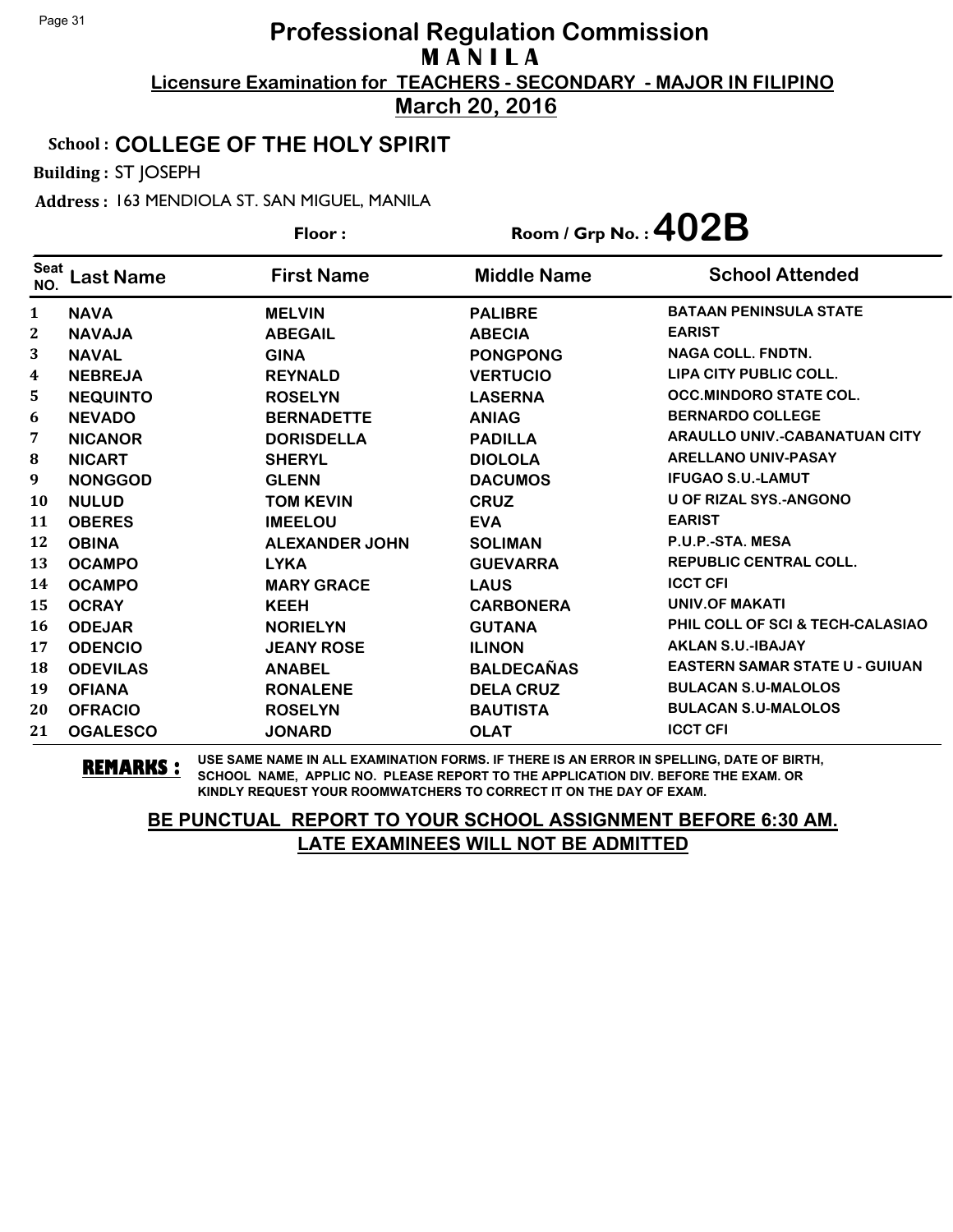### School : **COLLEGE OF THE HOLY SPIRIT**

Building : ST JOSEPH

Address : 163 MENDIOLA ST. SAN MIGUEL, MANILA

|                    |                  | Floor:                | Room / Grp No.: $402B$ |                                       |
|--------------------|------------------|-----------------------|------------------------|---------------------------------------|
| <b>Seat</b><br>NO. | <b>Last Name</b> | <b>First Name</b>     | <b>Middle Name</b>     | <b>School Attended</b>                |
| 1                  | <b>NAVA</b>      | <b>MELVIN</b>         | <b>PALIBRE</b>         | <b>BATAAN PENINSULA STATE</b>         |
| 2                  | <b>NAVAJA</b>    | <b>ABEGAIL</b>        | <b>ABECIA</b>          | <b>EARIST</b>                         |
| 3                  | <b>NAVAL</b>     | <b>GINA</b>           | <b>PONGPONG</b>        | <b>NAGA COLL. FNDTN.</b>              |
| 4                  | <b>NEBREJA</b>   | <b>REYNALD</b>        | <b>VERTUCIO</b>        | <b>LIPA CITY PUBLIC COLL.</b>         |
| 5                  | <b>NEQUINTO</b>  | <b>ROSELYN</b>        | <b>LASERNA</b>         | <b>OCC.MINDORO STATE COL.</b>         |
| 6                  | <b>NEVADO</b>    | <b>BERNADETTE</b>     | <b>ANIAG</b>           | <b>BERNARDO COLLEGE</b>               |
| 7                  | <b>NICANOR</b>   | <b>DORISDELLA</b>     | <b>PADILLA</b>         | <b>ARAULLO UNIV.-CABANATUAN CITY</b>  |
| 8                  | <b>NICART</b>    | <b>SHERYL</b>         | <b>DIOLOLA</b>         | <b>ARELLANO UNIV-PASAY</b>            |
| 9                  | <b>NONGGOD</b>   | <b>GLENN</b>          | <b>DACUMOS</b>         | <b>IFUGAO S.U.-LAMUT</b>              |
| 10                 | <b>NULUD</b>     | <b>TOM KEVIN</b>      | <b>CRUZ</b>            | <b>U OF RIZAL SYS.-ANGONO</b>         |
| 11                 | <b>OBERES</b>    | <b>IMEELOU</b>        | <b>EVA</b>             | <b>EARIST</b>                         |
| 12                 | <b>OBINA</b>     | <b>ALEXANDER JOHN</b> | <b>SOLIMAN</b>         | P.U.P.-STA. MESA                      |
| 13                 | <b>OCAMPO</b>    | <b>LYKA</b>           | <b>GUEVARRA</b>        | <b>REPUBLIC CENTRAL COLL.</b>         |
| 14                 | <b>OCAMPO</b>    | <b>MARY GRACE</b>     | <b>LAUS</b>            | <b>ICCT CFI</b>                       |
| 15                 | <b>OCRAY</b>     | <b>KEEH</b>           | <b>CARBONERA</b>       | UNIV.OF MAKATI                        |
| 16                 | <b>ODEJAR</b>    | <b>NORIELYN</b>       | <b>GUTANA</b>          | PHIL COLL OF SCI & TECH-CALASIAO      |
| 17                 | <b>ODENCIO</b>   | <b>JEANY ROSE</b>     | <b>ILINON</b>          | <b>AKLAN S.U.-IBAJAY</b>              |
| 18                 | <b>ODEVILAS</b>  | <b>ANABEL</b>         | <b>BALDECAÑAS</b>      | <b>EASTERN SAMAR STATE U - GUIUAN</b> |
| 19                 | <b>OFIANA</b>    | <b>RONALENE</b>       | <b>DELA CRUZ</b>       | <b>BULACAN S.U-MALOLOS</b>            |
| 20                 | <b>OFRACIO</b>   | <b>ROSELYN</b>        | <b>BAUTISTA</b>        | <b>BULACAN S.U-MALOLOS</b>            |
| 21                 | <b>OGALESCO</b>  | <b>JONARD</b>         | <b>OLAT</b>            | <b>ICCT CFI</b>                       |

**REMARKS :** USE SAME NAME IN ALL EXAMINATION FORMS. IF THERE IS AN ERROR IN SPELLING, DATE OF BIRTH, SCHOOL NAME, APPLIC NO. PLEASE REPORT TO THE APPLICATION DIV. BEFORE THE EXAM. OR KINDLY REQUEST YOUR ROOMWATCHERS TO CORRECT IT ON THE DAY OF EXAM.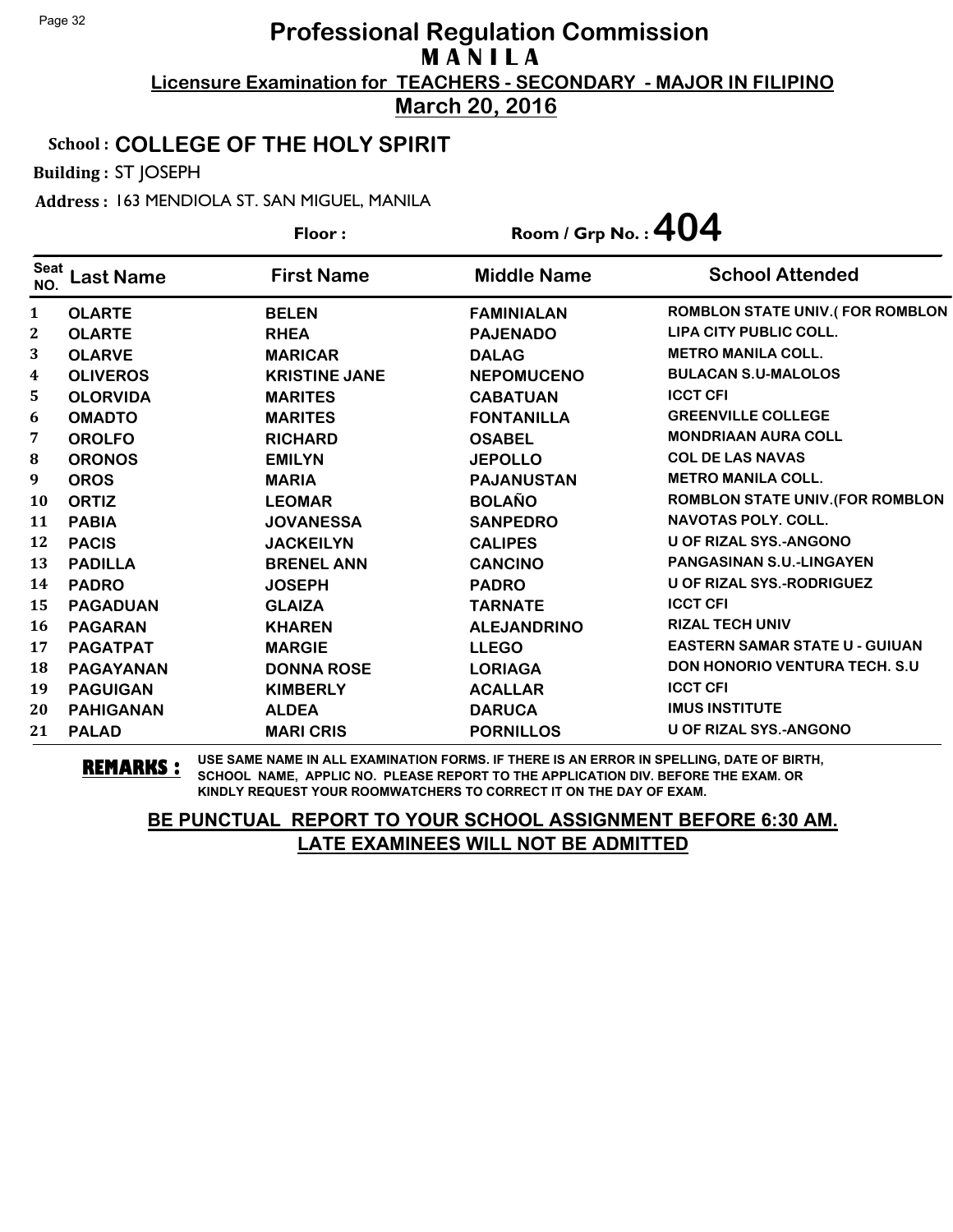#### School : **COLLEGE OF THE HOLY SPIRIT**

Building : ST JOSEPH

Address : 163 MENDIOLA ST. SAN MIGUEL, MANILA

|                    |                  | Floor:               | Room / Grp No.: $404$ |                                         |
|--------------------|------------------|----------------------|-----------------------|-----------------------------------------|
| <b>Seat</b><br>NO. | <b>Last Name</b> | <b>First Name</b>    | <b>Middle Name</b>    | <b>School Attended</b>                  |
| $\mathbf{1}$       | <b>OLARTE</b>    | <b>BELEN</b>         | <b>FAMINIALAN</b>     | <b>ROMBLON STATE UNIV.(FOR ROMBLON</b>  |
| 2                  | <b>OLARTE</b>    | <b>RHEA</b>          | <b>PAJENADO</b>       | <b>LIPA CITY PUBLIC COLL.</b>           |
| 3                  | <b>OLARVE</b>    | <b>MARICAR</b>       | <b>DALAG</b>          | <b>METRO MANILA COLL.</b>               |
| 4                  | <b>OLIVEROS</b>  | <b>KRISTINE JANE</b> | <b>NEPOMUCENO</b>     | <b>BULACAN S.U-MALOLOS</b>              |
| 5.                 | <b>OLORVIDA</b>  | <b>MARITES</b>       | <b>CABATUAN</b>       | <b>ICCT CFI</b>                         |
| 6                  | <b>OMADTO</b>    | <b>MARITES</b>       | <b>FONTANILLA</b>     | <b>GREENVILLE COLLEGE</b>               |
| 7                  | <b>OROLFO</b>    | <b>RICHARD</b>       | <b>OSABEL</b>         | <b>MONDRIAAN AURA COLL</b>              |
| 8                  | <b>ORONOS</b>    | <b>EMILYN</b>        | <b>JEPOLLO</b>        | <b>COL DE LAS NAVAS</b>                 |
| 9                  | <b>OROS</b>      | <b>MARIA</b>         | <b>PAJANUSTAN</b>     | <b>METRO MANILA COLL.</b>               |
| 10                 | <b>ORTIZ</b>     | <b>LEOMAR</b>        | <b>BOLAÑO</b>         | <b>ROMBLON STATE UNIV. (FOR ROMBLON</b> |
| 11                 | <b>PABIA</b>     | <b>JOVANESSA</b>     | <b>SANPEDRO</b>       | <b>NAVOTAS POLY, COLL.</b>              |
| 12                 | <b>PACIS</b>     | <b>JACKEILYN</b>     | <b>CALIPES</b>        | <b>U OF RIZAL SYS.-ANGONO</b>           |
| 13                 | <b>PADILLA</b>   | <b>BRENEL ANN</b>    | <b>CANCINO</b>        | <b>PANGASINAN S.U.-LINGAYEN</b>         |
| 14                 | <b>PADRO</b>     | <b>JOSEPH</b>        | <b>PADRO</b>          | U OF RIZAL SYS.-RODRIGUEZ               |
| 15                 | <b>PAGADUAN</b>  | <b>GLAIZA</b>        | <b>TARNATE</b>        | <b>ICCT CFI</b>                         |
| 16                 | <b>PAGARAN</b>   | <b>KHAREN</b>        | <b>ALEJANDRINO</b>    | <b>RIZAL TECH UNIV</b>                  |
| 17                 | <b>PAGATPAT</b>  | <b>MARGIE</b>        | <b>LLEGO</b>          | <b>EASTERN SAMAR STATE U - GUIUAN</b>   |
| 18                 | <b>PAGAYANAN</b> | <b>DONNA ROSE</b>    | <b>LORIAGA</b>        | <b>DON HONORIO VENTURA TECH. S.U.</b>   |
| 19                 | <b>PAGUIGAN</b>  | <b>KIMBERLY</b>      | <b>ACALLAR</b>        | <b>ICCT CFI</b>                         |
| 20                 | <b>PAHIGANAN</b> | <b>ALDEA</b>         | <b>DARUCA</b>         | <b>IMUS INSTITUTE</b>                   |
| 21                 | <b>PALAD</b>     | <b>MARI CRIS</b>     | <b>PORNILLOS</b>      | <b>U OF RIZAL SYS.-ANGONO</b>           |

**REMARKS :** USE SAME NAME IN ALL EXAMINATION FORMS. IF THERE IS AN ERROR IN SPELLING, DATE OF BIRTH, SCHOOL NAME, APPLIC NO. PLEASE REPORT TO THE APPLICATION DIV. BEFORE THE EXAM. OR KINDLY REQUEST YOUR ROOMWATCHERS TO CORRECT IT ON THE DAY OF EXAM.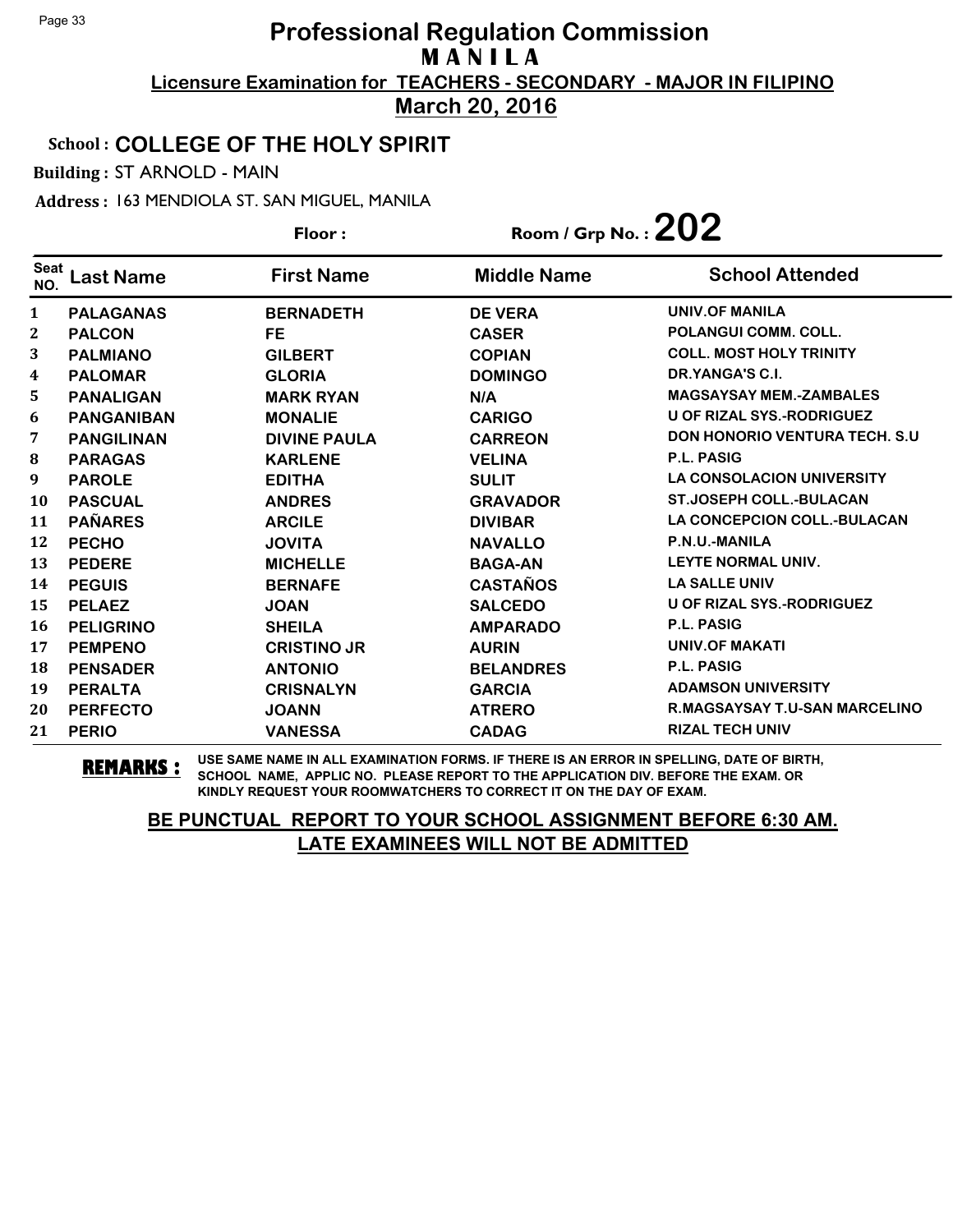### School : **COLLEGE OF THE HOLY SPIRIT**

Building : ST ARNOLD - MAIN

Address : 163 MENDIOLA ST. SAN MIGUEL, MANILA

**Last Name First Name Middle Name** Floor : Room / Grp No. : 202 Seat <sup>seat</sup> Last Name First Name Middle Name School Attended **PALAGANAS BERNADETH DE VERA UNIV.OF MANILA PALCON FE CASER POLANGUI COMM. COLL. PALMIANO GILBERT COPIAN COLL. MOST HOLY TRINITY PALOMAR GLORIA DOMINGO DR.YANGA'S C.I. PANALIGAN MARK RYAN N/A MAGSAYSAY MEM.-ZAMBALES PANGANIBAN MONALIE CARIGO U OF RIZAL SYS.-RODRIGUEZ PANGILINAN DIVINE PAULA CARREON DON HONORIO VENTURA TECH. S.U PARAGAS KARLENE VELINA P.L. PASIG PAROLE EDITHA SULIT LA CONSOLACION UNIVERSITY PASCUAL ANDRES GRAVADOR ST.JOSEPH COLL.-BULACAN PAÑARES ARCILE DIVIBAR LA CONCEPCION COLL.-BULACAN PECHO JOVITA NAVALLO P.N.U.-MANILA PEDERE MICHELLE BAGA-AN LEYTE NORMAL UNIV. PEGUIS BERNAFE CASTAÑOS LA SALLE UNIV PELAEZ JOAN SALCEDO U OF RIZAL SYS.-RODRIGUEZ PELIGRINO SHEILA AMPARADO P.L. PASIG PEMPENO CRISTINO JR AURIN UNIV.OF MAKATI PENSADER ANTONIO BELANDRES P.L. PASIG PERALTA CRISNALYN GARCIA ADAMSON UNIVERSITY PERFECTO JOANN ATRERO R.MAGSAYSAY T.U-SAN MARCELINO PERIO VANESSA CADAG RIZAL TECH UNIV**

**REMARKS :** USE SAME NAME IN ALL EXAMINATION FORMS. IF THERE IS AN ERROR IN SPELLING, DATE OF BIRTH, SCHOOL NAME, APPLIC NO. PLEASE REPORT TO THE APPLICATION DIV. BEFORE THE EXAM. OR KINDLY REQUEST YOUR ROOMWATCHERS TO CORRECT IT ON THE DAY OF EXAM.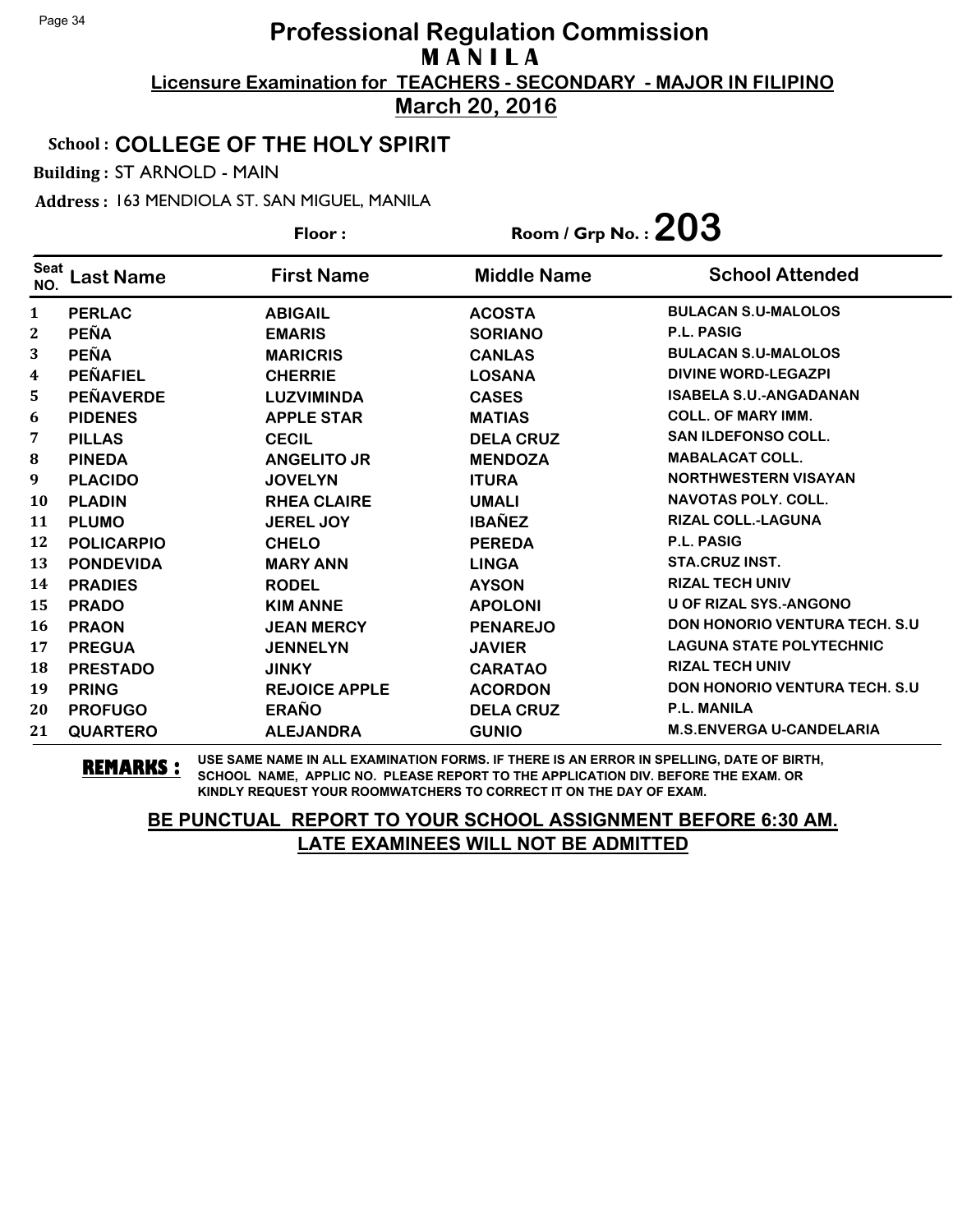#### School : **COLLEGE OF THE HOLY SPIRIT**

Building : ST ARNOLD - MAIN

Address : 163 MENDIOLA ST. SAN MIGUEL, MANILA

**Last Name First Name Middle Name** Floor : Room / Grp No. : 203 Seat <sup>Seat</sup> Last Name First Name Middle Name School Attended **PERLAC ABIGAIL ACOSTA BULACAN S.U-MALOLOS PEÑA EMARIS SORIANO P.L. PASIG PEÑA MARICRIS CANLAS BULACAN S.U-MALOLOS PEÑAFIEL CHERRIE LOSANA DIVINE WORD-LEGAZPI PEÑAVERDE LUZVIMINDA CASES ISABELA S.U.-ANGADANAN PIDENES APPLE STAR MATIAS COLL. OF MARY IMM. PILLAS CECIL DELA CRUZ SAN ILDEFONSO COLL. PINEDA ANGELITO JR MENDOZA MABALACAT COLL. PLACIDO JOVELYN ITURA NORTHWESTERN VISAYAN PLADIN RHEA CLAIRE UMALI NAVOTAS POLY. COLL. PLUMO JEREL JOY IBAÑEZ RIZAL COLL.-LAGUNA POLICARPIO CHELO PEREDA P.L. PASIG PONDEVIDA MARY ANN LINGA STA.CRUZ INST. PRADIES RODEL AYSON RIZAL TECH UNIV PRADO KIM ANNE APOLONI U OF RIZAL SYS.-ANGONO PRAON JEAN MERCY PENAREJO DON HONORIO VENTURA TECH. S.U PREGUA JENNELYN JAVIER LAGUNA STATE POLYTECHNIC PRESTADO JINKY CARATAO RIZAL TECH UNIV PRING REJOICE APPLE ACORDON DON HONORIO VENTURA TECH. S.U PROFUGO ERAÑO DELA CRUZ P.L. MANILA QUARTERO ALEJANDRA GUNIO M.S.ENVERGA U-CANDELARIA**

**REMARKS :** USE SAME NAME IN ALL EXAMINATION FORMS. IF THERE IS AN ERROR IN SPELLING, DATE OF BIRTH, SCHOOL NAME, APPLIC NO. PLEASE REPORT TO THE APPLICATION DIV. BEFORE THE EXAM. OR KINDLY REQUEST YOUR ROOMWATCHERS TO CORRECT IT ON THE DAY OF EXAM.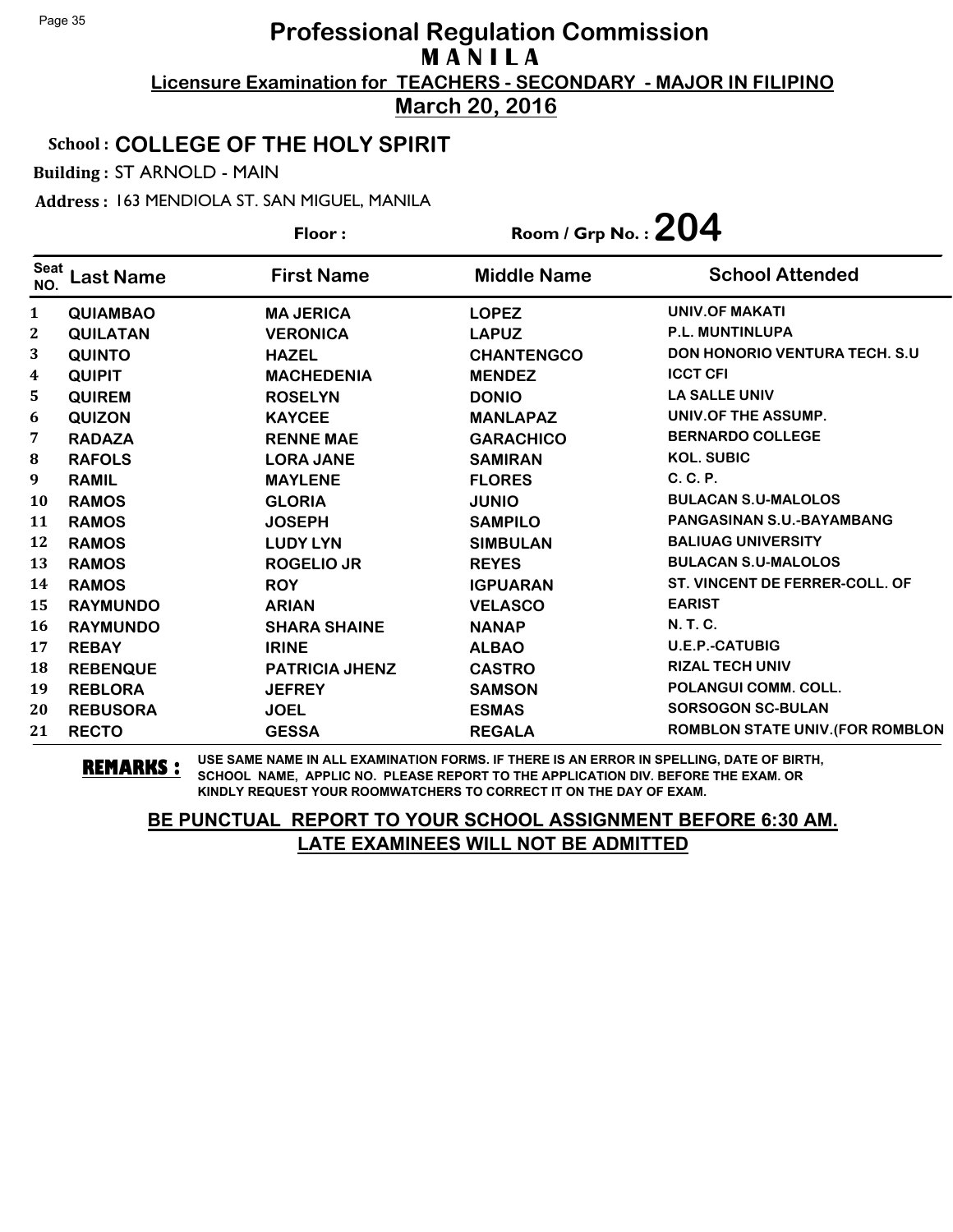#### School : **COLLEGE OF THE HOLY SPIRIT**

Building : ST ARNOLD - MAIN

Address : 163 MENDIOLA ST. SAN MIGUEL, MANILA

**Last Name First Name Middle Name** Floor : Room / Grp No. : 204 Seat <sup>seat</sup> Last Name First Name Middle Name School Attended **QUIAMBAO MA JERICA LOPEZ UNIV.OF MAKATI QUILATAN VERONICA LAPUZ P.L. MUNTINLUPA QUINTO HAZEL CHANTENGCO DON HONORIO VENTURA TECH. S.U QUIPIT MACHEDENIA MENDEZ ICCT CFI QUIREM ROSELYN DONIO LA SALLE UNIV QUIZON KAYCEE MANLAPAZ UNIV.OF THE ASSUMP. RADAZA RENNE MAE GARACHICO BERNARDO COLLEGE RAFOLS LORA JANE SAMIRAN KOL. SUBIC RAMIL MAYLENE FLORES C. C. P. RAMOS GLORIA JUNIO BULACAN S.U-MALOLOS RAMOS JOSEPH SAMPILO PANGASINAN S.U.-BAYAMBANG RAMOS LUDY LYN SIMBULAN BALIUAG UNIVERSITY RAMOS ROGELIO JR REYES BULACAN S.U-MALOLOS RAMOS ROY IGPUARAN ST. VINCENT DE FERRER-COLL. OF RAYMUNDO ARIAN VELASCO EARIST RAYMUNDO** SHARA SHAINE **NANAP M.T.C. REBAY IRINE ALBAO U.E.P.-CATUBIG REBENQUE PATRICIA JHENZ CASTRO RIZAL TECH UNIV REBLORA JEFREY SAMSON POLANGUI COMM. COLL. REBUSORA JOEL ESMAS SORSOGON SC-BULAN RECTO GESSA REGALA ROMBLON STATE UNIV.(FOR ROMBLON**

**REMARKS :** USE SAME NAME IN ALL EXAMINATION FORMS. IF THERE IS AN ERROR IN SPELLING, DATE OF BIRTH, SCHOOL NAME, APPLIC NO. PLEASE REPORT TO THE APPLICATION DIV. BEFORE THE EXAM. OR KINDLY REQUEST YOUR ROOMWATCHERS TO CORRECT IT ON THE DAY OF EXAM.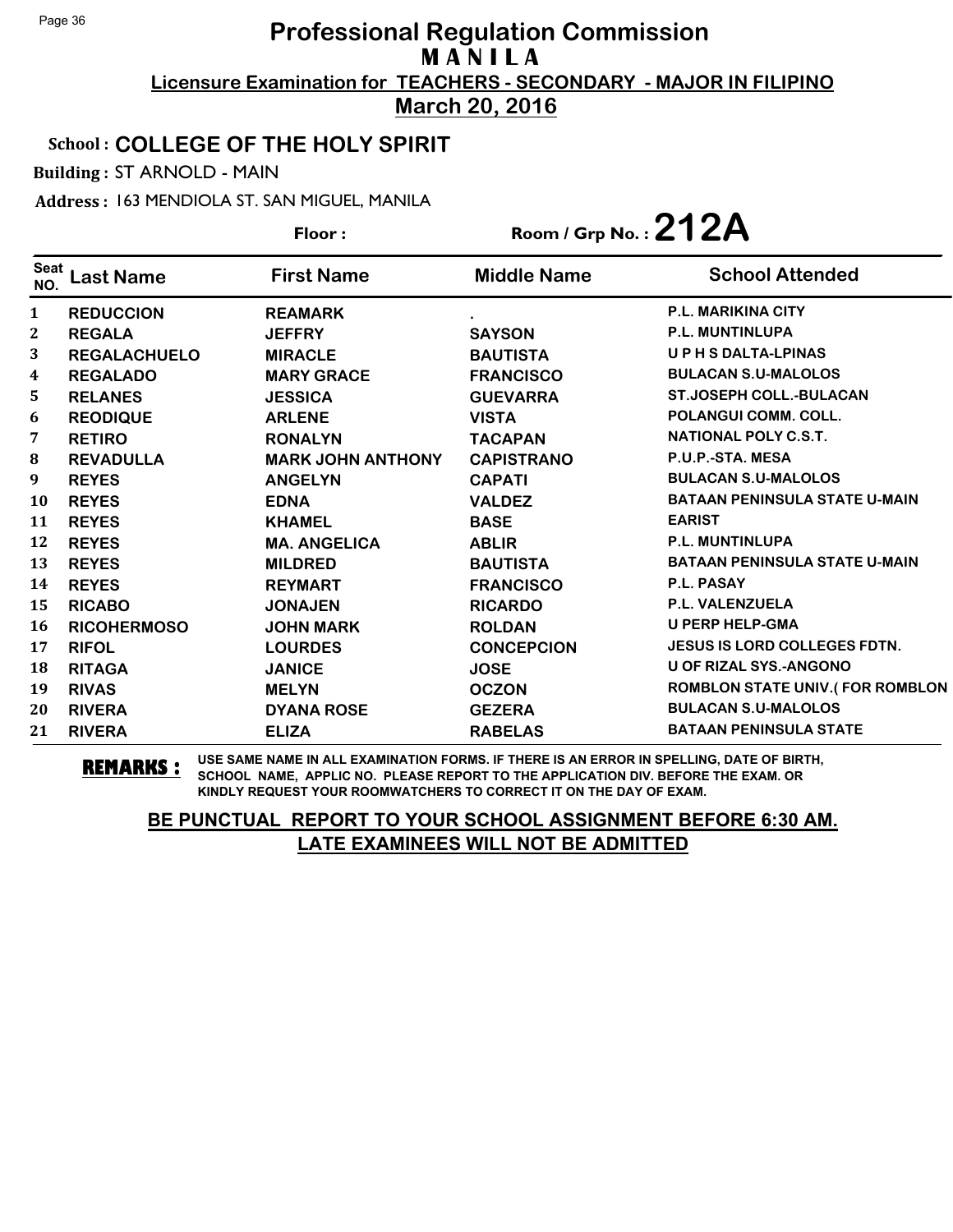### School : **COLLEGE OF THE HOLY SPIRIT**

Building : ST ARNOLD - MAIN

Address : 163 MENDIOLA ST. SAN MIGUEL, MANILA

**Last Name First Name Middle Name** Floor : Room / Grp No. :**212A** Seat <sup>Seat</sup> Last Name First Name Middle Name School Attended **REDUCCION REAMARK . P.L. MARIKINA CITY REGALA JEFFRY SAYSON P.L. MUNTINLUPA REGALACHUELO MIRACLE BAUTISTA U P H S DALTA-LPINAS REGALADO MARY GRACE FRANCISCO BULACAN S.U-MALOLOS RELANES JESSICA GUEVARRA ST.JOSEPH COLL.-BULACAN REODIQUE ARLENE VISTA POLANGUI COMM. COLL. RETIRO RONALYN TACAPAN NATIONAL POLY C.S.T. REVADULLA MARK JOHN ANTHONY CAPISTRANO P.U.P.-STA. MESA REYES ANGELYN CAPATI BULACAN S.U-MALOLOS REYES EDNA VALDEZ BATAAN PENINSULA STATE U-MAIN REYES KHAMEL BASE EARIST REYES MA. ANGELICA ABLIR** P.L. MUNTINLUPA **REYES MILDRED BAUTISTA BATAAN PENINSULA STATE U-MAIN REYES REYMART FRANCISCO P.L. PASAY RICABO JONAJEN RICARDO P.L. VALENZUELA RICOHERMOSO JOHN MARK ROLDAN U PERP HELP-GMA RIFOL LOURDES CONCEPCION JESUS IS LORD COLLEGES FDTN. RITAGA JANICE JOSE U OF RIZAL SYS.-ANGONO RIVAS MELYN OCZON ROMBLON STATE UNIV.( FOR ROMBLON RIVERA DYANA ROSE GEZERA BULACAN S.U-MALOLOS RIVERA ELIZA RABELAS BATAAN PENINSULA STATE**

**REMARKS :** USE SAME NAME IN ALL EXAMINATION FORMS. IF THERE IS AN ERROR IN SPELLING, DATE OF BIRTH, SCHOOL NAME, APPLIC NO. PLEASE REPORT TO THE APPLICATION DIV. BEFORE THE EXAM. OR KINDLY REQUEST YOUR ROOMWATCHERS TO CORRECT IT ON THE DAY OF EXAM.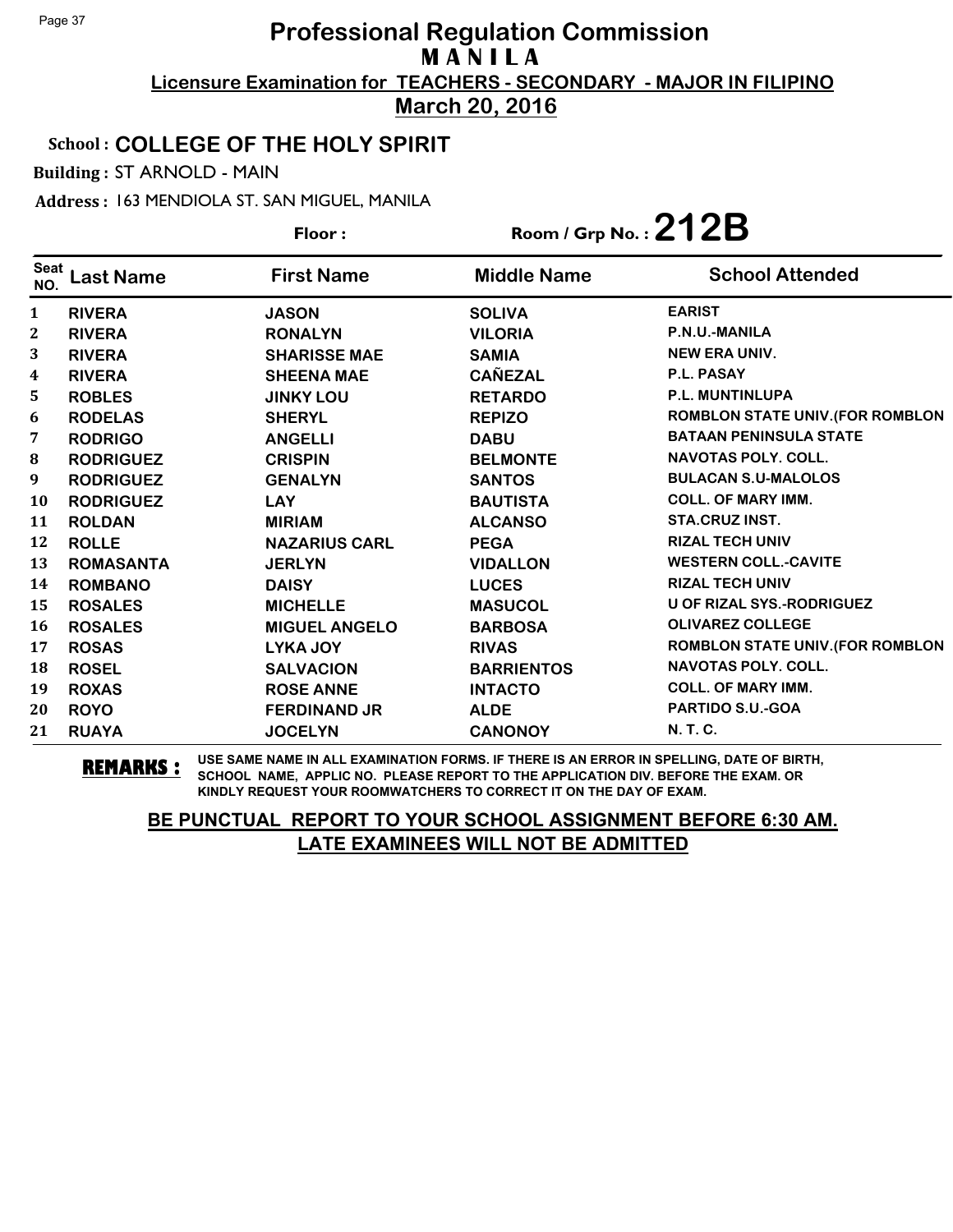#### School : **COLLEGE OF THE HOLY SPIRIT**

Building : ST ARNOLD - MAIN

Address : 163 MENDIOLA ST. SAN MIGUEL, MANILA

Floor : Room / Grp No. :**212B**

| Seat<br>NO.      | Last Name        | <b>First Name</b>    | <b>Middle Name</b> | <b>School Attended</b>                  |
|------------------|------------------|----------------------|--------------------|-----------------------------------------|
| $\mathbf{1}$     | <b>RIVERA</b>    | <b>JASON</b>         | <b>SOLIVA</b>      | <b>EARIST</b>                           |
| $\boldsymbol{2}$ | <b>RIVERA</b>    | <b>RONALYN</b>       | <b>VILORIA</b>     | P.N.U.-MANILA                           |
| 3                | <b>RIVERA</b>    | <b>SHARISSE MAE</b>  | <b>SAMIA</b>       | <b>NEW ERA UNIV.</b>                    |
| 4                | <b>RIVERA</b>    | <b>SHEENA MAE</b>    | <b>CAÑEZAL</b>     | P.L. PASAY                              |
| 5                | <b>ROBLES</b>    | <b>JINKY LOU</b>     | <b>RETARDO</b>     | <b>P.L. MUNTINLUPA</b>                  |
| 6                | <b>RODELAS</b>   | <b>SHERYL</b>        | <b>REPIZO</b>      | <b>ROMBLON STATE UNIV. (FOR ROMBLON</b> |
| 7                | <b>RODRIGO</b>   | <b>ANGELLI</b>       | <b>DABU</b>        | <b>BATAAN PENINSULA STATE</b>           |
| ${\bf 8}$        | <b>RODRIGUEZ</b> | <b>CRISPIN</b>       | <b>BELMONTE</b>    | <b>NAVOTAS POLY, COLL.</b>              |
| 9                | <b>RODRIGUEZ</b> | <b>GENALYN</b>       | <b>SANTOS</b>      | <b>BULACAN S.U-MALOLOS</b>              |
| 10               | <b>RODRIGUEZ</b> | <b>LAY</b>           | <b>BAUTISTA</b>    | <b>COLL. OF MARY IMM.</b>               |
| 11               | <b>ROLDAN</b>    | <b>MIRIAM</b>        | <b>ALCANSO</b>     | STA.CRUZ INST.                          |
| 12               | <b>ROLLE</b>     | <b>NAZARIUS CARL</b> | <b>PEGA</b>        | <b>RIZAL TECH UNIV</b>                  |
| 13               | <b>ROMASANTA</b> | <b>JERLYN</b>        | <b>VIDALLON</b>    | <b>WESTERN COLL.-CAVITE</b>             |
| 14               | <b>ROMBANO</b>   | <b>DAISY</b>         | <b>LUCES</b>       | <b>RIZAL TECH UNIV</b>                  |
| 15               | <b>ROSALES</b>   | <b>MICHELLE</b>      | <b>MASUCOL</b>     | U OF RIZAL SYS.-RODRIGUEZ               |
| 16               | <b>ROSALES</b>   | <b>MIGUEL ANGELO</b> | <b>BARBOSA</b>     | <b>OLIVAREZ COLLEGE</b>                 |
| 17               | <b>ROSAS</b>     | LYKA JOY             | <b>RIVAS</b>       | <b>ROMBLON STATE UNIV. (FOR ROMBLON</b> |
| 18               | <b>ROSEL</b>     | <b>SALVACION</b>     | <b>BARRIENTOS</b>  | <b>NAVOTAS POLY, COLL.</b>              |
| 19               | <b>ROXAS</b>     | <b>ROSE ANNE</b>     | <b>INTACTO</b>     | <b>COLL. OF MARY IMM.</b>               |
| 20               | <b>ROYO</b>      | <b>FERDINAND JR</b>  | <b>ALDE</b>        | <b>PARTIDO S.U.-GOA</b>                 |
| 21               | <b>RUAYA</b>     | <b>JOCELYN</b>       | <b>CANONOY</b>     | N. T. C.                                |

**REMARKS :** USE SAME NAME IN ALL EXAMINATION FORMS. IF THERE IS AN ERROR IN SPELLING, DATE OF BIRTH, SCHOOL NAME, APPLIC NO. PLEASE REPORT TO THE APPLICATION DIV. BEFORE THE EXAM. OR KINDLY REQUEST YOUR ROOMWATCHERS TO CORRECT IT ON THE DAY OF EXAM.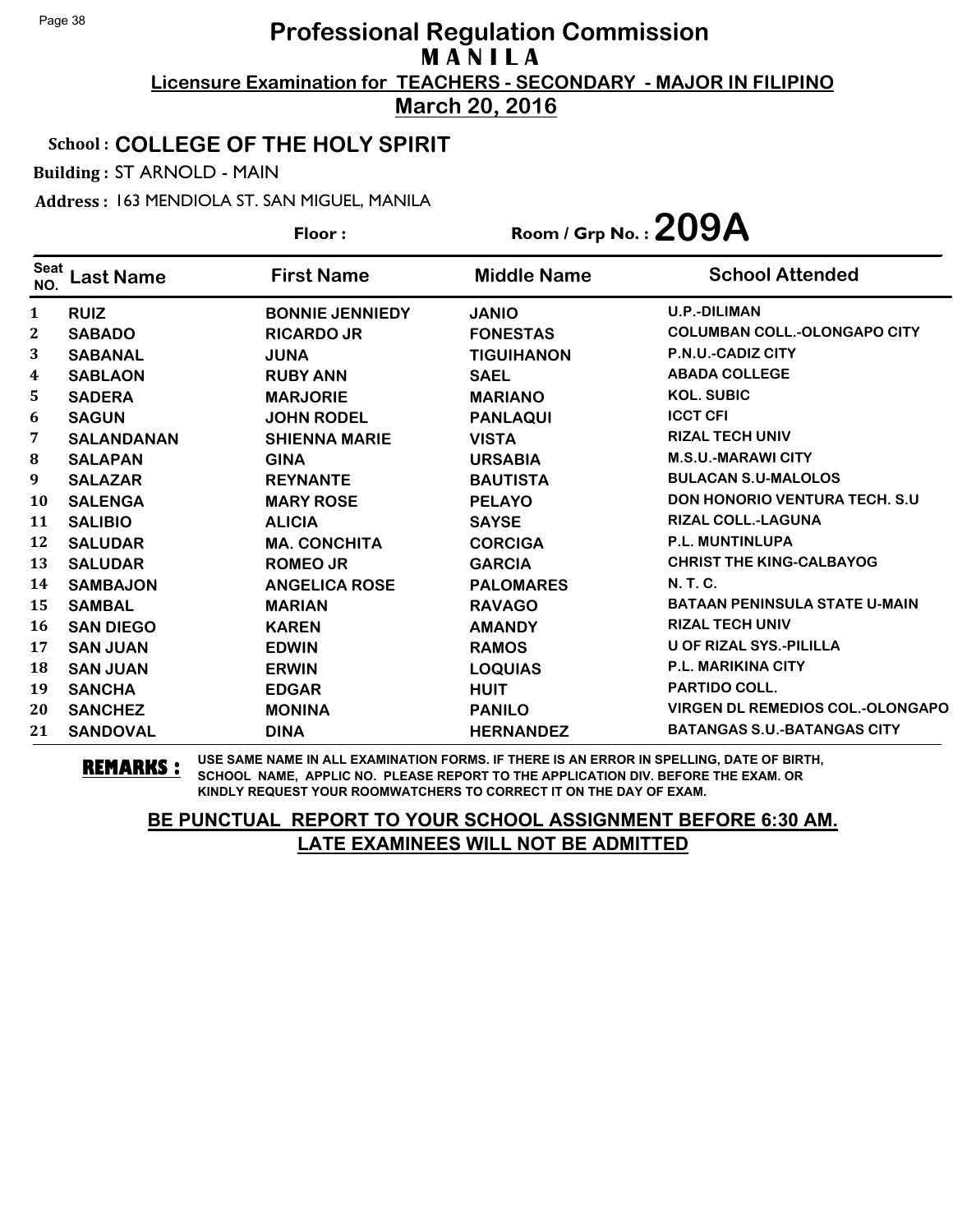#### School : **COLLEGE OF THE HOLY SPIRIT**

Building : ST ARNOLD - MAIN

Address : 163 MENDIOLA ST. SAN MIGUEL, MANILA

Floor : Room / Grp No. : 209A

| <b>Seat</b><br>NO. | <b>Last Name</b>  | <b>First Name</b>      | <b>Middle Name</b> | <b>School Attended</b>                  |
|--------------------|-------------------|------------------------|--------------------|-----------------------------------------|
| $\mathbf{1}$       | <b>RUIZ</b>       | <b>BONNIE JENNIEDY</b> | <b>JANIO</b>       | <b>U.P.-DILIMAN</b>                     |
| $\boldsymbol{2}$   | <b>SABADO</b>     | <b>RICARDO JR</b>      | <b>FONESTAS</b>    | <b>COLUMBAN COLL.-OLONGAPO CITY</b>     |
| 3                  | <b>SABANAL</b>    | <b>JUNA</b>            | <b>TIGUIHANON</b>  | <b>P.N.U.-CADIZ CITY</b>                |
| 4                  | <b>SABLAON</b>    | <b>RUBY ANN</b>        | <b>SAEL</b>        | <b>ABADA COLLEGE</b>                    |
| 5                  | <b>SADERA</b>     | <b>MARJORIE</b>        | <b>MARIANO</b>     | <b>KOL. SUBIC</b>                       |
| 6                  | <b>SAGUN</b>      | <b>JOHN RODEL</b>      | <b>PANLAQUI</b>    | <b>ICCT CFI</b>                         |
| 7                  | <b>SALANDANAN</b> | <b>SHIENNA MARIE</b>   | <b>VISTA</b>       | <b>RIZAL TECH UNIV</b>                  |
| 8                  | <b>SALAPAN</b>    | <b>GINA</b>            | <b>URSABIA</b>     | <b>M.S.U.-MARAWI CITY</b>               |
| 9                  | <b>SALAZAR</b>    | <b>REYNANTE</b>        | <b>BAUTISTA</b>    | <b>BULACAN S.U-MALOLOS</b>              |
| 10                 | <b>SALENGA</b>    | <b>MARY ROSE</b>       | <b>PELAYO</b>      | <b>DON HONORIO VENTURA TECH. S.U.</b>   |
| 11                 | <b>SALIBIO</b>    | <b>ALICIA</b>          | <b>SAYSE</b>       | <b>RIZAL COLL.-LAGUNA</b>               |
| 12                 | <b>SALUDAR</b>    | <b>MA. CONCHITA</b>    | <b>CORCIGA</b>     | <b>P.L. MUNTINLUPA</b>                  |
| 13                 | <b>SALUDAR</b>    | <b>ROMEO JR</b>        | <b>GARCIA</b>      | <b>CHRIST THE KING-CALBAYOG</b>         |
| 14                 | <b>SAMBAJON</b>   | <b>ANGELICA ROSE</b>   | <b>PALOMARES</b>   | <b>N.T.C.</b>                           |
| 15                 | <b>SAMBAL</b>     | <b>MARIAN</b>          | <b>RAVAGO</b>      | <b>BATAAN PENINSULA STATE U-MAIN</b>    |
| 16                 | <b>SAN DIEGO</b>  | <b>KAREN</b>           | <b>AMANDY</b>      | <b>RIZAL TECH UNIV</b>                  |
| 17                 | <b>SAN JUAN</b>   | <b>EDWIN</b>           | <b>RAMOS</b>       | <b>U OF RIZAL SYS.-PILILLA</b>          |
| 18                 | <b>SAN JUAN</b>   | <b>ERWIN</b>           | <b>LOQUIAS</b>     | <b>P.L. MARIKINA CITY</b>               |
| 19                 | <b>SANCHA</b>     | <b>EDGAR</b>           | <b>HUIT</b>        | <b>PARTIDO COLL.</b>                    |
| 20                 | <b>SANCHEZ</b>    | <b>MONINA</b>          | <b>PANILO</b>      | <b>VIRGEN DL REMEDIOS COL.-OLONGAPO</b> |
| 21                 | <b>SANDOVAL</b>   | <b>DINA</b>            | <b>HERNANDEZ</b>   | <b>BATANGAS S.U.-BATANGAS CITY</b>      |

**REMARKS :** USE SAME NAME IN ALL EXAMINATION FORMS. IF THERE IS AN ERROR IN SPELLING, DATE OF BIRTH, SCHOOL NAME, APPLIC NO. PLEASE REPORT TO THE APPLICATION DIV. BEFORE THE EXAM. OR KINDLY REQUEST YOUR ROOMWATCHERS TO CORRECT IT ON THE DAY OF EXAM.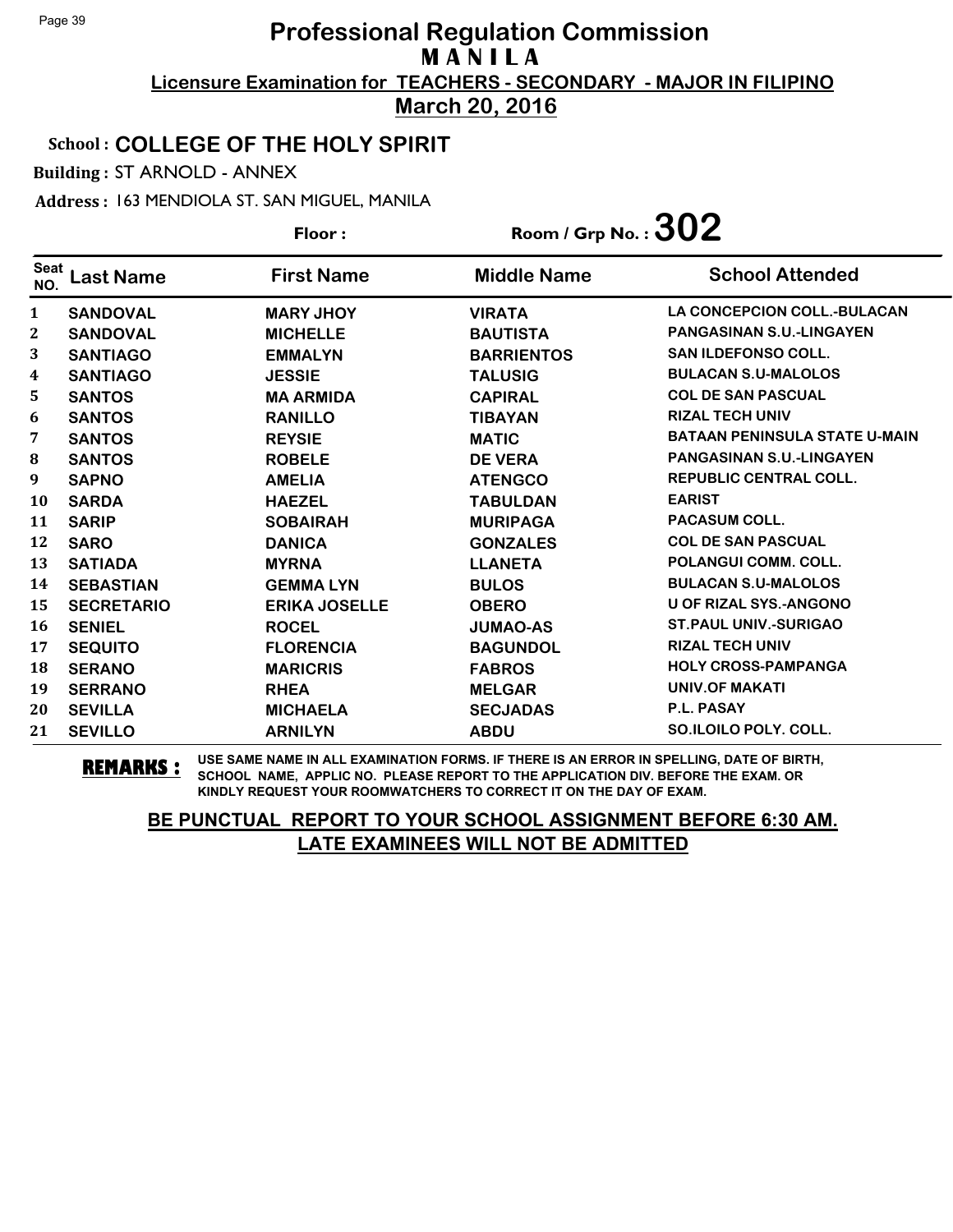#### School : **COLLEGE OF THE HOLY SPIRIT**

Building : ST ARNOLD - ANNEX

Address : 163 MENDIOLA ST. SAN MIGUEL, MANILA

Floor : Room / Grp No. :  $302$ 

| <b>Seat</b><br>NO. | <b>Last Name</b>  | <b>First Name</b>    | <b>Middle Name</b> | <b>School Attended</b>               |
|--------------------|-------------------|----------------------|--------------------|--------------------------------------|
| $\mathbf{1}$       | <b>SANDOVAL</b>   | <b>MARY JHOY</b>     | <b>VIRATA</b>      | <b>LA CONCEPCION COLL.-BULACAN</b>   |
| $\mathbf 2$        | <b>SANDOVAL</b>   | <b>MICHELLE</b>      | <b>BAUTISTA</b>    | <b>PANGASINAN S.U.-LINGAYEN</b>      |
| 3                  | <b>SANTIAGO</b>   | <b>EMMALYN</b>       | <b>BARRIENTOS</b>  | <b>SAN ILDEFONSO COLL.</b>           |
| 4                  | <b>SANTIAGO</b>   | <b>JESSIE</b>        | <b>TALUSIG</b>     | <b>BULACAN S.U-MALOLOS</b>           |
| 5                  | <b>SANTOS</b>     | <b>MA ARMIDA</b>     | <b>CAPIRAL</b>     | <b>COL DE SAN PASCUAL</b>            |
| 6                  | <b>SANTOS</b>     | <b>RANILLO</b>       | <b>TIBAYAN</b>     | <b>RIZAL TECH UNIV</b>               |
| 7                  | <b>SANTOS</b>     | <b>REYSIE</b>        | <b>MATIC</b>       | <b>BATAAN PENINSULA STATE U-MAIN</b> |
| 8                  | <b>SANTOS</b>     | <b>ROBELE</b>        | <b>DE VERA</b>     | <b>PANGASINAN S.U.-LINGAYEN</b>      |
| 9                  | <b>SAPNO</b>      | <b>AMELIA</b>        | <b>ATENGCO</b>     | <b>REPUBLIC CENTRAL COLL.</b>        |
| 10                 | <b>SARDA</b>      | <b>HAEZEL</b>        | <b>TABULDAN</b>    | <b>EARIST</b>                        |
| 11                 | <b>SARIP</b>      | <b>SOBAIRAH</b>      | <b>MURIPAGA</b>    | <b>PACASUM COLL.</b>                 |
| 12                 | <b>SARO</b>       | <b>DANICA</b>        | <b>GONZALES</b>    | <b>COL DE SAN PASCUAL</b>            |
| 13                 | <b>SATIADA</b>    | <b>MYRNA</b>         | <b>LLANETA</b>     | POLANGUI COMM. COLL.                 |
| 14                 | <b>SEBASTIAN</b>  | <b>GEMMALYN</b>      | <b>BULOS</b>       | <b>BULACAN S.U-MALOLOS</b>           |
| 15                 | <b>SECRETARIO</b> | <b>ERIKA JOSELLE</b> | <b>OBERO</b>       | <b>U OF RIZAL SYS.-ANGONO</b>        |
| 16                 | <b>SENIEL</b>     | <b>ROCEL</b>         | <b>JUMAO-AS</b>    | <b>ST. PAUL UNIV.-SURIGAO</b>        |
| 17                 | <b>SEQUITO</b>    | <b>FLORENCIA</b>     | <b>BAGUNDOL</b>    | <b>RIZAL TECH UNIV</b>               |
| 18                 | <b>SERANO</b>     | <b>MARICRIS</b>      | <b>FABROS</b>      | <b>HOLY CROSS-PAMPANGA</b>           |
| 19                 | <b>SERRANO</b>    | <b>RHEA</b>          | <b>MELGAR</b>      | <b>UNIV.OF MAKATI</b>                |
| 20                 | <b>SEVILLA</b>    | <b>MICHAELA</b>      | <b>SECJADAS</b>    | P.L. PASAY                           |
| 21                 | <b>SEVILLO</b>    | <b>ARNILYN</b>       | <b>ABDU</b>        | SO.ILOILO POLY, COLL.                |

**REMARKS :** USE SAME NAME IN ALL EXAMINATION FORMS. IF THERE IS AN ERROR IN SPELLING, DATE OF BIRTH, SCHOOL NAME, APPLIC NO. PLEASE REPORT TO THE APPLICATION DIV. BEFORE THE EXAM. OR KINDLY REQUEST YOUR ROOMWATCHERS TO CORRECT IT ON THE DAY OF EXAM.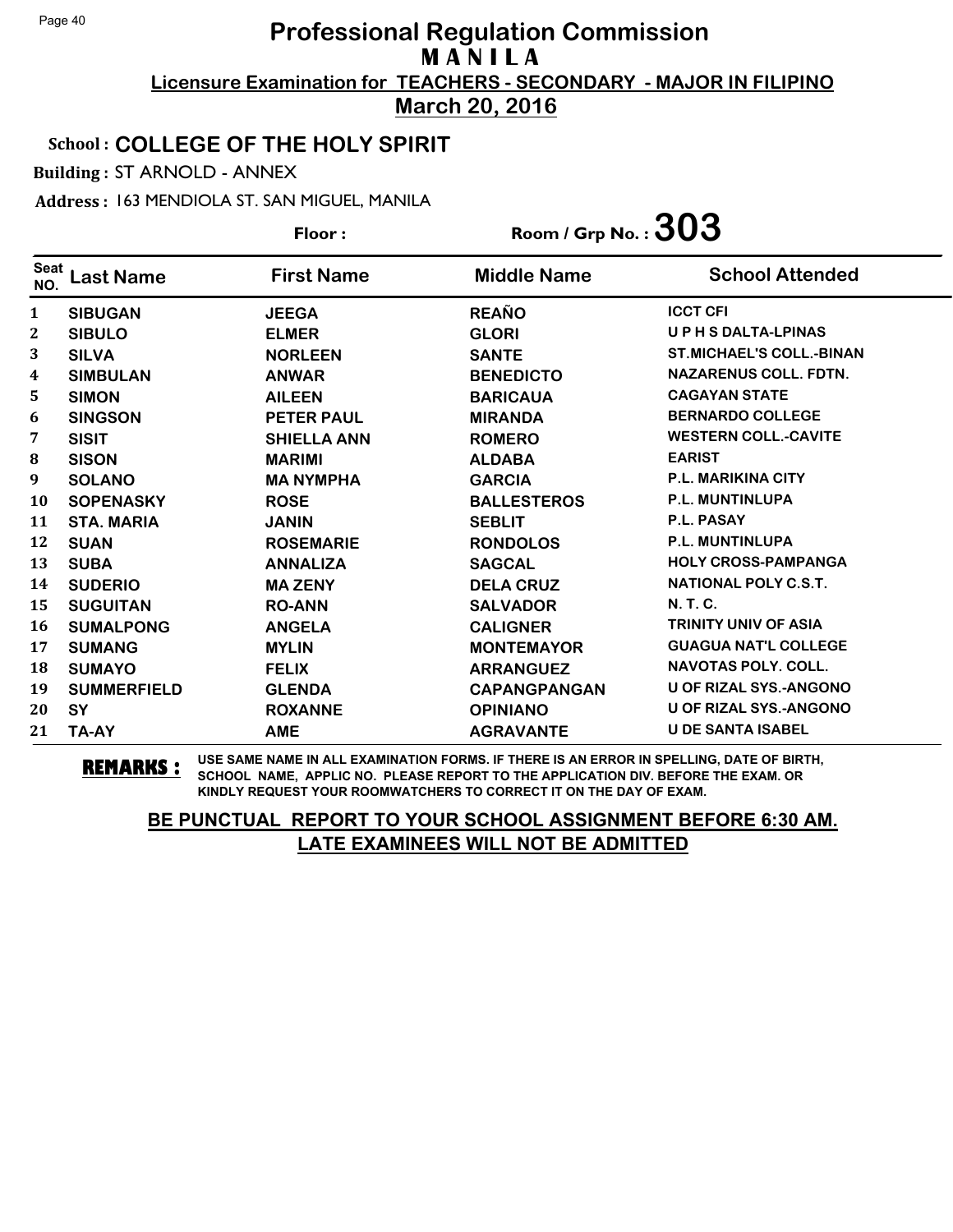#### School : **COLLEGE OF THE HOLY SPIRIT**

Building : ST ARNOLD - ANNEX

Address : 163 MENDIOLA ST. SAN MIGUEL, MANILA

Floor : Room / Grp No. :  $303$ 

| <b>Seat</b><br>NO. | Last Name          | <b>First Name</b>  | <b>Middle Name</b>  | <b>School Attended</b>          |
|--------------------|--------------------|--------------------|---------------------|---------------------------------|
| $\mathbf{1}$       | <b>SIBUGAN</b>     | <b>JEEGA</b>       | <b>REAÑO</b>        | <b>ICCT CFI</b>                 |
| 2                  | <b>SIBULO</b>      | <b>ELMER</b>       | <b>GLORI</b>        | UPHSDALTA-LPINAS                |
| 3                  | <b>SILVA</b>       | <b>NORLEEN</b>     | <b>SANTE</b>        | <b>ST.MICHAEL'S COLL.-BINAN</b> |
| 4                  | <b>SIMBULAN</b>    | <b>ANWAR</b>       | <b>BENEDICTO</b>    | <b>NAZARENUS COLL. FDTN.</b>    |
| 5                  | <b>SIMON</b>       | <b>AILEEN</b>      | <b>BARICAUA</b>     | <b>CAGAYAN STATE</b>            |
| 6                  | <b>SINGSON</b>     | PETER PAUL         | <b>MIRANDA</b>      | <b>BERNARDO COLLEGE</b>         |
| 7                  | <b>SISIT</b>       | <b>SHIELLA ANN</b> | <b>ROMERO</b>       | <b>WESTERN COLL.-CAVITE</b>     |
| 8                  | <b>SISON</b>       | <b>MARIMI</b>      | <b>ALDABA</b>       | <b>EARIST</b>                   |
| 9                  | <b>SOLANO</b>      | <b>MA NYMPHA</b>   | <b>GARCIA</b>       | <b>P.L. MARIKINA CITY</b>       |
| 10                 | <b>SOPENASKY</b>   | <b>ROSE</b>        | <b>BALLESTEROS</b>  | <b>P.L. MUNTINLUPA</b>          |
| 11                 | <b>STA. MARIA</b>  | <b>JANIN</b>       | <b>SEBLIT</b>       | <b>P.L. PASAY</b>               |
| 12                 | <b>SUAN</b>        | <b>ROSEMARIE</b>   | <b>RONDOLOS</b>     | <b>P.L. MUNTINLUPA</b>          |
| 13                 | <b>SUBA</b>        | <b>ANNALIZA</b>    | <b>SAGCAL</b>       | <b>HOLY CROSS-PAMPANGA</b>      |
| 14                 | <b>SUDERIO</b>     | <b>MA ZENY</b>     | <b>DELA CRUZ</b>    | <b>NATIONAL POLY C.S.T.</b>     |
| 15                 | <b>SUGUITAN</b>    | <b>RO-ANN</b>      | <b>SALVADOR</b>     | <b>N.T.C.</b>                   |
| 16                 | <b>SUMALPONG</b>   | <b>ANGELA</b>      | <b>CALIGNER</b>     | <b>TRINITY UNIV OF ASIA</b>     |
| 17                 | <b>SUMANG</b>      | <b>MYLIN</b>       | <b>MONTEMAYOR</b>   | <b>GUAGUA NAT'L COLLEGE</b>     |
| 18                 | <b>SUMAYO</b>      | <b>FELIX</b>       | <b>ARRANGUEZ</b>    | <b>NAVOTAS POLY, COLL.</b>      |
| 19                 | <b>SUMMERFIELD</b> | <b>GLENDA</b>      | <b>CAPANGPANGAN</b> | <b>U OF RIZAL SYS.-ANGONO</b>   |
| 20                 | SY                 | <b>ROXANNE</b>     | <b>OPINIANO</b>     | <b>U OF RIZAL SYS.-ANGONO</b>   |
| 21                 | TA-AY              | <b>AME</b>         | <b>AGRAVANTE</b>    | <b>U DE SANTA ISABEL</b>        |

**REMARKS :** USE SAME NAME IN ALL EXAMINATION FORMS. IF THERE IS AN ERROR IN SPELLING, DATE OF BIRTH, SCHOOL NAME, APPLIC NO. PLEASE REPORT TO THE APPLICATION DIV. BEFORE THE EXAM. OR KINDLY REQUEST YOUR ROOMWATCHERS TO CORRECT IT ON THE DAY OF EXAM.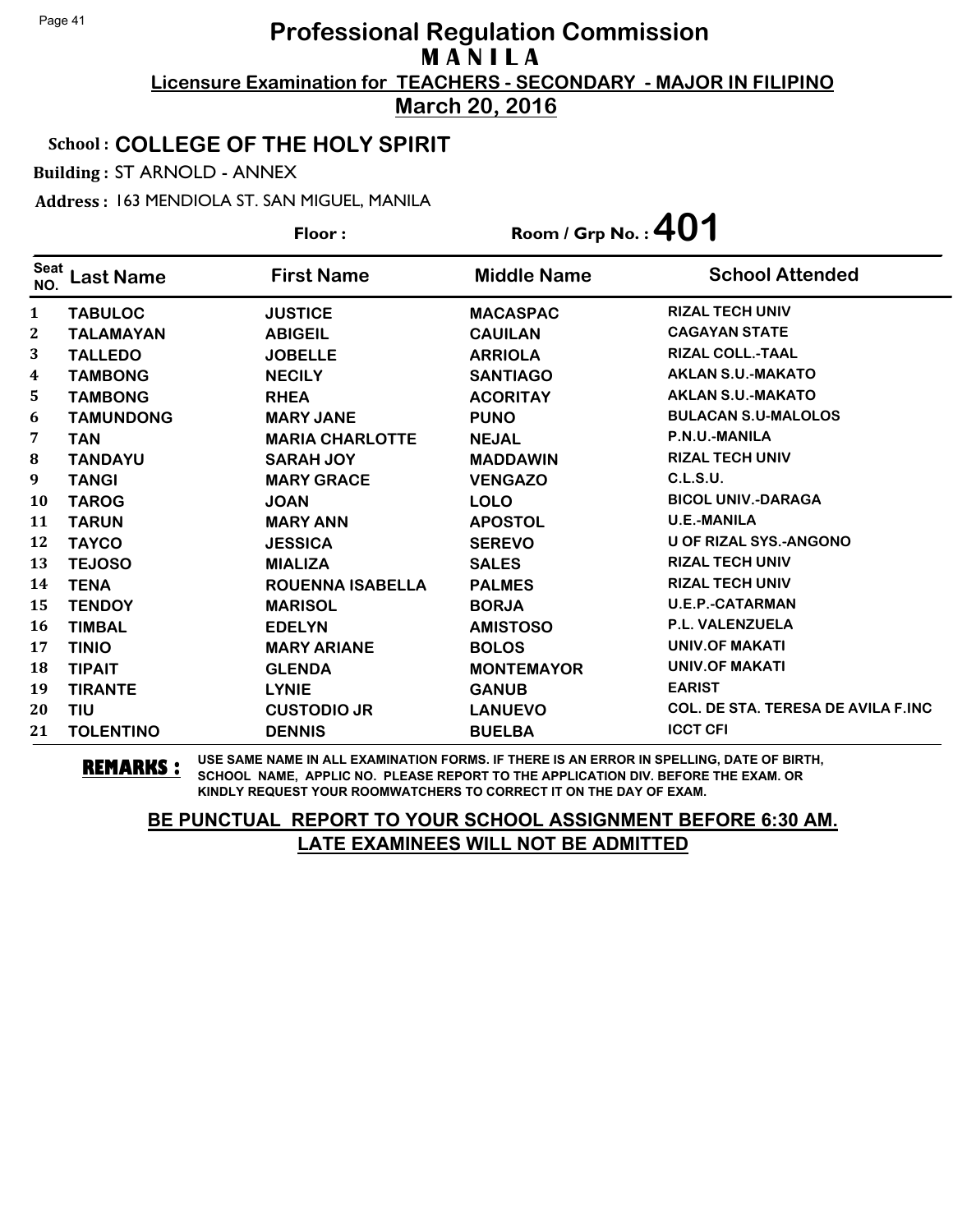#### School : **COLLEGE OF THE HOLY SPIRIT**

Building : ST ARNOLD - ANNEX

Address : 163 MENDIOLA ST. SAN MIGUEL, MANILA

|                    |                  | Floor:                  | Room / Grp No.: 401 |                                           |
|--------------------|------------------|-------------------------|---------------------|-------------------------------------------|
| <b>Seat</b><br>NO. | Last Name        | <b>First Name</b>       | <b>Middle Name</b>  | <b>School Attended</b>                    |
| 1                  | <b>TABULOC</b>   | <b>JUSTICE</b>          | <b>MACASPAC</b>     | <b>RIZAL TECH UNIV</b>                    |
| $\mathbf{2}$       | TALAMAYAN        | <b>ABIGEIL</b>          | <b>CAUILAN</b>      | <b>CAGAYAN STATE</b>                      |
| 3                  | <b>TALLEDO</b>   | <b>JOBELLE</b>          | <b>ARRIOLA</b>      | <b>RIZAL COLL.-TAAL</b>                   |
| 4                  | <b>TAMBONG</b>   | <b>NECILY</b>           | <b>SANTIAGO</b>     | <b>AKLAN S.U.-MAKATO</b>                  |
| 5                  | <b>TAMBONG</b>   | <b>RHEA</b>             | <b>ACORITAY</b>     | <b>AKLAN S.U.-MAKATO</b>                  |
| 6                  | <b>TAMUNDONG</b> | <b>MARY JANE</b>        | <b>PUNO</b>         | <b>BULACAN S.U-MALOLOS</b>                |
| 7                  | <b>TAN</b>       | <b>MARIA CHARLOTTE</b>  | <b>NEJAL</b>        | P.N.U.-MANILA                             |
| 8                  | <b>TANDAYU</b>   | <b>SARAH JOY</b>        | <b>MADDAWIN</b>     | <b>RIZAL TECH UNIV</b>                    |
| 9                  | <b>TANGI</b>     | <b>MARY GRACE</b>       | <b>VENGAZO</b>      | C.L.S.U.                                  |
| 10                 | <b>TAROG</b>     | <b>JOAN</b>             | <b>LOLO</b>         | <b>BICOL UNIV.-DARAGA</b>                 |
| 11                 | <b>TARUN</b>     | <b>MARY ANN</b>         | <b>APOSTOL</b>      | <b>U.E.-MANILA</b>                        |
| 12                 | <b>TAYCO</b>     | <b>JESSICA</b>          | <b>SEREVO</b>       | <b>U OF RIZAL SYS.-ANGONO</b>             |
| 13                 | <b>TEJOSO</b>    | <b>MIALIZA</b>          | <b>SALES</b>        | <b>RIZAL TECH UNIV</b>                    |
| 14                 | <b>TENA</b>      | <b>ROUENNA ISABELLA</b> | <b>PALMES</b>       | <b>RIZAL TECH UNIV</b>                    |
| 15                 | <b>TENDOY</b>    | <b>MARISOL</b>          | <b>BORJA</b>        | <b>U.E.P.-CATARMAN</b>                    |
| 16                 | <b>TIMBAL</b>    | <b>EDELYN</b>           | <b>AMISTOSO</b>     | <b>P.L. VALENZUELA</b>                    |
| 17                 | <b>TINIO</b>     | <b>MARY ARIANE</b>      | <b>BOLOS</b>        | <b>UNIV.OF MAKATI</b>                     |
| 18                 | <b>TIPAIT</b>    | <b>GLENDA</b>           | <b>MONTEMAYOR</b>   | UNIV.OF MAKATI                            |
| 19                 | <b>TIRANTE</b>   | <b>LYNIE</b>            | <b>GANUB</b>        | <b>EARIST</b>                             |
| 20                 | <b>TIU</b>       | <b>CUSTODIO JR</b>      | <b>LANUEVO</b>      | <b>COL. DE STA. TERESA DE AVILA F.INC</b> |
| 21                 | <b>TOLENTINO</b> | <b>DENNIS</b>           | <b>BUELBA</b>       | <b>ICCT CFI</b>                           |

**REMARKS :** USE SAME NAME IN ALL EXAMINATION FORMS. IF THERE IS AN ERROR IN SPELLING, DATE OF BIRTH, SCHOOL NAME, APPLIC NO. PLEASE REPORT TO THE APPLICATION DIV. BEFORE THE EXAM. OR KINDLY REQUEST YOUR ROOMWATCHERS TO CORRECT IT ON THE DAY OF EXAM.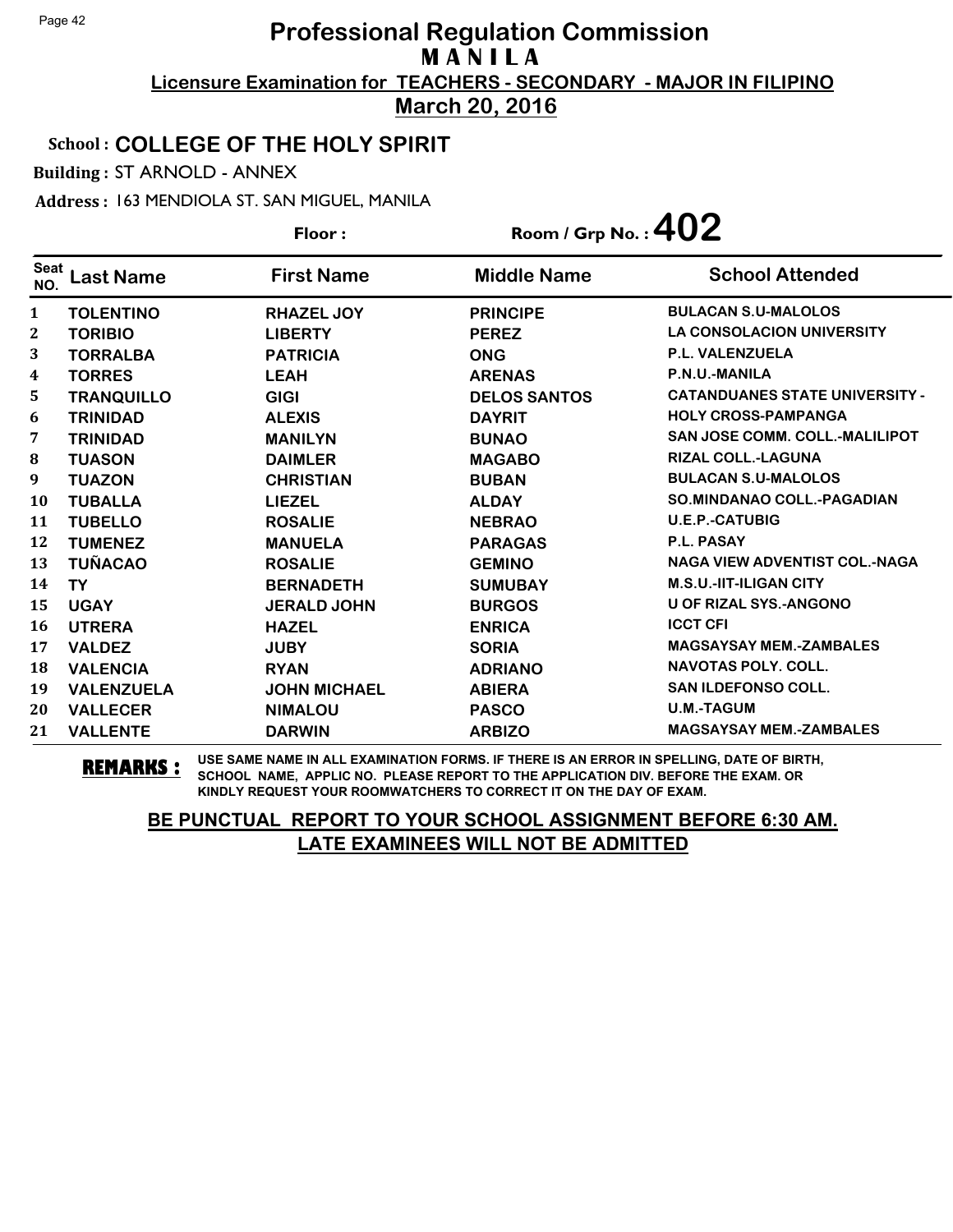#### School : **COLLEGE OF THE HOLY SPIRIT**

Building : ST ARNOLD - ANNEX

Address : 163 MENDIOLA ST. SAN MIGUEL, MANILA

**Last Name First Name Middle Name** Floor : Room / Grp No. :**402** Seat <sup>Seat</sup> Last Name First Name Middle Name School Attended **TOLENTINO RHAZEL JOY PRINCIPE BULACAN S.U-MALOLOS TORIBIO LIBERTY PEREZ LA CONSOLACION UNIVERSITY TORRALBA PATRICIA ONG P.L. VALENZUELA TORRES LEAH ARENAS P.N.U.-MANILA TRANQUILLO GIGI DELOS SANTOS CATANDUANES STATE UNIVERSITY - TRINIDAD ALEXIS DAYRIT HOLY CROSS-PAMPANGA TRINIDAD MANILYN BUNAO SAN JOSE COMM. COLL.-MALILIPOT TUASON DAIMLER MAGABO RIZAL COLL.-LAGUNA TUAZON CHRISTIAN BUBAN BULACAN S.U-MALOLOS TUBALLA LIEZEL ALDAY SO.MINDANAO COLL.-PAGADIAN TUBELLO ROSALIE NEBRAO U.E.P.-CATUBIG TUMENEZ MANUELA PARAGAS P.L. PASAY TUÑACAO ROSALIE GEMINO NAGA VIEW ADVENTIST COL.-NAGA TY BERNADETH SUMUBAY M.S.U.-IIT-ILIGAN CITY UGAY JERALD JOHN BURGOS U OF RIZAL SYS.-ANGONO UTRERA HAZEL ENRICA ICCT CFI VALDEZ JUBY SORIA MAGSAYSAY MEM.-ZAMBALES VALENCIA RYAN ADRIANO NAVOTAS POLY. COLL. VALENZUELA JOHN MICHAEL ABIERA SAN ILDEFONSO COLL. VALLECER NIMALOU PASCO U.M.-TAGUM VALLENTE DARWIN ARBIZO MAGSAYSAY MEM.-ZAMBALES**

**REMARKS :** USE SAME NAME IN ALL EXAMINATION FORMS. IF THERE IS AN ERROR IN SPELLING, DATE OF BIRTH, SCHOOL NAME, APPLIC NO. PLEASE REPORT TO THE APPLICATION DIV. BEFORE THE EXAM. OR KINDLY REQUEST YOUR ROOMWATCHERS TO CORRECT IT ON THE DAY OF EXAM.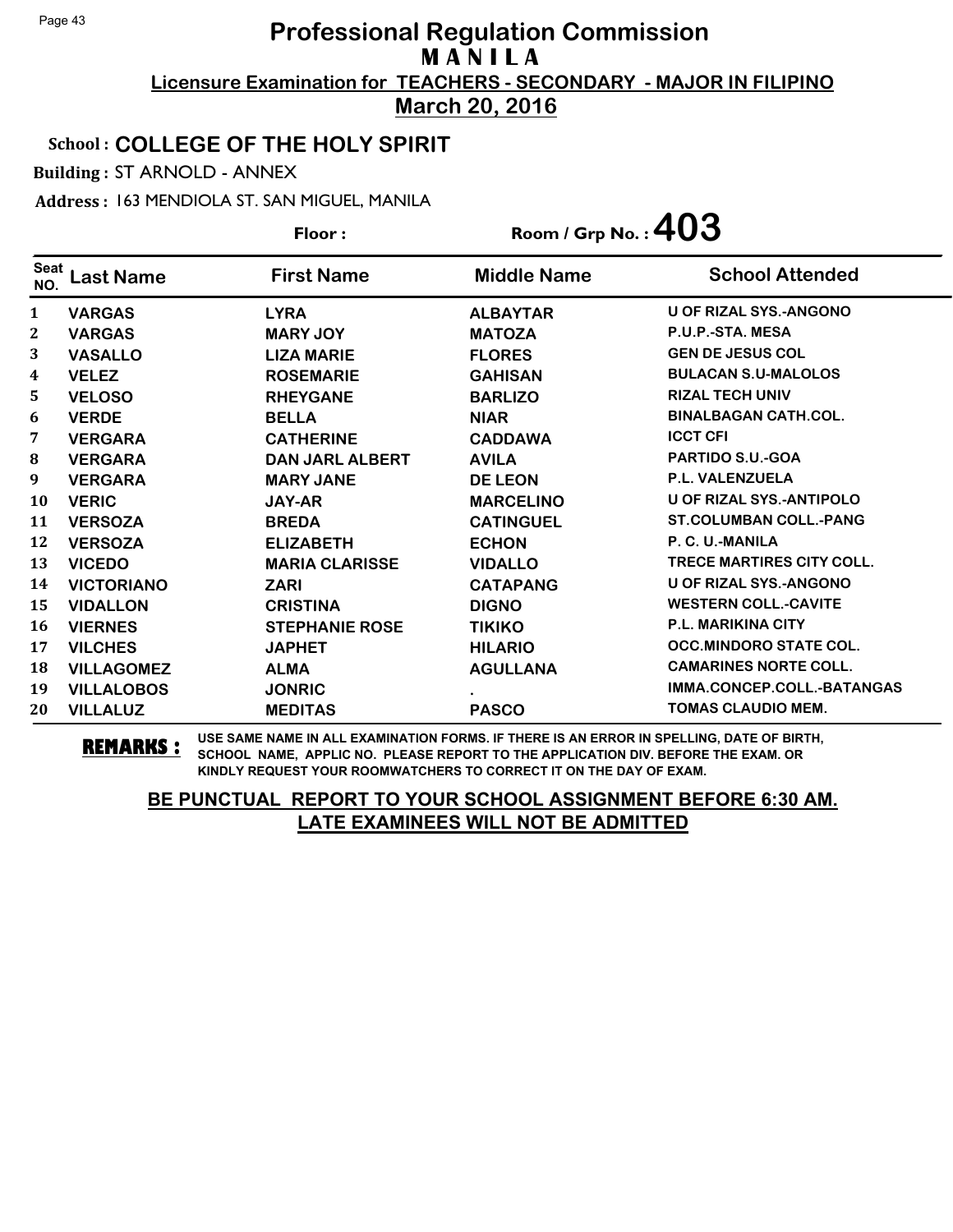#### School : **COLLEGE OF THE HOLY SPIRIT**

Building : ST ARNOLD - ANNEX

Address : 163 MENDIOLA ST. SAN MIGUEL, MANILA

Floor : Room / Grp No. : 403

| <b>Seat</b><br>NO. | Last Name         | <b>First Name</b>      | <b>Middle Name</b> | <b>School Attended</b>           |
|--------------------|-------------------|------------------------|--------------------|----------------------------------|
| $\mathbf{1}$       | <b>VARGAS</b>     | <b>LYRA</b>            | <b>ALBAYTAR</b>    | <b>U OF RIZAL SYS.-ANGONO</b>    |
| 2                  | <b>VARGAS</b>     | <b>MARY JOY</b>        | <b>MATOZA</b>      | P.U.P.-STA, MESA                 |
| 3                  | <b>VASALLO</b>    | <b>LIZA MARIE</b>      | <b>FLORES</b>      | <b>GEN DE JESUS COL</b>          |
| 4                  | <b>VELEZ</b>      | <b>ROSEMARIE</b>       | <b>GAHISAN</b>     | <b>BULACAN S.U-MALOLOS</b>       |
| 5                  | <b>VELOSO</b>     | <b>RHEYGANE</b>        | <b>BARLIZO</b>     | <b>RIZAL TECH UNIV</b>           |
| 6                  | <b>VERDE</b>      | <b>BELLA</b>           | <b>NIAR</b>        | <b>BINALBAGAN CATH.COL.</b>      |
| 7                  | <b>VERGARA</b>    | <b>CATHERINE</b>       | <b>CADDAWA</b>     | <b>ICCT CFI</b>                  |
| 8                  | <b>VERGARA</b>    | <b>DAN JARL ALBERT</b> | <b>AVILA</b>       | <b>PARTIDO S.U.-GOA</b>          |
| 9                  | <b>VERGARA</b>    | <b>MARY JANE</b>       | <b>DE LEON</b>     | <b>P.L. VALENZUELA</b>           |
| <b>10</b>          | <b>VERIC</b>      | <b>JAY-AR</b>          | <b>MARCELINO</b>   | U OF RIZAL SYS - ANTIPOLO        |
| 11                 | <b>VERSOZA</b>    | <b>BREDA</b>           | <b>CATINGUEL</b>   | <b>ST.COLUMBAN COLL.-PANG</b>    |
| 12                 | <b>VERSOZA</b>    | <b>ELIZABETH</b>       | <b>ECHON</b>       | P. C. U.-MANILA                  |
| 13                 | <b>VICEDO</b>     | <b>MARIA CLARISSE</b>  | <b>VIDALLO</b>     | <b>TRECE MARTIRES CITY COLL.</b> |
| 14                 | <b>VICTORIANO</b> | <b>ZARI</b>            | <b>CATAPANG</b>    | <b>U OF RIZAL SYS.-ANGONO</b>    |
| 15                 | <b>VIDALLON</b>   | <b>CRISTINA</b>        | <b>DIGNO</b>       | <b>WESTERN COLL.-CAVITE</b>      |
| 16                 | <b>VIERNES</b>    | <b>STEPHANIE ROSE</b>  | <b>TIKIKO</b>      | <b>P.L. MARIKINA CITY</b>        |
| 17                 | <b>VILCHES</b>    | <b>JAPHET</b>          | <b>HILARIO</b>     | <b>OCC.MINDORO STATE COL.</b>    |
| 18                 | <b>VILLAGOMEZ</b> | <b>ALMA</b>            | <b>AGULLANA</b>    | <b>CAMARINES NORTE COLL.</b>     |
| 19                 | <b>VILLALOBOS</b> | <b>JONRIC</b>          |                    | IMMA.CONCEP.COLL.-BATANGAS       |
| 20                 | <b>VILLALUZ</b>   | <b>MEDITAS</b>         | <b>PASCO</b>       | <b>TOMAS CLAUDIO MEM.</b>        |

**REMARKS :** USE SAME NAME IN ALL EXAMINATION FORMS. IF THERE IS AN ERROR IN SPELLING, DATE OF BIRTH, SCHOOL NAME, APPLIC NO. PLEASE REPORT TO THE APPLICATION DIV. BEFORE THE EXAM. OR KINDLY REQUEST YOUR ROOMWATCHERS TO CORRECT IT ON THE DAY OF EXAM.